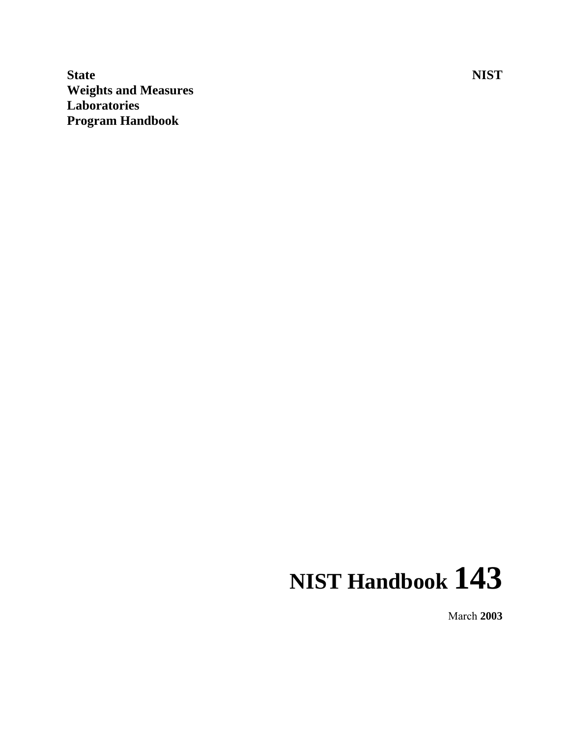**State** NIST **Weights and Measures Laboratories Program Handbook**

# **NIST Handbook 143**

March **2003**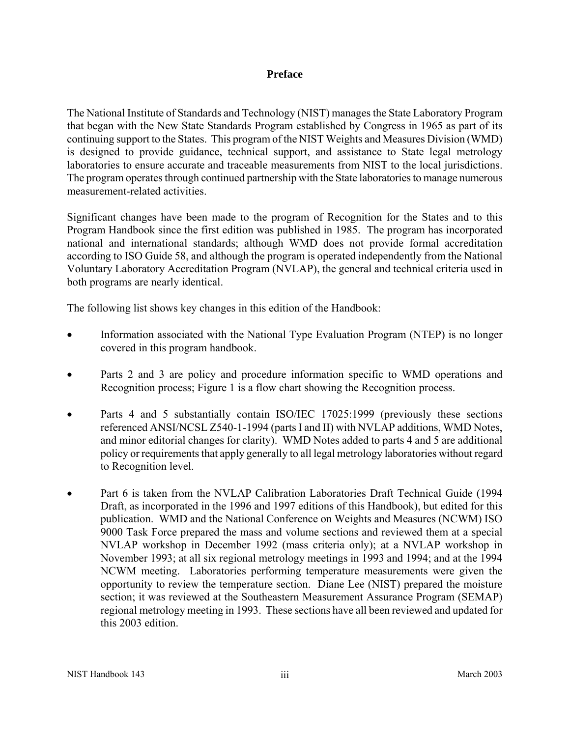#### **Preface**

<span id="page-2-0"></span>The National Institute of Standards and Technology (NIST) manages the State Laboratory Program that began with the New State Standards Program established by Congress in 1965 as part of its continuing support to the States. This program of the NIST Weights and Measures Division (WMD) is designed to provide guidance, technical support, and assistance to State legal metrology laboratories to ensure accurate and traceable measurements from NIST to the local jurisdictions. The program operates through continued partnership with the State laboratories to manage numerous measurement-related activities.

Significant changes have been made to the program of Recognition for the States and to this Program Handbook since the first edition was published in 1985. The program has incorporated national and international standards; although WMD does not provide formal accreditation according to ISO Guide 58, and although the program is operated independently from the National Voluntary Laboratory Accreditation Program (NVLAP), the general and technical criteria used in both programs are nearly identical.

The following list shows key changes in this edition of the Handbook:

- Information associated with the National Type Evaluation Program (NTEP) is no longer covered in this program handbook.
- Parts 2 and 3 are policy and procedure information specific to WMD operations and Recognition process; Figure 1 is a flow chart showing the Recognition process.
- Parts 4 and 5 substantially contain ISO/IEC 17025:1999 (previously these sections referenced ANSI/NCSL Z540-1-1994 (parts I and II) with NVLAP additions, WMD Notes, and minor editorial changes for clarity). WMD Notes added to parts 4 and 5 are additional policy or requirements that apply generally to all legal metrology laboratories without regard to Recognition level.
- Part 6 is taken from the NVLAP Calibration Laboratories Draft Technical Guide (1994 Draft, as incorporated in the 1996 and 1997 editions of this Handbook), but edited for this publication. WMD and the National Conference on Weights and Measures (NCWM) ISO 9000 Task Force prepared the mass and volume sections and reviewed them at a special NVLAP workshop in December 1992 (mass criteria only); at a NVLAP workshop in November 1993; at all six regional metrology meetings in 1993 and 1994; and at the 1994 NCWM meeting. Laboratories performing temperature measurements were given the opportunity to review the temperature section. Diane Lee (NIST) prepared the moisture section; it was reviewed at the Southeastern Measurement Assurance Program (SEMAP) regional metrology meeting in 1993. These sections have all been reviewed and updated for this 2003 edition.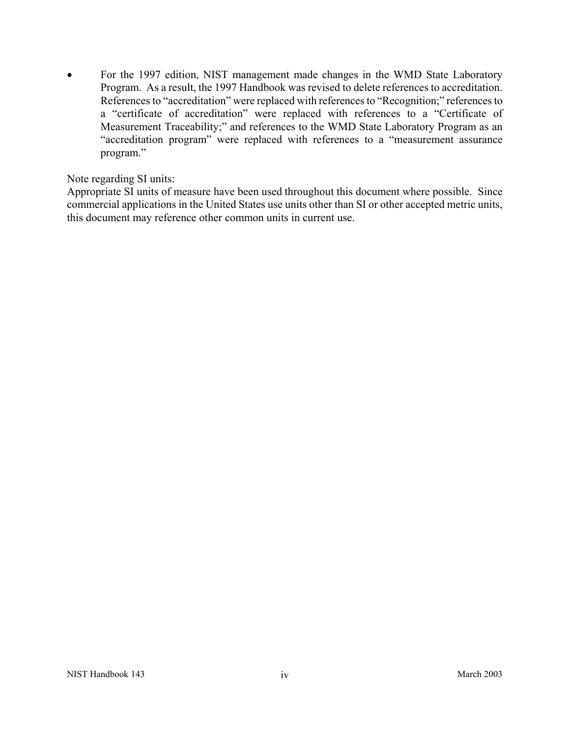• For the 1997 edition, NIST management made changes in the WMD State Laboratory Program. As a result, the 1997 Handbook was revised to delete references to accreditation. References to "accreditation" were replaced with references to "Recognition;" references to a "certificate of accreditation" were replaced with references to a "Certificate of Measurement Traceability;" and references to the WMD State Laboratory Program as an "accreditation program" were replaced with references to a "measurement assurance program."

#### Note regarding SI units:

Appropriate SI units of measure have been used throughout this document where possible. Since commercial applications in the United States use units other than SI or other accepted metric units, this document may reference other common units in current use.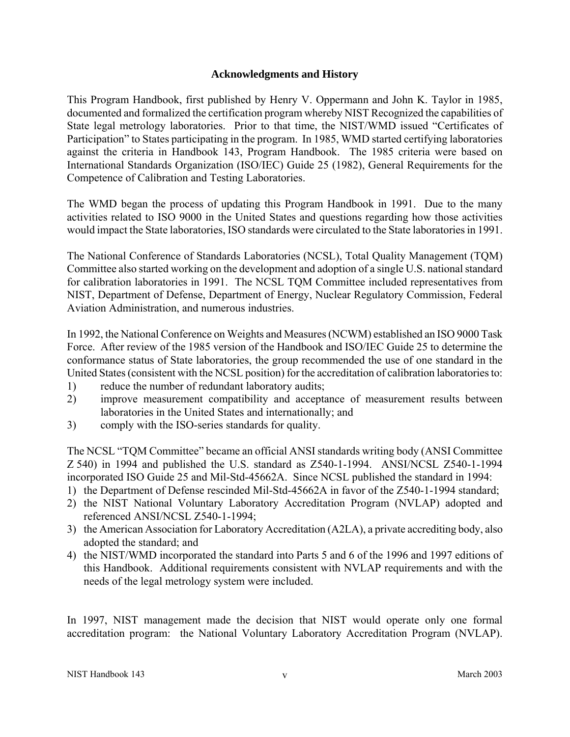#### **Acknowledgments and History**

<span id="page-4-0"></span>This Program Handbook, first published by Henry V. Oppermann and John K. Taylor in 1985, documented and formalized the certification program whereby NIST Recognized the capabilities of State legal metrology laboratories. Prior to that time, the NIST/WMD issued "Certificates of Participation" to States participating in the program. In 1985, WMD started certifying laboratories against the criteria in Handbook 143, Program Handbook. The 1985 criteria were based on International Standards Organization (ISO/IEC) Guide 25 (1982), General Requirements for the Competence of Calibration and Testing Laboratories.

The WMD began the process of updating this Program Handbook in 1991. Due to the many activities related to ISO 9000 in the United States and questions regarding how those activities would impact the State laboratories, ISO standards were circulated to the State laboratories in 1991.

The National Conference of Standards Laboratories (NCSL), Total Quality Management (TQM) Committee also started working on the development and adoption of a single U.S. national standard for calibration laboratories in 1991. The NCSL TQM Committee included representatives from NIST, Department of Defense, Department of Energy, Nuclear Regulatory Commission, Federal Aviation Administration, and numerous industries.

In 1992, the National Conference on Weights and Measures (NCWM) established an ISO 9000 Task Force. After review of the 1985 version of the Handbook and ISO/IEC Guide 25 to determine the conformance status of State laboratories, the group recommended the use of one standard in the United States (consistent with the NCSL position) for the accreditation of calibration laboratories to:

- 1) reduce the number of redundant laboratory audits;
- 2) improve measurement compatibility and acceptance of measurement results between laboratories in the United States and internationally; and
- 3) comply with the ISO-series standards for quality.

The NCSL "TQM Committee" became an official ANSI standards writing body (ANSI Committee Z 540) in 1994 and published the U.S. standard as Z540-1-1994. ANSI/NCSL Z540-1-1994 incorporated ISO Guide 25 and Mil-Std-45662A. Since NCSL published the standard in 1994:

- 1) the Department of Defense rescinded Mil-Std-45662A in favor of the Z540-1-1994 standard;
- 2) the NIST National Voluntary Laboratory Accreditation Program (NVLAP) adopted and referenced ANSI/NCSL Z540-1-1994;
- 3) the American Association for Laboratory Accreditation (A2LA), a private accrediting body, also adopted the standard; and
- 4) the NIST/WMD incorporated the standard into Parts 5 and 6 of the 1996 and 1997 editions of this Handbook. Additional requirements consistent with NVLAP requirements and with the needs of the legal metrology system were included.

In 1997, NIST management made the decision that NIST would operate only one formal accreditation program: the National Voluntary Laboratory Accreditation Program (NVLAP).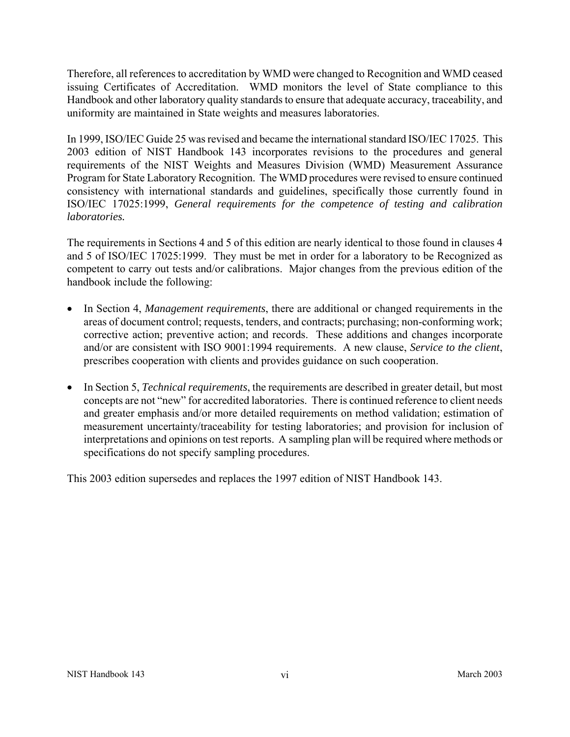Therefore, all references to accreditation by WMD were changed to Recognition and WMD ceased issuing Certificates of Accreditation. WMD monitors the level of State compliance to this Handbook and other laboratory quality standards to ensure that adequate accuracy, traceability, and uniformity are maintained in State weights and measures laboratories.

In 1999, ISO/IEC Guide 25 was revised and became the international standard ISO/IEC 17025. This 2003 edition of NIST Handbook 143 incorporates revisions to the procedures and general requirements of the NIST Weights and Measures Division (WMD) Measurement Assurance Program for State Laboratory Recognition. The WMD procedures were revised to ensure continued consistency with international standards and guidelines, specifically those currently found in ISO/IEC 17025:1999, *General requirements for the competence of testing and calibration laboratories.*

The requirements in Sections 4 and 5 of this edition are nearly identical to those found in clauses 4 and 5 of ISO/IEC 17025:1999. They must be met in order for a laboratory to be Recognized as competent to carry out tests and/or calibrations. Major changes from the previous edition of the handbook include the following:

- In Section 4, *Management requirements*, there are additional or changed requirements in the areas of document control; requests, tenders, and contracts; purchasing; non-conforming work; corrective action; preventive action; and records. These additions and changes incorporate and/or are consistent with ISO 9001:1994 requirements. A new clause, *Service to the client*, prescribes cooperation with clients and provides guidance on such cooperation.
- In Section 5, *Technical requirements*, the requirements are described in greater detail, but most concepts are not "new" for accredited laboratories. There is continued reference to client needs and greater emphasis and/or more detailed requirements on method validation; estimation of measurement uncertainty/traceability for testing laboratories; and provision for inclusion of interpretations and opinions on test reports. A sampling plan will be required where methods or specifications do not specify sampling procedures.

This 2003 edition supersedes and replaces the 1997 edition of NIST Handbook 143.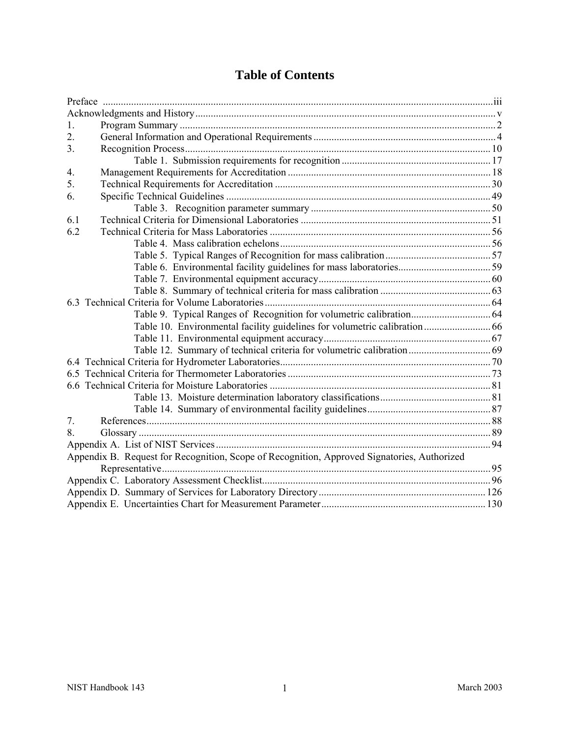| $\mathbf{1}$                                                                                |  |
|---------------------------------------------------------------------------------------------|--|
| 2.                                                                                          |  |
| $\overline{3}$ .                                                                            |  |
|                                                                                             |  |
| $\overline{4}$ .                                                                            |  |
| 5.                                                                                          |  |
| 6.                                                                                          |  |
|                                                                                             |  |
| 6.1                                                                                         |  |
| 6.2                                                                                         |  |
|                                                                                             |  |
|                                                                                             |  |
|                                                                                             |  |
|                                                                                             |  |
|                                                                                             |  |
|                                                                                             |  |
|                                                                                             |  |
|                                                                                             |  |
|                                                                                             |  |
|                                                                                             |  |
|                                                                                             |  |
|                                                                                             |  |
|                                                                                             |  |
|                                                                                             |  |
|                                                                                             |  |
| 7.                                                                                          |  |
| 8.                                                                                          |  |
|                                                                                             |  |
| Appendix B. Request for Recognition, Scope of Recognition, Approved Signatories, Authorized |  |
|                                                                                             |  |
|                                                                                             |  |
|                                                                                             |  |
|                                                                                             |  |

# **Table of Contents**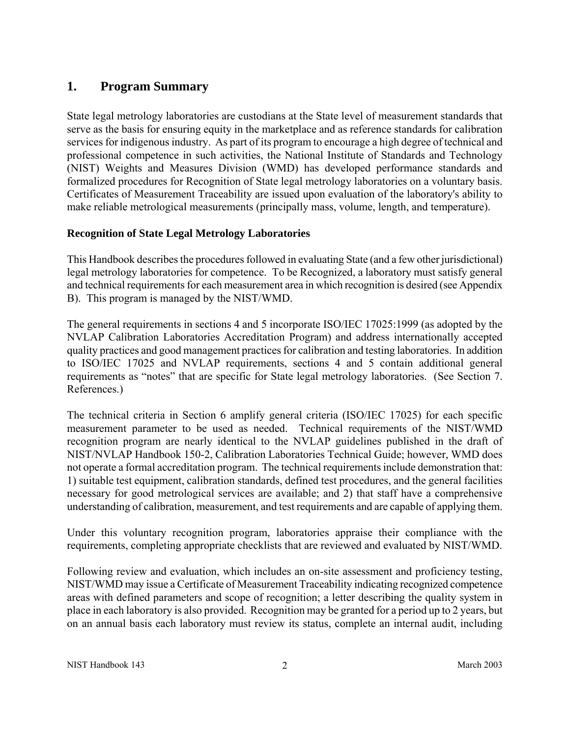# <span id="page-7-0"></span>**1. Program Summary**

State legal metrology laboratories are custodians at the State level of measurement standards that serve as the basis for ensuring equity in the marketplace and as reference standards for calibration services for indigenous industry. As part of its program to encourage a high degree of technical and professional competence in such activities, the National Institute of Standards and Technology (NIST) Weights and Measures Division (WMD) has developed performance standards and formalized procedures for Recognition of State legal metrology laboratories on a voluntary basis. Certificates of Measurement Traceability are issued upon evaluation of the laboratory's ability to make reliable metrological measurements (principally mass, volume, length, and temperature).

#### **Recognition of State Legal Metrology Laboratories**

This Handbook describes the procedures followed in evaluating State (and a few other jurisdictional) legal metrology laboratories for competence. To be Recognized, a laboratory must satisfy general and technical requirements for each measurement area in which recognition is desired (see Appendix B). This program is managed by the NIST/WMD.

The general requirements in sections 4 and 5 incorporate ISO/IEC 17025:1999 (as adopted by the NVLAP Calibration Laboratories Accreditation Program) and address internationally accepted quality practices and good management practices for calibration and testing laboratories. In addition to ISO/IEC 17025 and NVLAP requirements, sections 4 and 5 contain additional general requirements as "notes" that are specific for State legal metrology laboratories. (See Section 7. References.)

The technical criteria in Section 6 amplify general criteria (ISO/IEC 17025) for each specific measurement parameter to be used as needed. Technical requirements of the NIST/WMD recognition program are nearly identical to the NVLAP guidelines published in the draft of NIST/NVLAP Handbook 150-2, Calibration Laboratories Technical Guide; however, WMD does not operate a formal accreditation program. The technical requirements include demonstration that: 1) suitable test equipment, calibration standards, defined test procedures, and the general facilities necessary for good metrological services are available; and 2) that staff have a comprehensive understanding of calibration, measurement, and test requirements and are capable of applying them.

Under this voluntary recognition program, laboratories appraise their compliance with the requirements, completing appropriate checklists that are reviewed and evaluated by NIST/WMD.

Following review and evaluation, which includes an on-site assessment and proficiency testing, NIST/WMD may issue a Certificate of Measurement Traceability indicating recognized competence areas with defined parameters and scope of recognition; a letter describing the quality system in place in each laboratory is also provided. Recognition may be granted for a period up to 2 years, but on an annual basis each laboratory must review its status, complete an internal audit, including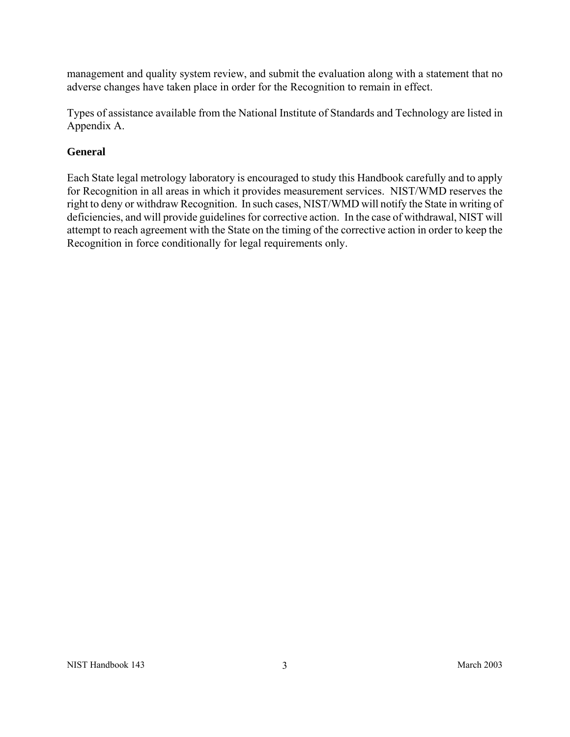management and quality system review, and submit the evaluation along with a statement that no adverse changes have taken place in order for the Recognition to remain in effect.

Types of assistance available from the National Institute of Standards and Technology are listed in Appendix A.

#### **General**

Each State legal metrology laboratory is encouraged to study this Handbook carefully and to apply for Recognition in all areas in which it provides measurement services. NIST/WMD reserves the right to deny or withdraw Recognition. In such cases, NIST/WMD will notify the State in writing of deficiencies, and will provide guidelines for corrective action. In the case of withdrawal, NIST will attempt to reach agreement with the State on the timing of the corrective action in order to keep the Recognition in force conditionally for legal requirements only.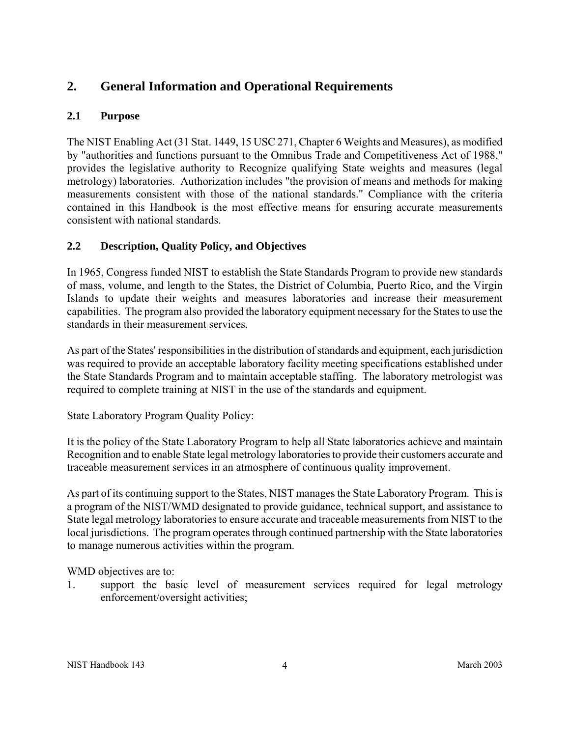# <span id="page-9-0"></span>**2. General Information and Operational Requirements**

#### **2.1 Purpose**

The NIST Enabling Act (31 Stat. 1449, 15 USC 271, Chapter 6 Weights and Measures), as modified by "authorities and functions pursuant to the Omnibus Trade and Competitiveness Act of 1988," provides the legislative authority to Recognize qualifying State weights and measures (legal metrology) laboratories. Authorization includes "the provision of means and methods for making measurements consistent with those of the national standards." Compliance with the criteria contained in this Handbook is the most effective means for ensuring accurate measurements consistent with national standards.

#### **2.2 Description, Quality Policy, and Objectives**

In 1965, Congress funded NIST to establish the State Standards Program to provide new standards of mass, volume, and length to the States, the District of Columbia, Puerto Rico, and the Virgin Islands to update their weights and measures laboratories and increase their measurement capabilities. The program also provided the laboratory equipment necessary for the States to use the standards in their measurement services.

As part of the States' responsibilities in the distribution of standards and equipment, each jurisdiction was required to provide an acceptable laboratory facility meeting specifications established under the State Standards Program and to maintain acceptable staffing. The laboratory metrologist was required to complete training at NIST in the use of the standards and equipment.

State Laboratory Program Quality Policy:

It is the policy of the State Laboratory Program to help all State laboratories achieve and maintain Recognition and to enable State legal metrology laboratories to provide their customers accurate and traceable measurement services in an atmosphere of continuous quality improvement.

As part of its continuing support to the States, NIST manages the State Laboratory Program. This is a program of the NIST/WMD designated to provide guidance, technical support, and assistance to State legal metrology laboratories to ensure accurate and traceable measurements from NIST to the local jurisdictions. The program operates through continued partnership with the State laboratories to manage numerous activities within the program.

WMD objectives are to:

1. support the basic level of measurement services required for legal metrology enforcement/oversight activities;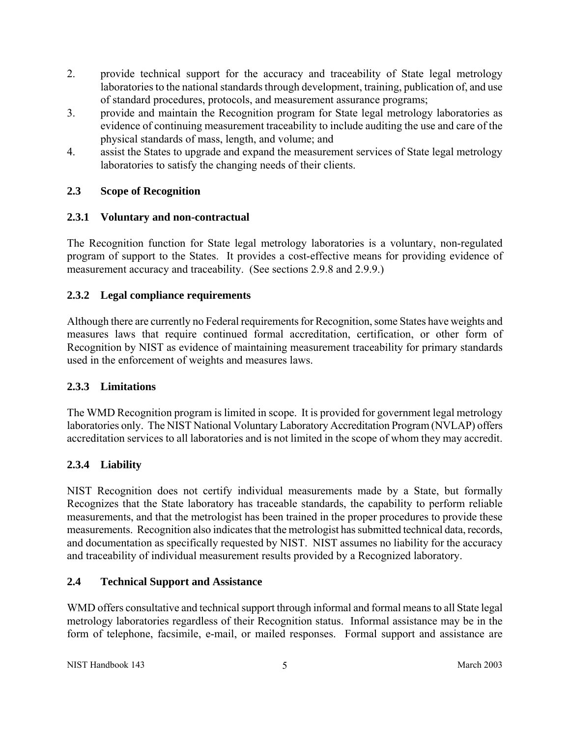- 2. provide technical support for the accuracy and traceability of State legal metrology laboratories to the national standards through development, training, publication of, and use of standard procedures, protocols, and measurement assurance programs;
- 3. provide and maintain the Recognition program for State legal metrology laboratories as evidence of continuing measurement traceability to include auditing the use and care of the physical standards of mass, length, and volume; and
- 4. assist the States to upgrade and expand the measurement services of State legal metrology laboratories to satisfy the changing needs of their clients.

#### **2.3 Scope of Recognition**

#### **2.3.1 Voluntary and non-contractual**

The Recognition function for State legal metrology laboratories is a voluntary, non-regulated program of support to the States. It provides a cost-effective means for providing evidence of measurement accuracy and traceability. (See sections 2.9.8 and 2.9.9.)

#### **2.3.2 Legal compliance requirements**

Although there are currently no Federal requirements for Recognition, some States have weights and measures laws that require continued formal accreditation, certification, or other form of Recognition by NIST as evidence of maintaining measurement traceability for primary standards used in the enforcement of weights and measures laws.

#### **2.3.3 Limitations**

The WMD Recognition program is limited in scope. It is provided for government legal metrology laboratories only. The NIST National Voluntary Laboratory Accreditation Program (NVLAP) offers accreditation services to all laboratories and is not limited in the scope of whom they may accredit.

#### **2.3.4 Liability**

NIST Recognition does not certify individual measurements made by a State, but formally Recognizes that the State laboratory has traceable standards, the capability to perform reliable measurements, and that the metrologist has been trained in the proper procedures to provide these measurements. Recognition also indicates that the metrologist has submitted technical data, records, and documentation as specifically requested by NIST. NIST assumes no liability for the accuracy and traceability of individual measurement results provided by a Recognized laboratory.

#### **2.4 Technical Support and Assistance**

WMD offers consultative and technical support through informal and formal means to all State legal metrology laboratories regardless of their Recognition status. Informal assistance may be in the form of telephone, facsimile, e-mail, or mailed responses. Formal support and assistance are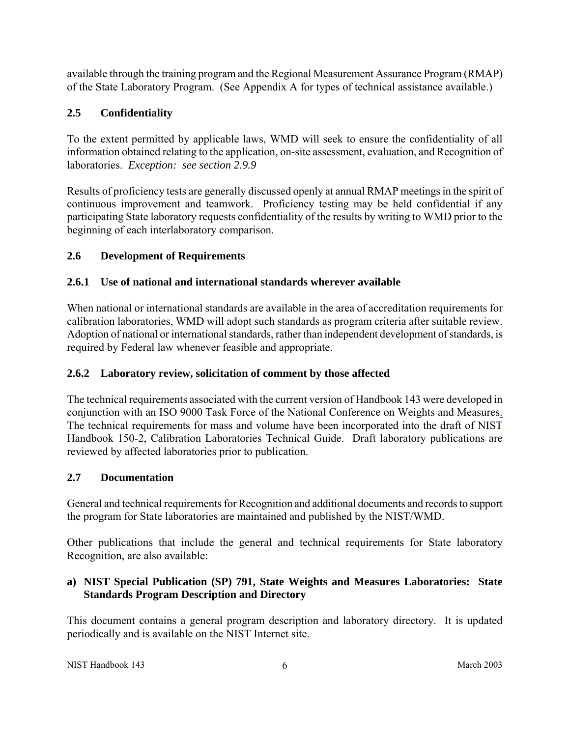available through the training program and the Regional Measurement Assurance Program (RMAP) of the State Laboratory Program. (See Appendix A for types of technical assistance available.)

### **2.5 Confidentiality**

To the extent permitted by applicable laws, WMD will seek to ensure the confidentiality of all information obtained relating to the application, on-site assessment, evaluation, and Recognition of laboratories. *Exception: see section 2.9.9* 

Results of proficiency tests are generally discussed openly at annual RMAP meetings in the spirit of continuous improvement and teamwork. Proficiency testing may be held confidential if any participating State laboratory requests confidentiality of the results by writing to WMD prior to the beginning of each interlaboratory comparison.

#### **2.6 Development of Requirements**

#### **2.6.1 Use of national and international standards wherever available**

When national or international standards are available in the area of accreditation requirements for calibration laboratories, WMD will adopt such standards as program criteria after suitable review. Adoption of national or international standards, rather than independent development of standards, is required by Federal law whenever feasible and appropriate.

#### **2.6.2 Laboratory review, solicitation of comment by those affected**

The technical requirements associated with the current version of Handbook 143 were developed in conjunction with an ISO 9000 Task Force of the National Conference on Weights and Measures. The technical requirements for mass and volume have been incorporated into the draft of NIST Handbook 150-2, Calibration Laboratories Technical Guide. Draft laboratory publications are reviewed by affected laboratories prior to publication.

#### **2.7 Documentation**

General and technical requirements for Recognition and additional documents and records to support the program for State laboratories are maintained and published by the NIST/WMD.

Other publications that include the general and technical requirements for State laboratory Recognition, are also available:

#### **a) NIST Special Publication (SP) 791, State Weights and Measures Laboratories: State Standards Program Description and Directory**

This document contains a general program description and laboratory directory. It is updated periodically and is available on the NIST Internet site.

NIST Handbook 143 6 March 2003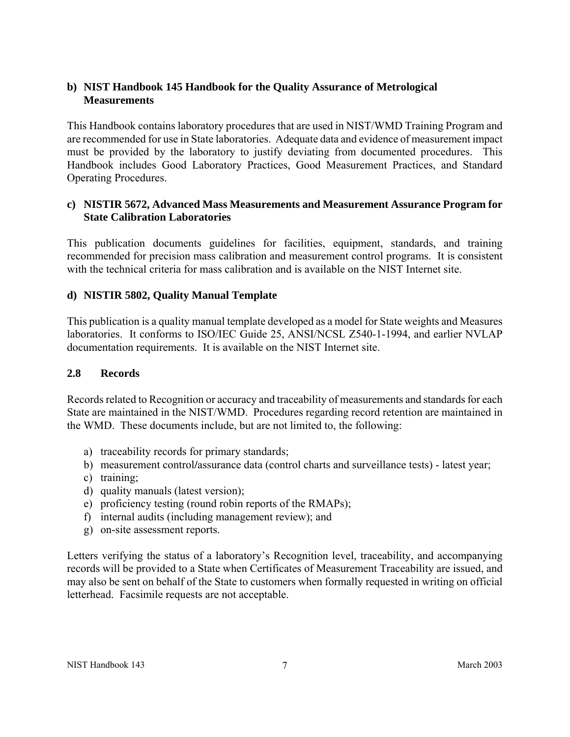#### **b) NIST Handbook 145 Handbook for the Quality Assurance of Metrological Measurements**

This Handbook contains laboratory procedures that are used in NIST/WMD Training Program and are recommended for use in State laboratories. Adequate data and evidence of measurement impact must be provided by the laboratory to justify deviating from documented procedures. This Handbook includes Good Laboratory Practices, Good Measurement Practices, and Standard Operating Procedures.

#### **c) NISTIR 5672, Advanced Mass Measurements and Measurement Assurance Program for State Calibration Laboratories**

This publication documents guidelines for facilities, equipment, standards, and training recommended for precision mass calibration and measurement control programs. It is consistent with the technical criteria for mass calibration and is available on the NIST Internet site.

#### **d) NISTIR 5802, Quality Manual Template**

This publication is a quality manual template developed as a model for State weights and Measures laboratories. It conforms to ISO/IEC Guide 25, ANSI/NCSL Z540-1-1994, and earlier NVLAP documentation requirements. It is available on the NIST Internet site.

#### **2.8 Records**

Records related to Recognition or accuracy and traceability of measurements and standards for each State are maintained in the NIST/WMD. Procedures regarding record retention are maintained in the WMD. These documents include, but are not limited to, the following:

- a) traceability records for primary standards;
- b) measurement control**/**assurance data (control charts and surveillance tests) latest year;
- c) training;
- d) quality manuals (latest version);
- e) proficiency testing (round robin reports of the RMAPs);
- f) internal audits (including management review); and
- g) on-site assessment reports.

Letters verifying the status of a laboratory's Recognition level, traceability, and accompanying records will be provided to a State when Certificates of Measurement Traceability are issued, and may also be sent on behalf of the State to customers when formally requested in writing on official letterhead. Facsimile requests are not acceptable.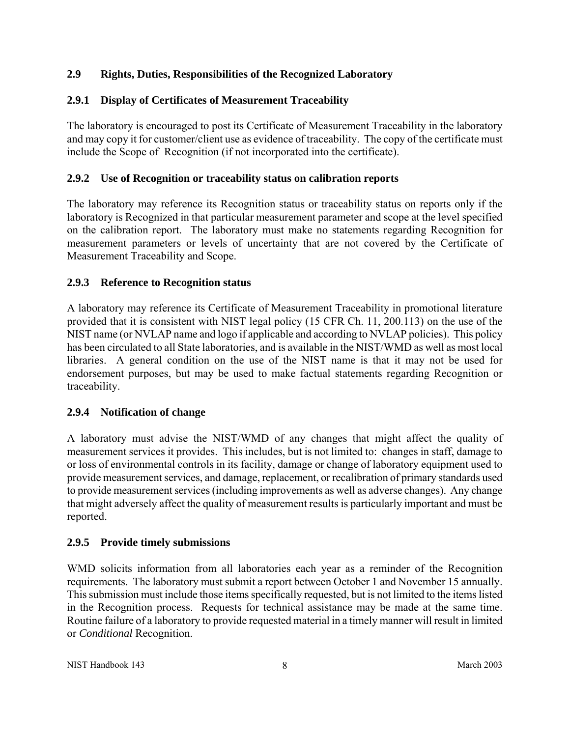#### **2.9 Rights, Duties, Responsibilities of the Recognized Laboratory**

#### **2.9.1 Display of Certificates of Measurement Traceability**

The laboratory is encouraged to post its Certificate of Measurement Traceability in the laboratory and may copy it for customer/client use as evidence of traceability. The copy of the certificate must include the Scope of Recognition (if not incorporated into the certificate).

#### **2.9.2 Use of Recognition or traceability status on calibration reports**

The laboratory may reference its Recognition status or traceability status on reports only if the laboratory is Recognized in that particular measurement parameter and scope at the level specified on the calibration report. The laboratory must make no statements regarding Recognition for measurement parameters or levels of uncertainty that are not covered by the Certificate of Measurement Traceability and Scope.

#### **2.9.3 Reference to Recognition status**

A laboratory may reference its Certificate of Measurement Traceability in promotional literature provided that it is consistent with NIST legal policy (15 CFR Ch. 11, 200.113) on the use of the NIST name (or NVLAP name and logo if applicable and according to NVLAP policies). This policy has been circulated to all State laboratories, and is available in the NIST/WMD as well as most local libraries. A general condition on the use of the NIST name is that it may not be used for endorsement purposes, but may be used to make factual statements regarding Recognition or traceability.

#### **2.9.4 Notification of change**

A laboratory must advise the NIST/WMD of any changes that might affect the quality of measurement services it provides. This includes, but is not limited to: changes in staff, damage to or loss of environmental controls in its facility, damage or change of laboratory equipment used to provide measurement services, and damage, replacement, or recalibration of primary standards used to provide measurement services (including improvements as well as adverse changes). Any change that might adversely affect the quality of measurement results is particularly important and must be reported.

#### **2.9.5 Provide timely submissions**

WMD solicits information from all laboratories each year as a reminder of the Recognition requirements. The laboratory must submit a report between October 1 and November 15 annually. This submission must include those items specifically requested, but is not limited to the items listed in the Recognition process. Requests for technical assistance may be made at the same time. Routine failure of a laboratory to provide requested material in a timely manner will result in limited or *Conditional* Recognition.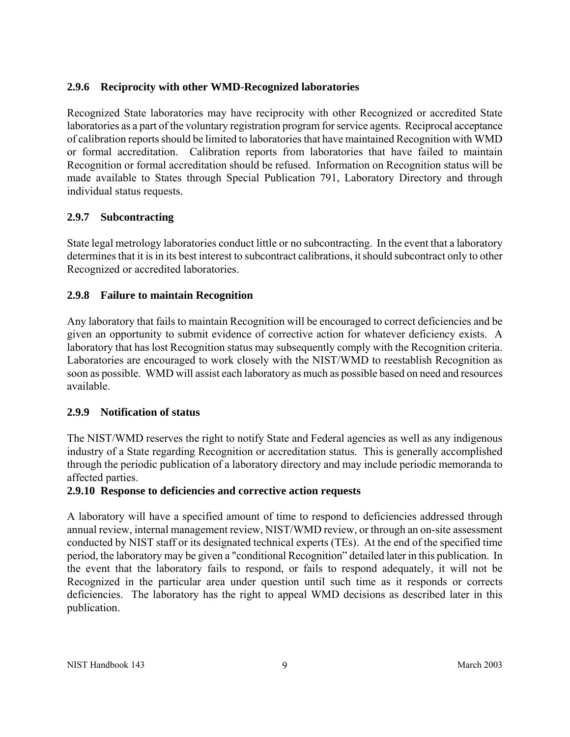#### **2.9.6 Reciprocity with other WMD-Recognized laboratories**

Recognized State laboratories may have reciprocity with other Recognized or accredited State laboratories as a part of the voluntary registration program for service agents. Reciprocal acceptance of calibration reports should be limited to laboratories that have maintained Recognition with WMD or formal accreditation. Calibration reports from laboratories that have failed to maintain Recognition or formal accreditation should be refused. Information on Recognition status will be made available to States through Special Publication 791, Laboratory Directory and through individual status requests.

#### **2.9.7 Subcontracting**

State legal metrology laboratories conduct little or no subcontracting. In the event that a laboratory determines that it is in its best interest to subcontract calibrations, it should subcontract only to other Recognized or accredited laboratories.

#### **2.9.8 Failure to maintain Recognition**

Any laboratory that fails to maintain Recognition will be encouraged to correct deficiencies and be given an opportunity to submit evidence of corrective action for whatever deficiency exists. A laboratory that has lost Recognition status may subsequently comply with the Recognition criteria. Laboratories are encouraged to work closely with the NIST/WMD to reestablish Recognition as soon as possible. WMD will assist each laboratory as much as possible based on need and resources available.

#### **2.9.9 Notification of status**

The NIST/WMD reserves the right to notify State and Federal agencies as well as any indigenous industry of a State regarding Recognition or accreditation status. This is generally accomplished through the periodic publication of a laboratory directory and may include periodic memoranda to affected parties.

#### **2.9.10 Response to deficiencies and corrective action requests**

A laboratory will have a specified amount of time to respond to deficiencies addressed through annual review, internal management review, NIST/WMD review, or through an on-site assessment conducted by NIST staff or its designated technical experts (TEs). At the end of the specified time period, the laboratory may be given a "conditional Recognition" detailed later in this publication. In the event that the laboratory fails to respond, or fails to respond adequately, it will not be Recognized in the particular area under question until such time as it responds or corrects deficiencies. The laboratory has the right to appeal WMD decisions as described later in this publication.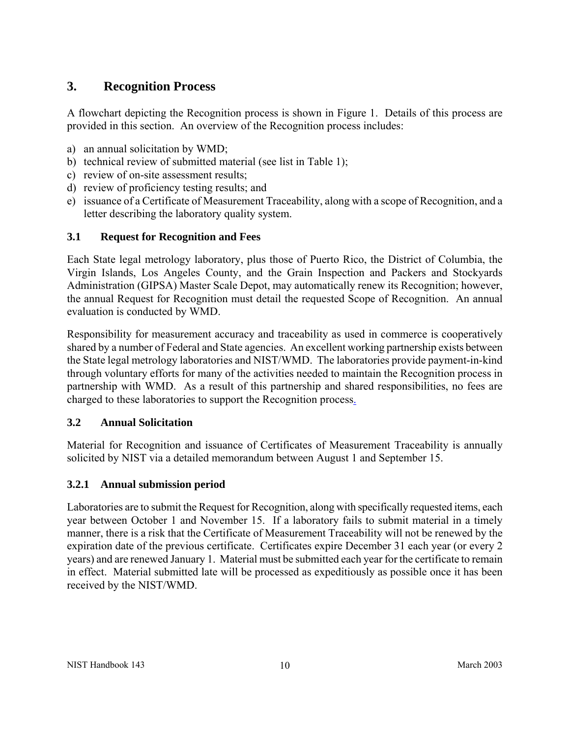# <span id="page-15-0"></span>**3. Recognition Process**

A flowchart depicting the Recognition process is shown in Figure 1. Details of this process are provided in this section. An overview of the Recognition process includes:

- a) an annual solicitation by WMD;
- b) technical review of submitted material (see list in Table 1);
- c) review of on-site assessment results;
- d) review of proficiency testing results; and
- e) issuance of a Certificate of Measurement Traceability, along with a scope of Recognition, and a letter describing the laboratory quality system.

#### **3.1 Request for Recognition and Fees**

Each State legal metrology laboratory, plus those of Puerto Rico, the District of Columbia, the Virgin Islands, Los Angeles County, and the Grain Inspection and Packers and Stockyards Administration (GIPSA) Master Scale Depot, may automatically renew its Recognition; however, the annual Request for Recognition must detail the requested Scope of Recognition. An annual evaluation is conducted by WMD.

Responsibility for measurement accuracy and traceability as used in commerce is cooperatively shared by a number of Federal and State agencies. An excellent working partnership exists between the State legal metrology laboratories and NIST/WMD. The laboratories provide payment-in-kind through voluntary efforts for many of the activities needed to maintain the Recognition process in partnership with WMD. As a result of this partnership and shared responsibilities, no fees are charged to these laboratories to support the Recognition process.

#### **3.2 Annual Solicitation**

Material for Recognition and issuance of Certificates of Measurement Traceability is annually solicited by NIST via a detailed memorandum between August 1 and September 15.

#### **3.2.1 Annual submission period**

Laboratories are to submit the Request for Recognition, along with specifically requested items, each year between October 1 and November 15. If a laboratory fails to submit material in a timely manner, there is a risk that the Certificate of Measurement Traceability will not be renewed by the expiration date of the previous certificate. Certificates expire December 31 each year (or every 2 years) and are renewed January 1. Material must be submitted each year for the certificate to remain in effect. Material submitted late will be processed as expeditiously as possible once it has been received by the NIST/WMD.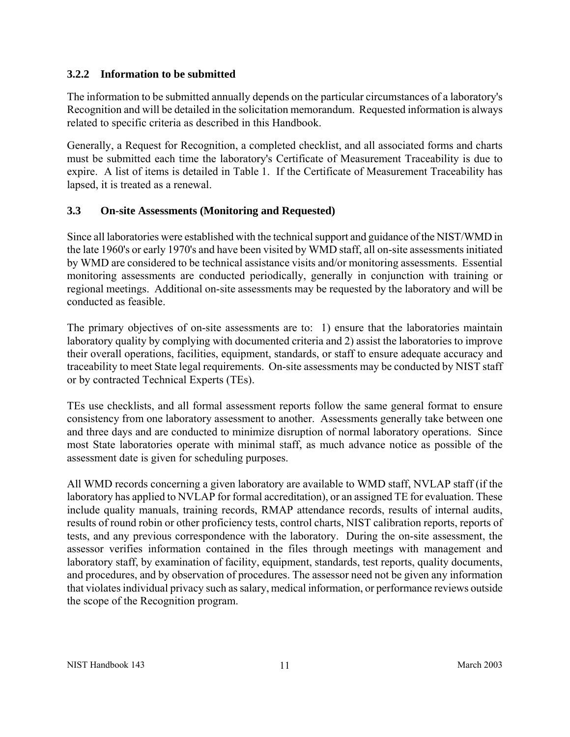#### **3.2.2 Information to be submitted**

The information to be submitted annually depends on the particular circumstances of a laboratory's Recognition and will be detailed in the solicitation memorandum. Requested information is always related to specific criteria as described in this Handbook.

Generally, a Request for Recognition, a completed checklist, and all associated forms and charts must be submitted each time the laboratory's Certificate of Measurement Traceability is due to expire. A list of items is detailed in Table 1. If the Certificate of Measurement Traceability has lapsed, it is treated as a renewal.

#### **3.3 On-site Assessments (Monitoring and Requested)**

Since all laboratories were established with the technical support and guidance of the NIST/WMD in the late 1960's or early 1970's and have been visited by WMD staff, all on-site assessments initiated by WMD are considered to be technical assistance visits and/or monitoring assessments. Essential monitoring assessments are conducted periodically, generally in conjunction with training or regional meetings. Additional on-site assessments may be requested by the laboratory and will be conducted as feasible.

The primary objectives of on-site assessments are to: 1) ensure that the laboratories maintain laboratory quality by complying with documented criteria and 2) assist the laboratories to improve their overall operations, facilities, equipment, standards, or staff to ensure adequate accuracy and traceability to meet State legal requirements. On-site assessments may be conducted by NIST staff or by contracted Technical Experts (TEs).

TEs use checklists, and all formal assessment reports follow the same general format to ensure consistency from one laboratory assessment to another. Assessments generally take between one and three days and are conducted to minimize disruption of normal laboratory operations. Since most State laboratories operate with minimal staff, as much advance notice as possible of the assessment date is given for scheduling purposes.

All WMD records concerning a given laboratory are available to WMD staff, NVLAP staff (if the laboratory has applied to NVLAP for formal accreditation), or an assigned TE for evaluation. These include quality manuals, training records, RMAP attendance records, results of internal audits, results of round robin or other proficiency tests, control charts, NIST calibration reports, reports of tests, and any previous correspondence with the laboratory. During the on-site assessment, the assessor verifies information contained in the files through meetings with management and laboratory staff, by examination of facility, equipment, standards, test reports, quality documents, and procedures, and by observation of procedures. The assessor need not be given any information that violates individual privacy such as salary, medical information, or performance reviews outside the scope of the Recognition program.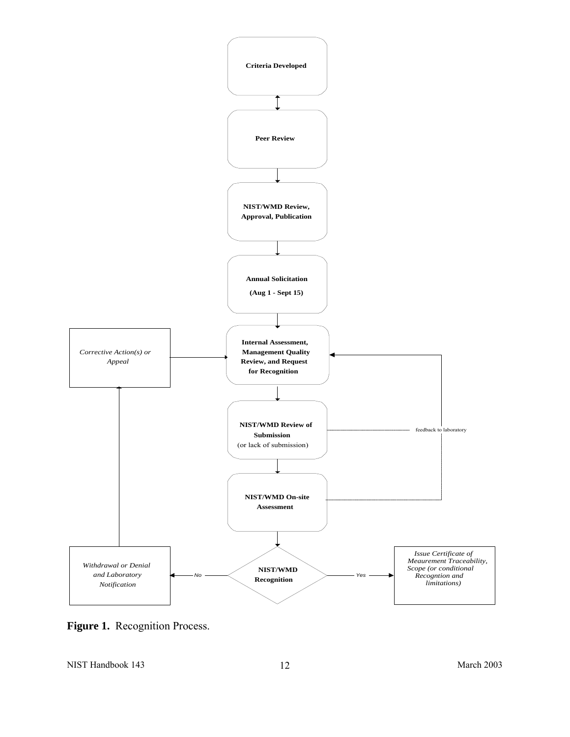

**Figure 1.** Recognition Process.

NIST Handbook 143 12 March 2003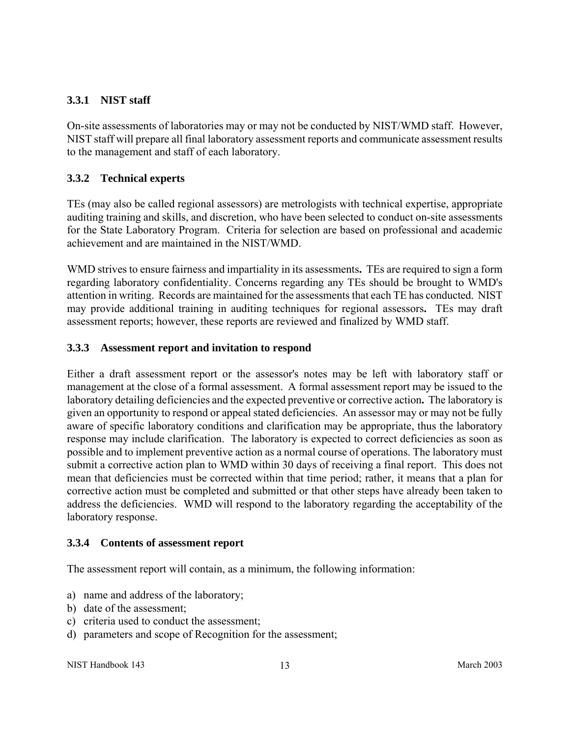#### **3.3.1 NIST staff**

On-site assessments of laboratories may or may not be conducted by NIST/WMD staff. However, NIST staff will prepare all final laboratory assessment reports and communicate assessment results to the management and staff of each laboratory.

#### **3.3.2 Technical experts**

TEs (may also be called regional assessors) are metrologists with technical expertise, appropriate auditing training and skills, and discretion, who have been selected to conduct on-site assessments for the State Laboratory Program. Criteria for selection are based on professional and academic achievement and are maintained in the NIST/WMD.

WMD strives to ensure fairness and impartiality in its assessments**.** TEs are required to sign a form regarding laboratory confidentiality. Concerns regarding any TEs should be brought to WMD's attention in writing. Records are maintained for the assessments that each TE has conducted. NIST may provide additional training in auditing techniques for regional assessors**.** TEs may draft assessment reports; however, these reports are reviewed and finalized by WMD staff.

#### **3.3.3 Assessment report and invitation to respond**

Either a draft assessment report or the assessor's notes may be left with laboratory staff or management at the close of a formal assessment. A formal assessment report may be issued to the laboratory detailing deficiencies and the expected preventive or corrective action**.** The laboratory is given an opportunity to respond or appeal stated deficiencies. An assessor may or may not be fully aware of specific laboratory conditions and clarification may be appropriate, thus the laboratory response may include clarification. The laboratory is expected to correct deficiencies as soon as possible and to implement preventive action as a normal course of operations. The laboratory must submit a corrective action plan to WMD within 30 days of receiving a final report. This does not mean that deficiencies must be corrected within that time period; rather, it means that a plan for corrective action must be completed and submitted or that other steps have already been taken to address the deficiencies. WMD will respond to the laboratory regarding the acceptability of the laboratory response.

#### **3.3.4 Contents of assessment report**

The assessment report will contain, as a minimum, the following information:

- a) name and address of the laboratory;
- b) date of the assessment;
- c) criteria used to conduct the assessment;
- d) parameters and scope of Recognition for the assessment;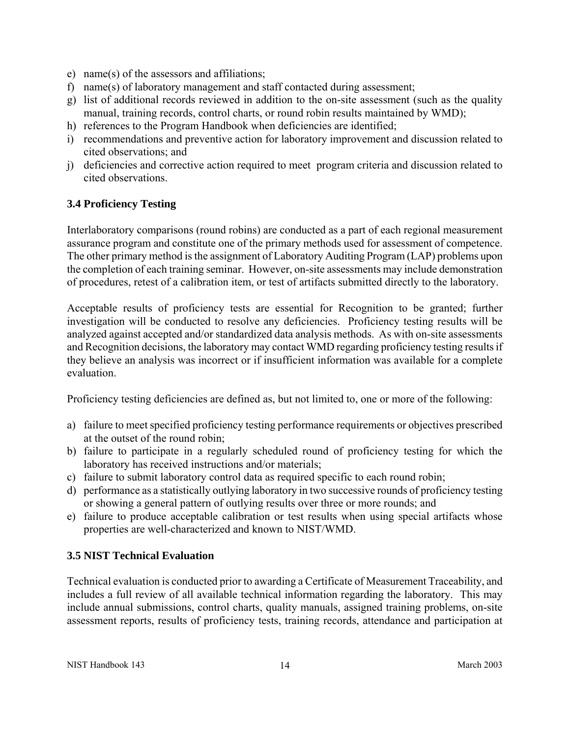- e) name(s) of the assessors and affiliations;
- f) name(s) of laboratory management and staff contacted during assessment;
- g) list of additional records reviewed in addition to the on-site assessment (such as the quality manual, training records, control charts, or round robin results maintained by WMD);
- h) references to the Program Handbook when deficiencies are identified;
- i) recommendations and preventive action for laboratory improvement and discussion related to cited observations; and
- j) deficiencies and corrective action required to meet program criteria and discussion related to cited observations.

### **3.4 Proficiency Testing**

Interlaboratory comparisons (round robins) are conducted as a part of each regional measurement assurance program and constitute one of the primary methods used for assessment of competence. The other primary method is the assignment of Laboratory Auditing Program (LAP) problems upon the completion of each training seminar. However, on-site assessments may include demonstration of procedures, retest of a calibration item, or test of artifacts submitted directly to the laboratory.

Acceptable results of proficiency tests are essential for Recognition to be granted; further investigation will be conducted to resolve any deficiencies. Proficiency testing results will be analyzed against accepted and/or standardized data analysis methods. As with on-site assessments and Recognition decisions, the laboratory may contact WMD regarding proficiency testing results if they believe an analysis was incorrect or if insufficient information was available for a complete evaluation.

Proficiency testing deficiencies are defined as, but not limited to, one or more of the following:

- a) failure to meet specified proficiency testing performance requirements or objectives prescribed at the outset of the round robin;
- b) failure to participate in a regularly scheduled round of proficiency testing for which the laboratory has received instructions and/or materials;
- c) failure to submit laboratory control data as required specific to each round robin;
- d) performance as a statistically outlying laboratory in two successive rounds of proficiency testing or showing a general pattern of outlying results over three or more rounds; and
- e) failure to produce acceptable calibration or test results when using special artifacts whose properties are well-characterized and known to NIST/WMD.

## **3.5 NIST Technical Evaluation**

Technical evaluation is conducted prior to awarding a Certificate of Measurement Traceability, and includes a full review of all available technical information regarding the laboratory. This may include annual submissions, control charts, quality manuals, assigned training problems, on-site assessment reports, results of proficiency tests, training records, attendance and participation at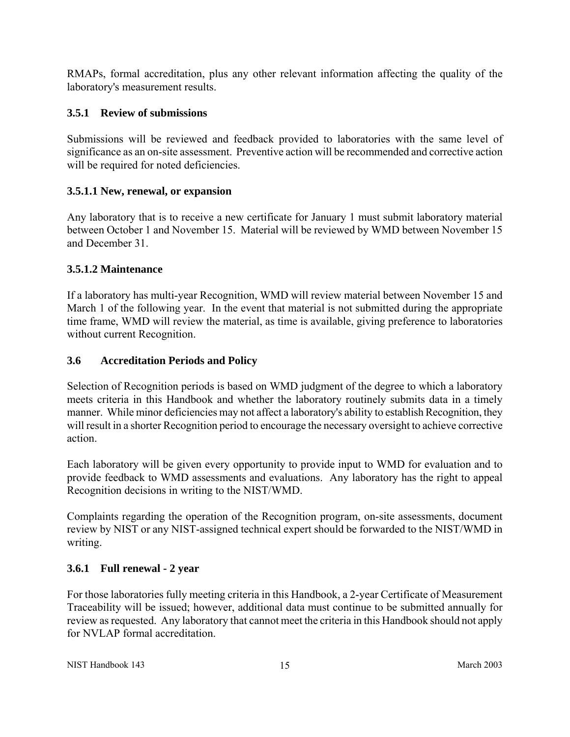RMAPs, formal accreditation, plus any other relevant information affecting the quality of the laboratory's measurement results.

#### **3.5.1 Review of submissions**

Submissions will be reviewed and feedback provided to laboratories with the same level of significance as an on-site assessment. Preventive action will be recommended and corrective action will be required for noted deficiencies.

#### **3.5.1.1 New, renewal, or expansion**

Any laboratory that is to receive a new certificate for January 1 must submit laboratory material between October 1 and November 15. Material will be reviewed by WMD between November 15 and December 31.

#### **3.5.1.2 Maintenance**

If a laboratory has multi-year Recognition, WMD will review material between November 15 and March 1 of the following year. In the event that material is not submitted during the appropriate time frame, WMD will review the material, as time is available, giving preference to laboratories without current Recognition.

#### **3.6 Accreditation Periods and Policy**

Selection of Recognition periods is based on WMD judgment of the degree to which a laboratory meets criteria in this Handbook and whether the laboratory routinely submits data in a timely manner. While minor deficiencies may not affect a laboratory's ability to establish Recognition, they will result in a shorter Recognition period to encourage the necessary oversight to achieve corrective action.

Each laboratory will be given every opportunity to provide input to WMD for evaluation and to provide feedback to WMD assessments and evaluations. Any laboratory has the right to appeal Recognition decisions in writing to the NIST/WMD.

Complaints regarding the operation of the Recognition program, on-site assessments, document review by NIST or any NIST-assigned technical expert should be forwarded to the NIST/WMD in writing.

#### **3.6.1 Full renewal - 2 year**

For those laboratories fully meeting criteria in this Handbook, a 2-year Certificate of Measurement Traceability will be issued; however, additional data must continue to be submitted annually for review as requested. Any laboratory that cannot meet the criteria in this Handbook should not apply for NVLAP formal accreditation.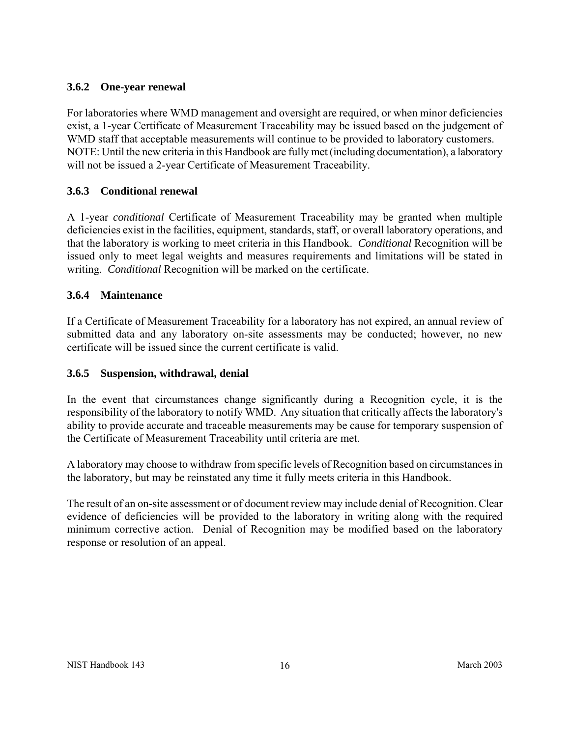#### **3.6.2 One-year renewal**

For laboratories where WMD management and oversight are required, or when minor deficiencies exist, a 1-year Certificate of Measurement Traceability may be issued based on the judgement of WMD staff that acceptable measurements will continue to be provided to laboratory customers. NOTE: Until the new criteria in this Handbook are fully met (including documentation), a laboratory will not be issued a 2-year Certificate of Measurement Traceability.

#### **3.6.3 Conditional renewal**

A 1-year *conditional* Certificate of Measurement Traceability may be granted when multiple deficiencies exist in the facilities, equipment, standards, staff, or overall laboratory operations, and that the laboratory is working to meet criteria in this Handbook. *Conditional* Recognition will be issued only to meet legal weights and measures requirements and limitations will be stated in writing. *Conditional* Recognition will be marked on the certificate.

#### **3.6.4 Maintenance**

If a Certificate of Measurement Traceability for a laboratory has not expired, an annual review of submitted data and any laboratory on-site assessments may be conducted; however, no new certificate will be issued since the current certificate is valid.

#### **3.6.5 Suspension, withdrawal, denial**

In the event that circumstances change significantly during a Recognition cycle, it is the responsibility of the laboratory to notify WMD. Any situation that critically affects the laboratory's ability to provide accurate and traceable measurements may be cause for temporary suspension of the Certificate of Measurement Traceability until criteria are met.

A laboratory may choose to withdraw from specific levels of Recognition based on circumstances in the laboratory, but may be reinstated any time it fully meets criteria in this Handbook.

The result of an on-site assessment or of document review may include denial of Recognition. Clear evidence of deficiencies will be provided to the laboratory in writing along with the required minimum corrective action. Denial of Recognition may be modified based on the laboratory response or resolution of an appeal.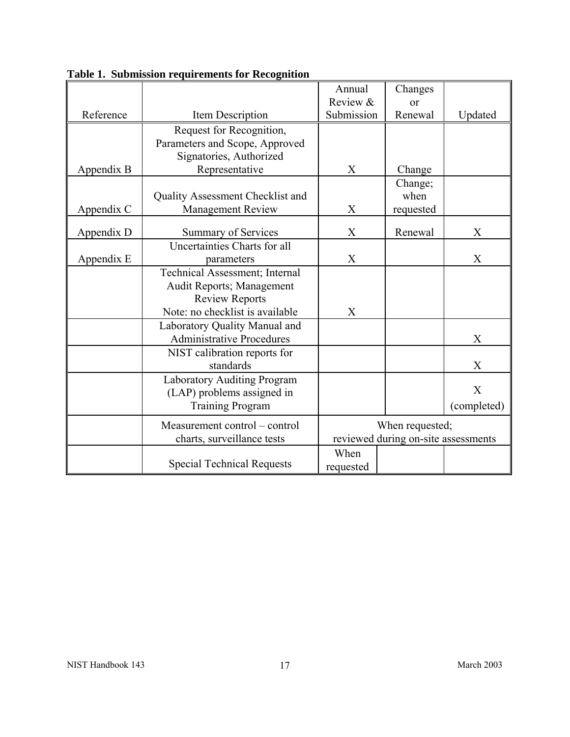|            |                                   | Annual                              | Changes   |             |
|------------|-----------------------------------|-------------------------------------|-----------|-------------|
|            |                                   | Review &                            | or        |             |
| Reference  | Item Description                  | Submission                          | Renewal   | Updated     |
|            | Request for Recognition,          |                                     |           |             |
|            | Parameters and Scope, Approved    |                                     |           |             |
|            | Signatories, Authorized           |                                     |           |             |
| Appendix B | Representative                    | X                                   | Change    |             |
|            |                                   |                                     | Change;   |             |
|            | Quality Assessment Checklist and  |                                     | when      |             |
| Appendix C | Management Review                 | X                                   | requested |             |
| Appendix D | <b>Summary of Services</b>        | X                                   | Renewal   | X           |
|            | Uncertainties Charts for all      |                                     |           |             |
| Appendix E | parameters                        | X                                   |           | X           |
|            | Technical Assessment; Internal    |                                     |           |             |
|            | Audit Reports; Management         |                                     |           |             |
|            | <b>Review Reports</b>             |                                     |           |             |
|            | Note: no checklist is available   | X                                   |           |             |
|            | Laboratory Quality Manual and     |                                     |           |             |
|            | <b>Administrative Procedures</b>  |                                     |           | X           |
|            | NIST calibration reports for      |                                     |           |             |
|            | standards                         |                                     |           | X           |
|            | Laboratory Auditing Program       |                                     |           |             |
|            | (LAP) problems assigned in        |                                     |           | X           |
|            | <b>Training Program</b>           |                                     |           | (completed) |
|            | Measurement control – control     | When requested;                     |           |             |
|            | charts, surveillance tests        | reviewed during on-site assessments |           |             |
|            |                                   | When                                |           |             |
|            | <b>Special Technical Requests</b> | requested                           |           |             |

<span id="page-22-0"></span>**Table 1. Submission requirements for Recognition**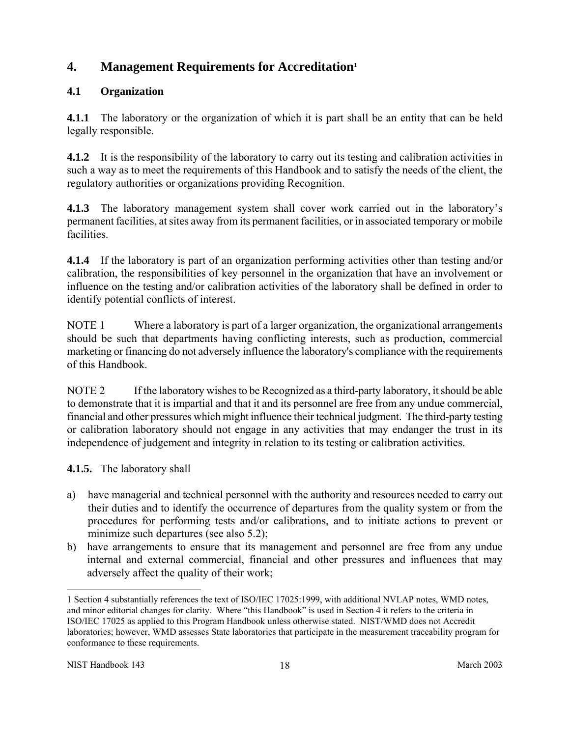# <span id="page-23-0"></span>**4. Management Requirements for Accreditation1**

### **4.1 Organization**

**4.1.1** The laboratory or the organization of which it is part shall be an entity that can be held legally responsible.

**4.1.2** It is the responsibility of the laboratory to carry out its testing and calibration activities in such a way as to meet the requirements of this Handbook and to satisfy the needs of the client, the regulatory authorities or organizations providing Recognition.

**4.1.3** The laboratory management system shall cover work carried out in the laboratory's permanent facilities, at sites away from its permanent facilities, or in associated temporary or mobile facilities.

**4.1.4** If the laboratory is part of an organization performing activities other than testing and/or calibration, the responsibilities of key personnel in the organization that have an involvement or influence on the testing and/or calibration activities of the laboratory shall be defined in order to identify potential conflicts of interest.

NOTE 1 Where a laboratory is part of a larger organization, the organizational arrangements should be such that departments having conflicting interests, such as production, commercial marketing or financing do not adversely influence the laboratory's compliance with the requirements of this Handbook.

NOTE 2 If the laboratory wishes to be Recognized as a third-party laboratory, it should be able to demonstrate that it is impartial and that it and its personnel are free from any undue commercial, financial and other pressures which might influence their technical judgment. The third-party testing or calibration laboratory should not engage in any activities that may endanger the trust in its independence of judgement and integrity in relation to its testing or calibration activities.

**4.1.5.** The laboratory shall

- a) have managerial and technical personnel with the authority and resources needed to carry out their duties and to identify the occurrence of departures from the quality system or from the procedures for performing tests and/or calibrations, and to initiate actions to prevent or minimize such departures (see also 5.2);
- b) have arrangements to ensure that its management and personnel are free from any undue internal and external commercial, financial and other pressures and influences that may adversely affect the quality of their work;

l 1 Section 4 substantially references the text of ISO/IEC 17025:1999, with additional NVLAP notes, WMD notes, and minor editorial changes for clarity. Where "this Handbook" is used in Section 4 it refers to the criteria in ISO/IEC 17025 as applied to this Program Handbook unless otherwise stated. NIST/WMD does not Accredit laboratories; however, WMD assesses State laboratories that participate in the measurement traceability program for conformance to these requirements.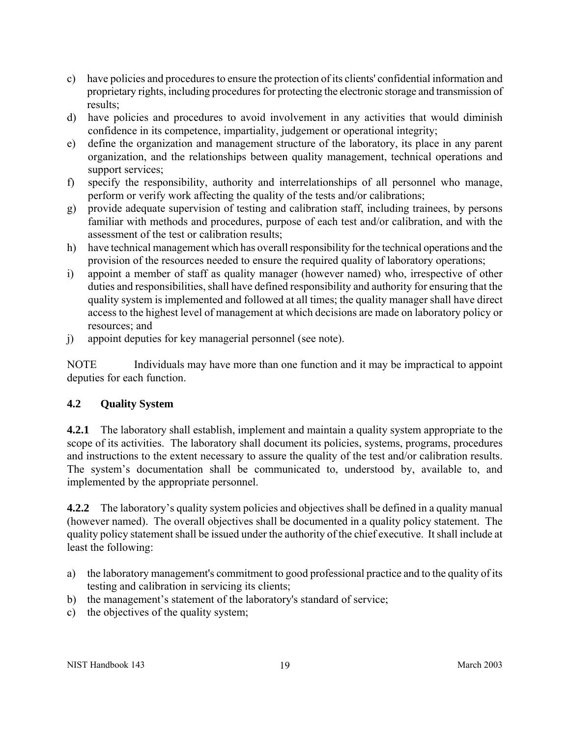- c) have policies and procedures to ensure the protection of its clients' confidential information and proprietary rights, including procedures for protecting the electronic storage and transmission of results;
- d) have policies and procedures to avoid involvement in any activities that would diminish confidence in its competence, impartiality, judgement or operational integrity;
- e) define the organization and management structure of the laboratory, its place in any parent organization, and the relationships between quality management, technical operations and support services:
- f) specify the responsibility, authority and interrelationships of all personnel who manage, perform or verify work affecting the quality of the tests and/or calibrations;
- g) provide adequate supervision of testing and calibration staff, including trainees, by persons familiar with methods and procedures, purpose of each test and/or calibration, and with the assessment of the test or calibration results;
- h) have technical management which has overall responsibility for the technical operations and the provision of the resources needed to ensure the required quality of laboratory operations;
- i) appoint a member of staff as quality manager (however named) who, irrespective of other duties and responsibilities, shall have defined responsibility and authority for ensuring that the quality system is implemented and followed at all times; the quality manager shall have direct access to the highest level of management at which decisions are made on laboratory policy or resources; and
- j) appoint deputies for key managerial personnel (see note).

NOTE Individuals may have more than one function and it may be impractical to appoint deputies for each function.

#### **4.2 Quality System**

**4.2.1** The laboratory shall establish, implement and maintain a quality system appropriate to the scope of its activities. The laboratory shall document its policies, systems, programs, procedures and instructions to the extent necessary to assure the quality of the test and/or calibration results. The system's documentation shall be communicated to, understood by, available to, and implemented by the appropriate personnel.

**4.2.2** The laboratory's quality system policies and objectives shall be defined in a quality manual (however named). The overall objectives shall be documented in a quality policy statement. The quality policy statement shall be issued under the authority of the chief executive. It shall include at least the following:

- a) the laboratory management's commitment to good professional practice and to the quality of its testing and calibration in servicing its clients;
- b) the management's statement of the laboratory's standard of service;
- c) the objectives of the quality system;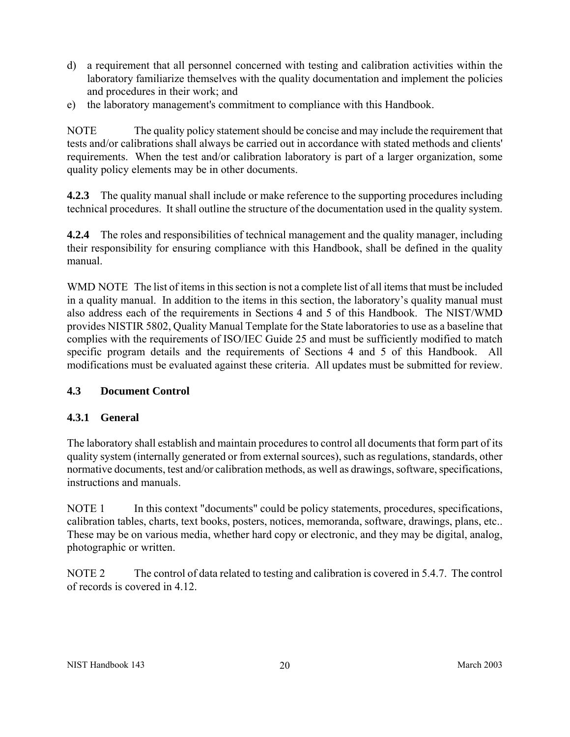- d) a requirement that all personnel concerned with testing and calibration activities within the laboratory familiarize themselves with the quality documentation and implement the policies and procedures in their work; and
- e) the laboratory management's commitment to compliance with this Handbook.

NOTE The quality policy statement should be concise and may include the requirement that tests and/or calibrations shall always be carried out in accordance with stated methods and clients' requirements. When the test and/or calibration laboratory is part of a larger organization, some quality policy elements may be in other documents.

**4.2.3** The quality manual shall include or make reference to the supporting procedures including technical procedures. It shall outline the structure of the documentation used in the quality system.

**4.2.4** The roles and responsibilities of technical management and the quality manager, including their responsibility for ensuring compliance with this Handbook, shall be defined in the quality manual.

WMD NOTE The list of items in this section is not a complete list of all items that must be included in a quality manual. In addition to the items in this section, the laboratory's quality manual must also address each of the requirements in Sections 4 and 5 of this Handbook. The NIST/WMD provides NISTIR 5802, Quality Manual Template for the State laboratories to use as a baseline that complies with the requirements of ISO/IEC Guide 25 and must be sufficiently modified to match specific program details and the requirements of Sections 4 and 5 of this Handbook. All modifications must be evaluated against these criteria. All updates must be submitted for review.

#### **4.3 Document Control**

#### **4.3.1 General**

The laboratory shall establish and maintain procedures to control all documents that form part of its quality system (internally generated or from external sources), such as regulations, standards, other normative documents, test and/or calibration methods, as well as drawings, software, specifications, instructions and manuals.

NOTE 1 In this context "documents" could be policy statements, procedures, specifications, calibration tables, charts, text books, posters, notices, memoranda, software, drawings, plans, etc.. These may be on various media, whether hard copy or electronic, and they may be digital, analog, photographic or written.

NOTE 2 The control of data related to testing and calibration is covered in 5.4.7. The control of records is covered in 4.12.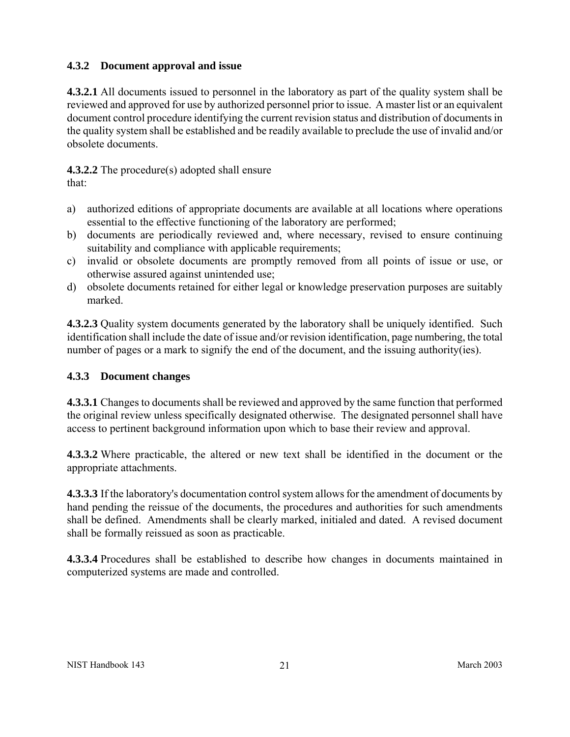#### **4.3.2 Document approval and issue**

**4.3.2.1** All documents issued to personnel in the laboratory as part of the quality system shall be reviewed and approved for use by authorized personnel prior to issue. A master list or an equivalent document control procedure identifying the current revision status and distribution of documents in the quality system shall be established and be readily available to preclude the use of invalid and/or obsolete documents.

**4.3.2.2** The procedure(s) adopted shall ensure that:

- a) authorized editions of appropriate documents are available at all locations where operations essential to the effective functioning of the laboratory are performed;
- b) documents are periodically reviewed and, where necessary, revised to ensure continuing suitability and compliance with applicable requirements;
- c) invalid or obsolete documents are promptly removed from all points of issue or use, or otherwise assured against unintended use;
- d) obsolete documents retained for either legal or knowledge preservation purposes are suitably marked.

**4.3.2.3** Quality system documents generated by the laboratory shall be uniquely identified. Such identification shall include the date of issue and/or revision identification, page numbering, the total number of pages or a mark to signify the end of the document, and the issuing authority(ies).

#### **4.3.3 Document changes**

**4.3.3.1** Changes to documents shall be reviewed and approved by the same function that performed the original review unless specifically designated otherwise. The designated personnel shall have access to pertinent background information upon which to base their review and approval.

**4.3.3.2** Where practicable, the altered or new text shall be identified in the document or the appropriate attachments.

**4.3.3.3** If the laboratory's documentation control system allows for the amendment of documents by hand pending the reissue of the documents, the procedures and authorities for such amendments shall be defined. Amendments shall be clearly marked, initialed and dated. A revised document shall be formally reissued as soon as practicable.

**4.3.3.4** Procedures shall be established to describe how changes in documents maintained in computerized systems are made and controlled.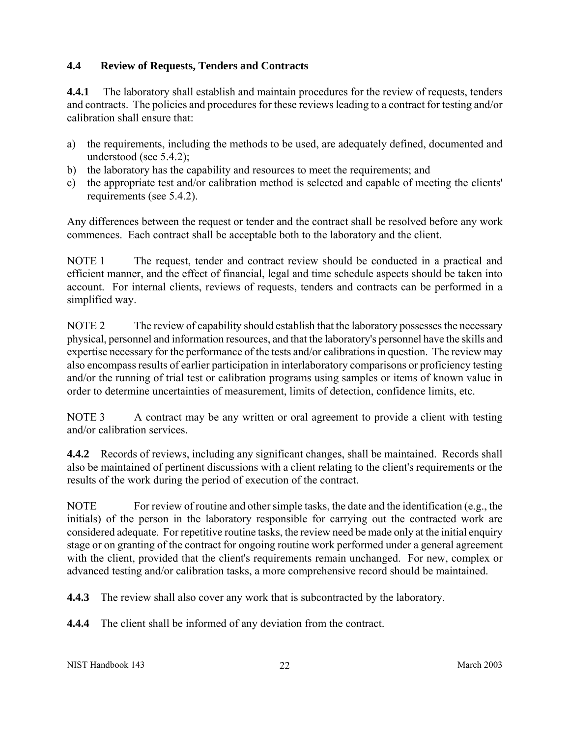#### **4.4 Review of Requests, Tenders and Contracts**

**4.4.1** The laboratory shall establish and maintain procedures for the review of requests, tenders and contracts. The policies and procedures for these reviews leading to a contract for testing and/or calibration shall ensure that:

- a) the requirements, including the methods to be used, are adequately defined, documented and understood (see 5.4.2);
- b) the laboratory has the capability and resources to meet the requirements; and
- c) the appropriate test and/or calibration method is selected and capable of meeting the clients' requirements (see 5.4.2).

Any differences between the request or tender and the contract shall be resolved before any work commences. Each contract shall be acceptable both to the laboratory and the client.

NOTE 1 The request, tender and contract review should be conducted in a practical and efficient manner, and the effect of financial, legal and time schedule aspects should be taken into account. For internal clients, reviews of requests, tenders and contracts can be performed in a simplified way.

NOTE 2 The review of capability should establish that the laboratory possesses the necessary physical, personnel and information resources, and that the laboratory's personnel have the skills and expertise necessary for the performance of the tests and/or calibrations in question. The review may also encompass results of earlier participation in interlaboratory comparisons or proficiency testing and/or the running of trial test or calibration programs using samples or items of known value in order to determine uncertainties of measurement, limits of detection, confidence limits, etc.

NOTE 3 A contract may be any written or oral agreement to provide a client with testing and/or calibration services.

**4.4.2** Records of reviews, including any significant changes, shall be maintained. Records shall also be maintained of pertinent discussions with a client relating to the client's requirements or the results of the work during the period of execution of the contract.

NOTE For review of routine and other simple tasks, the date and the identification (e.g., the initials) of the person in the laboratory responsible for carrying out the contracted work are considered adequate. For repetitive routine tasks, the review need be made only at the initial enquiry stage or on granting of the contract for ongoing routine work performed under a general agreement with the client, provided that the client's requirements remain unchanged. For new, complex or advanced testing and/or calibration tasks, a more comprehensive record should be maintained.

**4.4.3** The review shall also cover any work that is subcontracted by the laboratory.

**4.4.4** The client shall be informed of any deviation from the contract.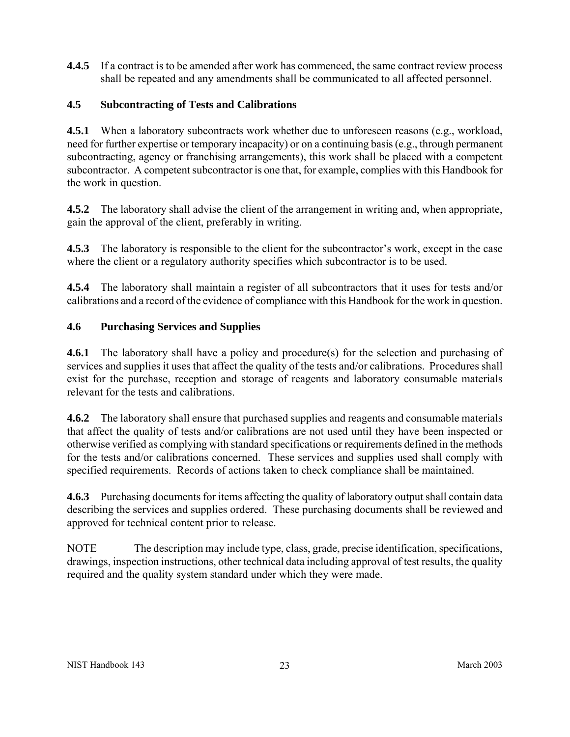**4.4.5** If a contract is to be amended after work has commenced, the same contract review process shall be repeated and any amendments shall be communicated to all affected personnel.

#### **4.5 Subcontracting of Tests and Calibrations**

**4.5.1** When a laboratory subcontracts work whether due to unforeseen reasons (e.g., workload, need for further expertise or temporary incapacity) or on a continuing basis (e.g., through permanent subcontracting, agency or franchising arrangements), this work shall be placed with a competent subcontractor. A competent subcontractor is one that, for example, complies with this Handbook for the work in question.

**4.5.2** The laboratory shall advise the client of the arrangement in writing and, when appropriate, gain the approval of the client, preferably in writing.

**4.5.3** The laboratory is responsible to the client for the subcontractor's work, except in the case where the client or a regulatory authority specifies which subcontractor is to be used.

**4.5.4** The laboratory shall maintain a register of all subcontractors that it uses for tests and/or calibrations and a record of the evidence of compliance with this Handbook for the work in question.

#### **4.6 Purchasing Services and Supplies**

**4.6.1** The laboratory shall have a policy and procedure(s) for the selection and purchasing of services and supplies it uses that affect the quality of the tests and/or calibrations. Procedures shall exist for the purchase, reception and storage of reagents and laboratory consumable materials relevant for the tests and calibrations.

**4.6.2** The laboratory shall ensure that purchased supplies and reagents and consumable materials that affect the quality of tests and/or calibrations are not used until they have been inspected or otherwise verified as complying with standard specifications or requirements defined in the methods for the tests and/or calibrations concerned. These services and supplies used shall comply with specified requirements. Records of actions taken to check compliance shall be maintained.

**4.6.3** Purchasing documents for items affecting the quality of laboratory output shall contain data describing the services and supplies ordered. These purchasing documents shall be reviewed and approved for technical content prior to release.

NOTE The description may include type, class, grade, precise identification, specifications, drawings, inspection instructions, other technical data including approval of test results, the quality required and the quality system standard under which they were made.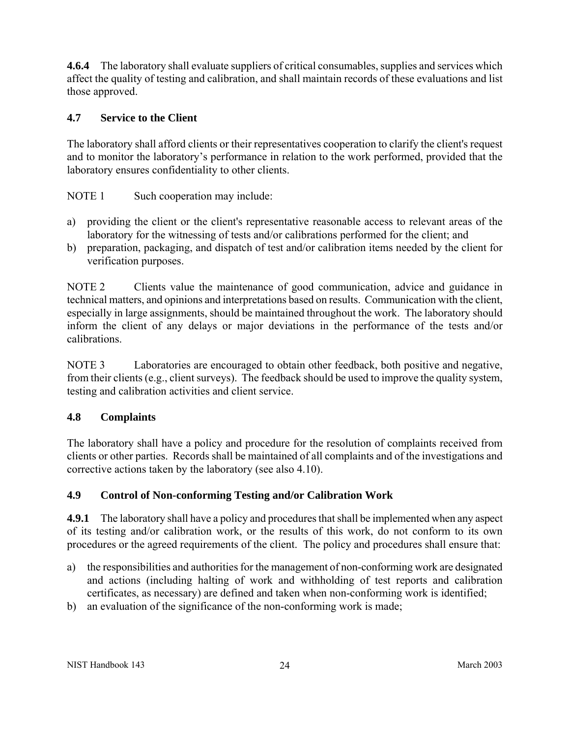**4.6.4** The laboratory shall evaluate suppliers of critical consumables, supplies and services which affect the quality of testing and calibration, and shall maintain records of these evaluations and list those approved.

#### **4.7 Service to the Client**

The laboratory shall afford clients or their representatives cooperation to clarify the client's request and to monitor the laboratory's performance in relation to the work performed, provided that the laboratory ensures confidentiality to other clients.

NOTE 1 Such cooperation may include:

- a) providing the client or the client's representative reasonable access to relevant areas of the laboratory for the witnessing of tests and/or calibrations performed for the client; and
- b) preparation, packaging, and dispatch of test and/or calibration items needed by the client for verification purposes.

NOTE 2 Clients value the maintenance of good communication, advice and guidance in technical matters, and opinions and interpretations based on results. Communication with the client, especially in large assignments, should be maintained throughout the work. The laboratory should inform the client of any delays or major deviations in the performance of the tests and/or calibrations.

NOTE 3 Laboratories are encouraged to obtain other feedback, both positive and negative, from their clients (e.g., client surveys). The feedback should be used to improve the quality system, testing and calibration activities and client service.

#### **4.8 Complaints**

The laboratory shall have a policy and procedure for the resolution of complaints received from clients or other parties. Records shall be maintained of all complaints and of the investigations and corrective actions taken by the laboratory (see also 4.10).

#### **4.9 Control of Non-conforming Testing and/or Calibration Work**

**4.9.1** The laboratory shall have a policy and procedures that shall be implemented when any aspect of its testing and/or calibration work, or the results of this work, do not conform to its own procedures or the agreed requirements of the client. The policy and procedures shall ensure that:

- a) the responsibilities and authorities for the management of non-conforming work are designated and actions (including halting of work and withholding of test reports and calibration certificates, as necessary) are defined and taken when non-conforming work is identified;
- b) an evaluation of the significance of the non-conforming work is made;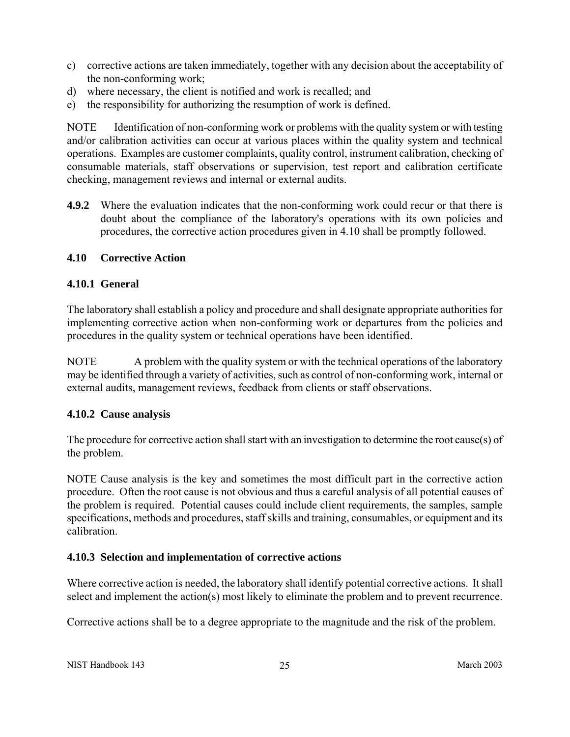- c) corrective actions are taken immediately, together with any decision about the acceptability of the non-conforming work;
- d) where necessary, the client is notified and work is recalled; and
- e) the responsibility for authorizing the resumption of work is defined.

NOTE Identification of non-conforming work or problems with the quality system or with testing and/or calibration activities can occur at various places within the quality system and technical operations. Examples are customer complaints, quality control, instrument calibration, checking of consumable materials, staff observations or supervision, test report and calibration certificate checking, management reviews and internal or external audits.

**4.9.2** Where the evaluation indicates that the non-conforming work could recur or that there is doubt about the compliance of the laboratory's operations with its own policies and procedures, the corrective action procedures given in 4.10 shall be promptly followed.

#### **4.10 Corrective Action**

#### **4.10.1 General**

The laboratory shall establish a policy and procedure and shall designate appropriate authorities for implementing corrective action when non-conforming work or departures from the policies and procedures in the quality system or technical operations have been identified.

NOTE A problem with the quality system or with the technical operations of the laboratory may be identified through a variety of activities, such as control of non-conforming work, internal or external audits, management reviews, feedback from clients or staff observations.

#### **4.10.2 Cause analysis**

The procedure for corrective action shall start with an investigation to determine the root cause(s) of the problem.

NOTE Cause analysis is the key and sometimes the most difficult part in the corrective action procedure. Often the root cause is not obvious and thus a careful analysis of all potential causes of the problem is required. Potential causes could include client requirements, the samples, sample specifications, methods and procedures, staff skills and training, consumables, or equipment and its calibration.

#### **4.10.3 Selection and implementation of corrective actions**

Where corrective action is needed, the laboratory shall identify potential corrective actions. It shall select and implement the action(s) most likely to eliminate the problem and to prevent recurrence.

Corrective actions shall be to a degree appropriate to the magnitude and the risk of the problem.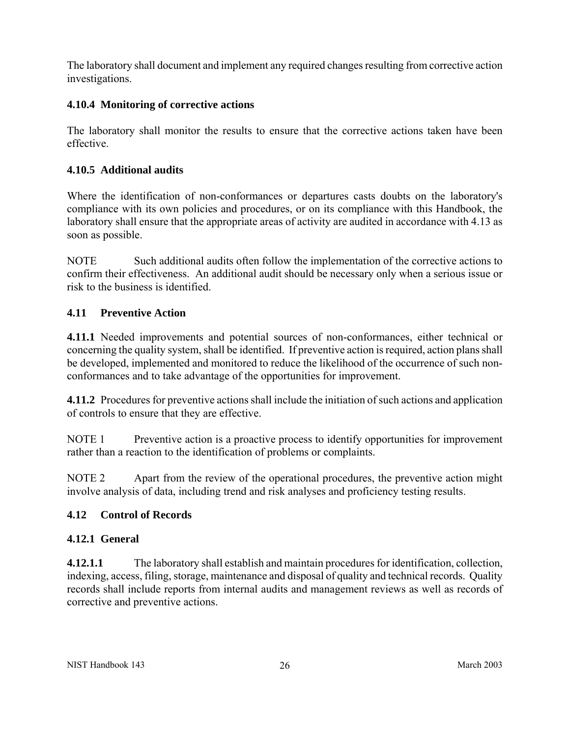The laboratory shall document and implement any required changes resulting from corrective action investigations.

#### **4.10.4 Monitoring of corrective actions**

The laboratory shall monitor the results to ensure that the corrective actions taken have been effective.

#### **4.10.5 Additional audits**

Where the identification of non-conformances or departures casts doubts on the laboratory's compliance with its own policies and procedures, or on its compliance with this Handbook, the laboratory shall ensure that the appropriate areas of activity are audited in accordance with 4.13 as soon as possible.

NOTE Such additional audits often follow the implementation of the corrective actions to confirm their effectiveness. An additional audit should be necessary only when a serious issue or risk to the business is identified.

#### **4.11 Preventive Action**

**4.11.1** Needed improvements and potential sources of non-conformances, either technical or concerning the quality system, shall be identified. If preventive action is required, action plans shall be developed, implemented and monitored to reduce the likelihood of the occurrence of such nonconformances and to take advantage of the opportunities for improvement.

**4.11.2** Procedures for preventive actions shall include the initiation of such actions and application of controls to ensure that they are effective.

NOTE 1 Preventive action is a proactive process to identify opportunities for improvement rather than a reaction to the identification of problems or complaints.

NOTE 2 Apart from the review of the operational procedures, the preventive action might involve analysis of data, including trend and risk analyses and proficiency testing results.

#### **4.12 Control of Records**

#### **4.12.1 General**

**4.12.1.1** The laboratory shall establish and maintain procedures for identification, collection, indexing, access, filing, storage, maintenance and disposal of quality and technical records. Quality records shall include reports from internal audits and management reviews as well as records of corrective and preventive actions.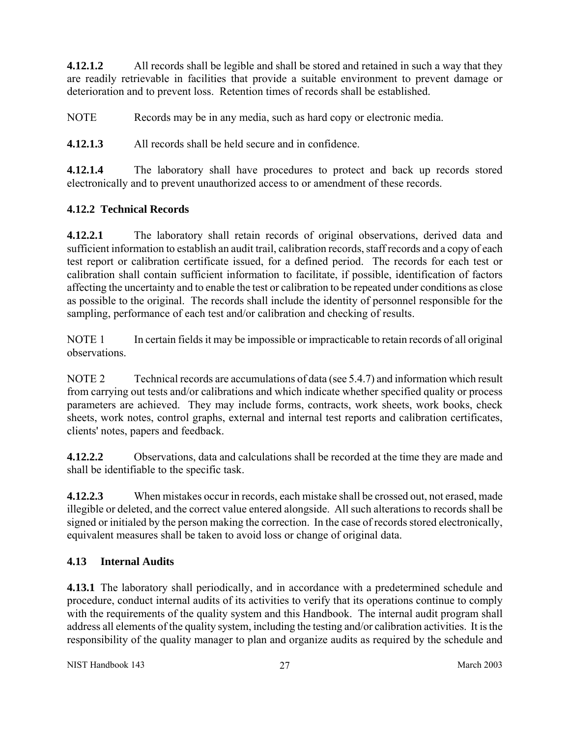**4.12.1.2** All records shall be legible and shall be stored and retained in such a way that they are readily retrievable in facilities that provide a suitable environment to prevent damage or deterioration and to prevent loss. Retention times of records shall be established.

NOTE Records may be in any media, such as hard copy or electronic media.

**4.12.1.3** All records shall be held secure and in confidence.

**4.12.1.4** The laboratory shall have procedures to protect and back up records stored electronically and to prevent unauthorized access to or amendment of these records.

### **4.12.2 Technical Records**

**4.12.2.1** The laboratory shall retain records of original observations, derived data and sufficient information to establish an audit trail, calibration records, staff records and a copy of each test report or calibration certificate issued, for a defined period. The records for each test or calibration shall contain sufficient information to facilitate, if possible, identification of factors affecting the uncertainty and to enable the test or calibration to be repeated under conditions as close as possible to the original. The records shall include the identity of personnel responsible for the sampling, performance of each test and/or calibration and checking of results.

NOTE 1 In certain fields it may be impossible or impracticable to retain records of all original observations.

NOTE 2 Technical records are accumulations of data (see 5.4.7) and information which result from carrying out tests and/or calibrations and which indicate whether specified quality or process parameters are achieved. They may include forms, contracts, work sheets, work books, check sheets, work notes, control graphs, external and internal test reports and calibration certificates, clients' notes, papers and feedback.

**4.12.2.2** Observations, data and calculations shall be recorded at the time they are made and shall be identifiable to the specific task.

**4.12.2.3** When mistakes occur in records, each mistake shall be crossed out, not erased, made illegible or deleted, and the correct value entered alongside. All such alterations to records shall be signed or initialed by the person making the correction. In the case of records stored electronically, equivalent measures shall be taken to avoid loss or change of original data.

#### **4.13 Internal Audits**

**4.13.1** The laboratory shall periodically, and in accordance with a predetermined schedule and procedure, conduct internal audits of its activities to verify that its operations continue to comply with the requirements of the quality system and this Handbook. The internal audit program shall address all elements of the quality system, including the testing and/or calibration activities. It is the responsibility of the quality manager to plan and organize audits as required by the schedule and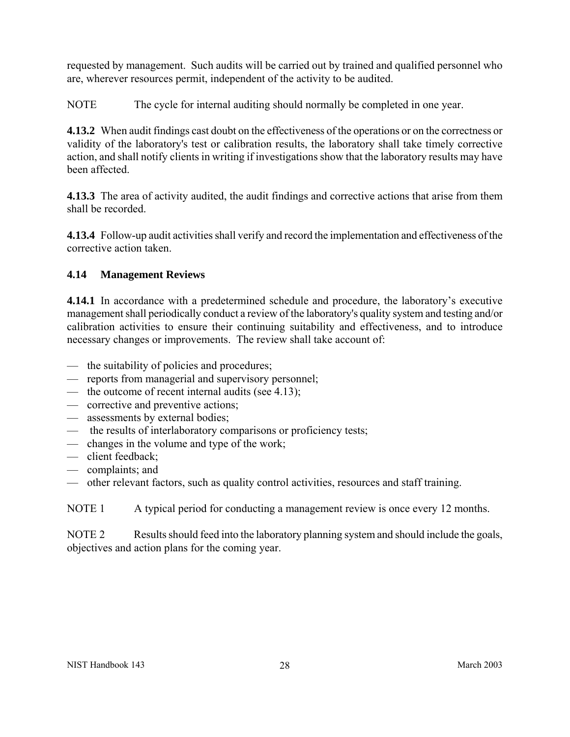requested by management. Such audits will be carried out by trained and qualified personnel who are, wherever resources permit, independent of the activity to be audited.

NOTE The cycle for internal auditing should normally be completed in one year.

**4.13.2** When audit findings cast doubt on the effectiveness of the operations or on the correctness or validity of the laboratory's test or calibration results, the laboratory shall take timely corrective action, and shall notify clients in writing if investigations show that the laboratory results may have been affected.

**4.13.3** The area of activity audited, the audit findings and corrective actions that arise from them shall be recorded.

**4.13.4** Follow-up audit activities shall verify and record the implementation and effectiveness of the corrective action taken.

#### **4.14 Management Reviews**

**4.14.1** In accordance with a predetermined schedule and procedure, the laboratory's executive management shall periodically conduct a review of the laboratory's quality system and testing and/or calibration activities to ensure their continuing suitability and effectiveness, and to introduce necessary changes or improvements. The review shall take account of:

- the suitability of policies and procedures;
- reports from managerial and supervisory personnel;
- the outcome of recent internal audits (see  $4.13$ );
- corrective and preventive actions;
- assessments by external bodies;
- the results of interlaboratory comparisons or proficiency tests;
- changes in the volume and type of the work;
- client feedback;
- complaints; and
- other relevant factors, such as quality control activities, resources and staff training.

NOTE 1 A typical period for conducting a management review is once every 12 months.

NOTE 2 Results should feed into the laboratory planning system and should include the goals, objectives and action plans for the coming year.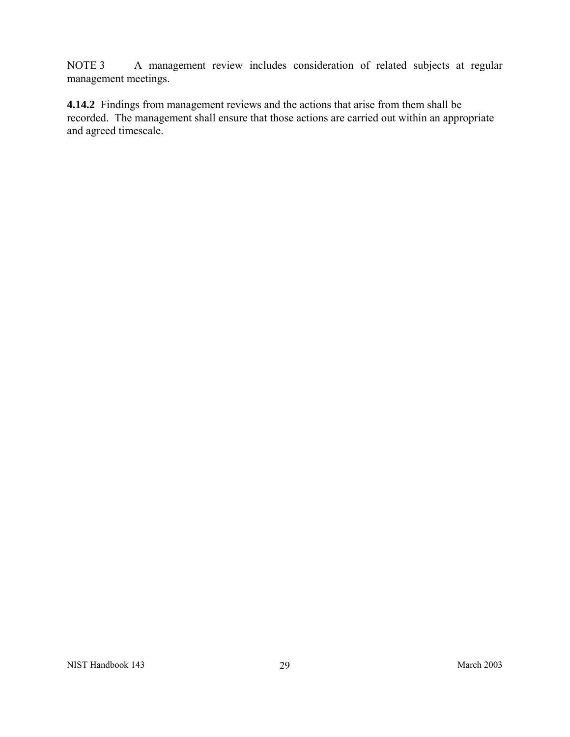NOTE 3 A management review includes consideration of related subjects at regular management meetings.

**4.14.2** Findings from management reviews and the actions that arise from them shall be recorded. The management shall ensure that those actions are carried out within an appropriate and agreed timescale.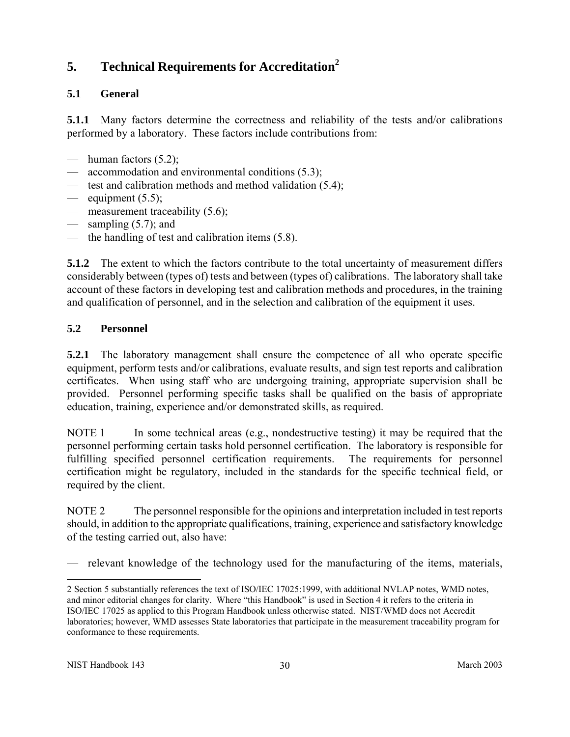# <span id="page-35-0"></span>**5. Technical Requirements for Accreditation<sup>2</sup>**

#### **5.1 General**

**5.1.1** Many factors determine the correctness and reliability of the tests and/or calibrations performed by a laboratory. These factors include contributions from:

- human factors  $(5.2)$ ;
- accommodation and environmental conditions (5.3);
- test and calibration methods and method validation  $(5.4)$ ;
- equipment  $(5.5)$ ;
- measurement traceability  $(5.6)$ ;
- sampling  $(5.7)$ ; and
- the handling of test and calibration items (5.8).

**5.1.2** The extent to which the factors contribute to the total uncertainty of measurement differs considerably between (types of) tests and between (types of) calibrations. The laboratory shall take account of these factors in developing test and calibration methods and procedures, in the training and qualification of personnel, and in the selection and calibration of the equipment it uses.

#### **5.2 Personnel**

**5.2.1** The laboratory management shall ensure the competence of all who operate specific equipment, perform tests and/or calibrations, evaluate results, and sign test reports and calibration certificates. When using staff who are undergoing training, appropriate supervision shall be provided. Personnel performing specific tasks shall be qualified on the basis of appropriate education, training, experience and/or demonstrated skills, as required.

NOTE 1 In some technical areas (e.g., nondestructive testing) it may be required that the personnel performing certain tasks hold personnel certification. The laboratory is responsible for fulfilling specified personnel certification requirements. The requirements for personnel certification might be regulatory, included in the standards for the specific technical field, or required by the client.

NOTE 2 The personnel responsible for the opinions and interpretation included in test reports should, in addition to the appropriate qualifications, training, experience and satisfactory knowledge of the testing carried out, also have:

— relevant knowledge of the technology used for the manufacturing of the items, materials,

l

<sup>2</sup> Section 5 substantially references the text of ISO/IEC 17025:1999, with additional NVLAP notes, WMD notes, and minor editorial changes for clarity. Where "this Handbook" is used in Section 4 it refers to the criteria in ISO/IEC 17025 as applied to this Program Handbook unless otherwise stated. NIST/WMD does not Accredit laboratories; however, WMD assesses State laboratories that participate in the measurement traceability program for conformance to these requirements.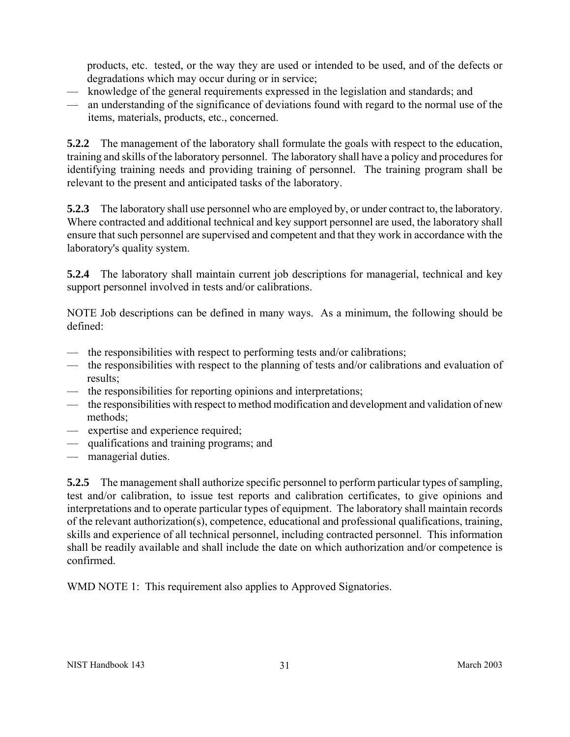products, etc. tested, or the way they are used or intended to be used, and of the defects or degradations which may occur during or in service;

- knowledge of the general requirements expressed in the legislation and standards; and
- an understanding of the significance of deviations found with regard to the normal use of the items, materials, products, etc., concerned.

**5.2.2** The management of the laboratory shall formulate the goals with respect to the education, training and skills of the laboratory personnel. The laboratory shall have a policy and procedures for identifying training needs and providing training of personnel. The training program shall be relevant to the present and anticipated tasks of the laboratory.

**5.2.3** The laboratory shall use personnel who are employed by, or under contract to, the laboratory. Where contracted and additional technical and key support personnel are used, the laboratory shall ensure that such personnel are supervised and competent and that they work in accordance with the laboratory's quality system.

**5.2.4** The laboratory shall maintain current job descriptions for managerial, technical and key support personnel involved in tests and/or calibrations.

NOTE Job descriptions can be defined in many ways. As a minimum, the following should be defined:

- the responsibilities with respect to performing tests and/or calibrations;
- the responsibilities with respect to the planning of tests and/or calibrations and evaluation of results;
- the responsibilities for reporting opinions and interpretations;
- the responsibilities with respect to method modification and development and validation of new methods;
- expertise and experience required;
- qualifications and training programs; and
- managerial duties.

**5.2.5** The management shall authorize specific personnel to perform particular types of sampling, test and/or calibration, to issue test reports and calibration certificates, to give opinions and interpretations and to operate particular types of equipment. The laboratory shall maintain records of the relevant authorization(s), competence, educational and professional qualifications, training, skills and experience of all technical personnel, including contracted personnel. This information shall be readily available and shall include the date on which authorization and/or competence is confirmed.

WMD NOTE 1: This requirement also applies to Approved Signatories.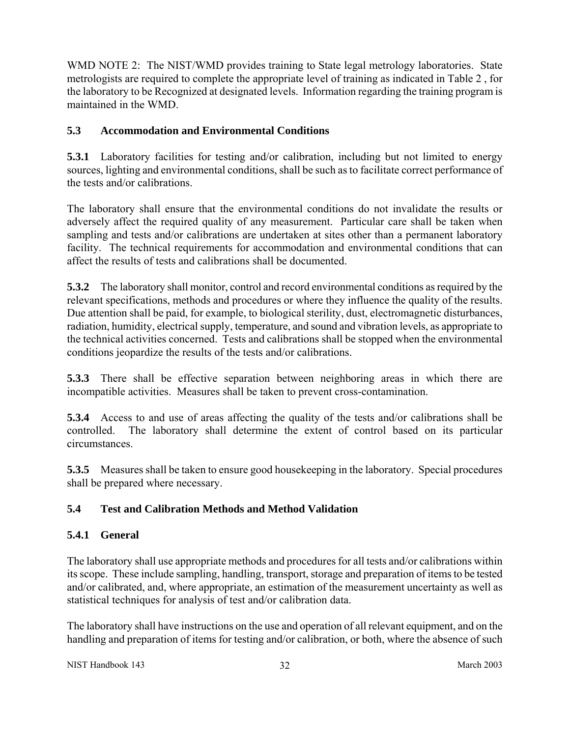WMD NOTE 2: The NIST/WMD provides training to State legal metrology laboratories. State metrologists are required to complete the appropriate level of training as indicated in Table 2 , for the laboratory to be Recognized at designated levels. Information regarding the training program is maintained in the WMD.

### **5.3 Accommodation and Environmental Conditions**

**5.3.1** Laboratory facilities for testing and/or calibration, including but not limited to energy sources, lighting and environmental conditions, shall be such as to facilitate correct performance of the tests and/or calibrations.

The laboratory shall ensure that the environmental conditions do not invalidate the results or adversely affect the required quality of any measurement. Particular care shall be taken when sampling and tests and/or calibrations are undertaken at sites other than a permanent laboratory facility. The technical requirements for accommodation and environmental conditions that can affect the results of tests and calibrations shall be documented.

**5.3.2** The laboratory shall monitor, control and record environmental conditions as required by the relevant specifications, methods and procedures or where they influence the quality of the results. Due attention shall be paid, for example, to biological sterility, dust, electromagnetic disturbances, radiation, humidity, electrical supply, temperature, and sound and vibration levels, as appropriate to the technical activities concerned. Tests and calibrations shall be stopped when the environmental conditions jeopardize the results of the tests and/or calibrations.

**5.3.3** There shall be effective separation between neighboring areas in which there are incompatible activities. Measures shall be taken to prevent cross-contamination.

**5.3.4** Access to and use of areas affecting the quality of the tests and/or calibrations shall be controlled. The laboratory shall determine the extent of control based on its particular circumstances.

**5.3.5** Measures shall be taken to ensure good housekeeping in the laboratory. Special procedures shall be prepared where necessary.

### **5.4 Test and Calibration Methods and Method Validation**

#### **5.4.1 General**

The laboratory shall use appropriate methods and procedures for all tests and/or calibrations within its scope. These include sampling, handling, transport, storage and preparation of items to be tested and/or calibrated, and, where appropriate, an estimation of the measurement uncertainty as well as statistical techniques for analysis of test and/or calibration data.

The laboratory shall have instructions on the use and operation of all relevant equipment, and on the handling and preparation of items for testing and/or calibration, or both, where the absence of such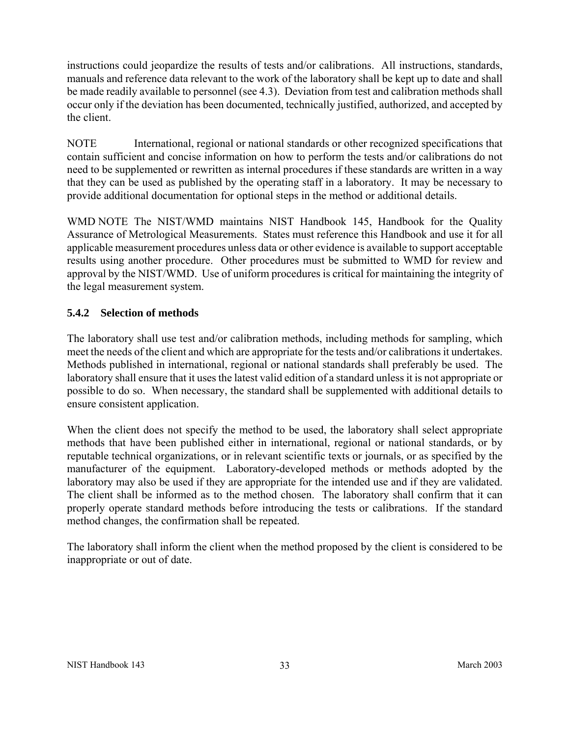instructions could jeopardize the results of tests and/or calibrations. All instructions, standards, manuals and reference data relevant to the work of the laboratory shall be kept up to date and shall be made readily available to personnel (see 4.3). Deviation from test and calibration methods shall occur only if the deviation has been documented, technically justified, authorized, and accepted by the client.

NOTE International, regional or national standards or other recognized specifications that contain sufficient and concise information on how to perform the tests and/or calibrations do not need to be supplemented or rewritten as internal procedures if these standards are written in a way that they can be used as published by the operating staff in a laboratory. It may be necessary to provide additional documentation for optional steps in the method or additional details.

WMD NOTE The NIST/WMD maintains NIST Handbook 145, Handbook for the Quality Assurance of Metrological Measurements. States must reference this Handbook and use it for all applicable measurement procedures unless data or other evidence is available to support acceptable results using another procedure. Other procedures must be submitted to WMD for review and approval by the NIST/WMD. Use of uniform procedures is critical for maintaining the integrity of the legal measurement system.

### **5.4.2 Selection of methods**

The laboratory shall use test and/or calibration methods, including methods for sampling, which meet the needs of the client and which are appropriate for the tests and/or calibrations it undertakes. Methods published in international, regional or national standards shall preferably be used. The laboratory shall ensure that it uses the latest valid edition of a standard unless it is not appropriate or possible to do so. When necessary, the standard shall be supplemented with additional details to ensure consistent application.

When the client does not specify the method to be used, the laboratory shall select appropriate methods that have been published either in international, regional or national standards, or by reputable technical organizations, or in relevant scientific texts or journals, or as specified by the manufacturer of the equipment. Laboratory-developed methods or methods adopted by the laboratory may also be used if they are appropriate for the intended use and if they are validated. The client shall be informed as to the method chosen. The laboratory shall confirm that it can properly operate standard methods before introducing the tests or calibrations. If the standard method changes, the confirmation shall be repeated.

The laboratory shall inform the client when the method proposed by the client is considered to be inappropriate or out of date.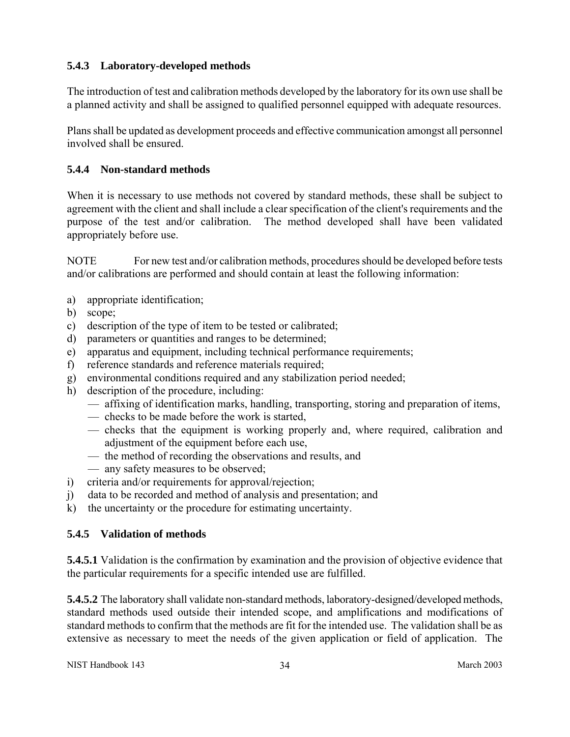### **5.4.3 Laboratory-developed methods**

The introduction of test and calibration methods developed by the laboratory for its own use shall be a planned activity and shall be assigned to qualified personnel equipped with adequate resources.

Plans shall be updated as development proceeds and effective communication amongst all personnel involved shall be ensured.

### **5.4.4 Non-standard methods**

When it is necessary to use methods not covered by standard methods, these shall be subject to agreement with the client and shall include a clear specification of the client's requirements and the purpose of the test and/or calibration. The method developed shall have been validated appropriately before use.

NOTE For new test and/or calibration methods, procedures should be developed before tests and/or calibrations are performed and should contain at least the following information:

- a) appropriate identification;
- b) scope;
- c) description of the type of item to be tested or calibrated;
- d) parameters or quantities and ranges to be determined;
- e) apparatus and equipment, including technical performance requirements;
- f) reference standards and reference materials required;
- g) environmental conditions required and any stabilization period needed;
- h) description of the procedure, including:
	- affixing of identification marks, handling, transporting, storing and preparation of items,
	- checks to be made before the work is started,
	- checks that the equipment is working properly and, where required, calibration and adjustment of the equipment before each use,
	- the method of recording the observations and results, and
	- any safety measures to be observed;
- i) criteria and/or requirements for approval/rejection;
- j) data to be recorded and method of analysis and presentation; and
- k) the uncertainty or the procedure for estimating uncertainty.

### **5.4.5 Validation of methods**

**5.4.5.1** Validation is the confirmation by examination and the provision of objective evidence that the particular requirements for a specific intended use are fulfilled.

**5.4.5.2** The laboratory shall validate non-standard methods, laboratory-designed/developed methods, standard methods used outside their intended scope, and amplifications and modifications of standard methods to confirm that the methods are fit for the intended use. The validation shall be as extensive as necessary to meet the needs of the given application or field of application. The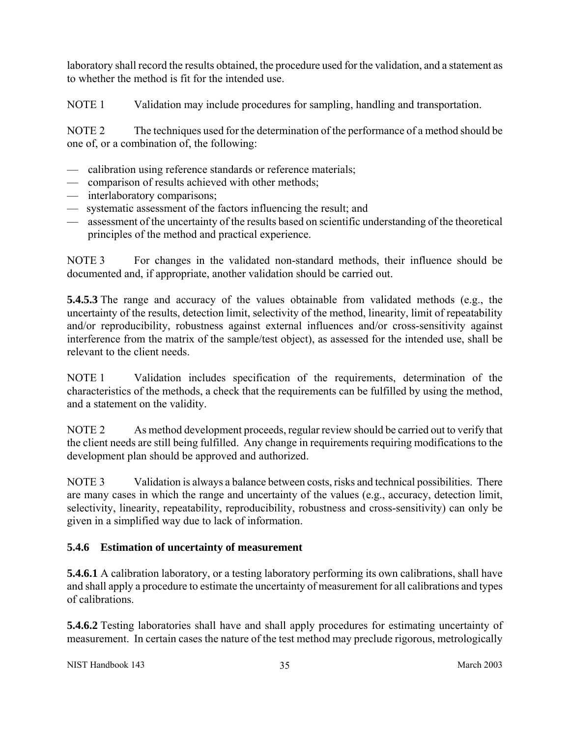laboratory shall record the results obtained, the procedure used for the validation, and a statement as to whether the method is fit for the intended use.

NOTE 1 Validation may include procedures for sampling, handling and transportation.

NOTE 2 The techniques used for the determination of the performance of a method should be one of, or a combination of, the following:

- calibration using reference standards or reference materials;
- comparison of results achieved with other methods;
- interlaboratory comparisons;
- systematic assessment of the factors influencing the result; and
- assessment of the uncertainty of the results based on scientific understanding of the theoretical principles of the method and practical experience.

NOTE 3 For changes in the validated non-standard methods, their influence should be documented and, if appropriate, another validation should be carried out.

**5.4.5.3** The range and accuracy of the values obtainable from validated methods (e.g., the uncertainty of the results, detection limit, selectivity of the method, linearity, limit of repeatability and/or reproducibility, robustness against external influences and/or cross-sensitivity against interference from the matrix of the sample/test object), as assessed for the intended use, shall be relevant to the client needs.

NOTE 1 Validation includes specification of the requirements, determination of the characteristics of the methods, a check that the requirements can be fulfilled by using the method, and a statement on the validity.

NOTE 2 As method development proceeds, regular review should be carried out to verify that the client needs are still being fulfilled. Any change in requirements requiring modifications to the development plan should be approved and authorized.

NOTE 3 Validation is always a balance between costs, risks and technical possibilities. There are many cases in which the range and uncertainty of the values (e.g., accuracy, detection limit, selectivity, linearity, repeatability, reproducibility, robustness and cross-sensitivity) can only be given in a simplified way due to lack of information.

### **5.4.6 Estimation of uncertainty of measurement**

**5.4.6.1** A calibration laboratory, or a testing laboratory performing its own calibrations, shall have and shall apply a procedure to estimate the uncertainty of measurement for all calibrations and types of calibrations.

**5.4.6.2** Testing laboratories shall have and shall apply procedures for estimating uncertainty of measurement. In certain cases the nature of the test method may preclude rigorous, metrologically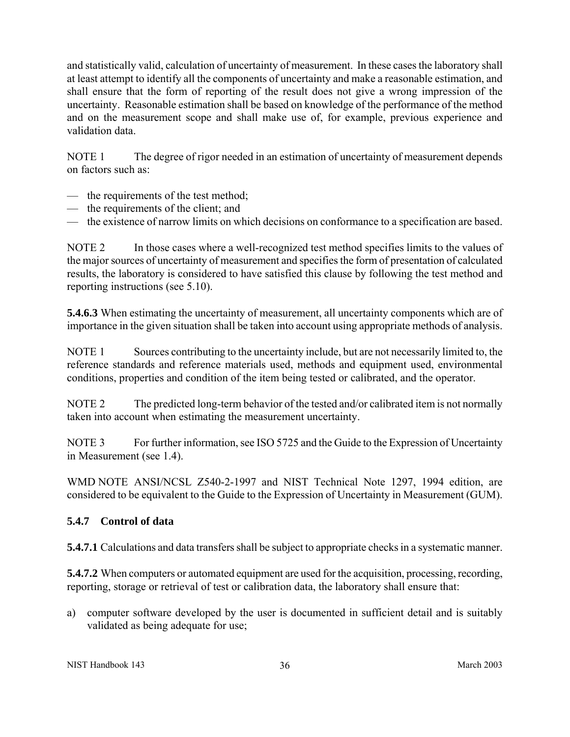and statistically valid, calculation of uncertainty of measurement. In these cases the laboratory shall at least attempt to identify all the components of uncertainty and make a reasonable estimation, and shall ensure that the form of reporting of the result does not give a wrong impression of the uncertainty. Reasonable estimation shall be based on knowledge of the performance of the method and on the measurement scope and shall make use of, for example, previous experience and validation data.

NOTE 1 The degree of rigor needed in an estimation of uncertainty of measurement depends on factors such as:

- the requirements of the test method;
- the requirements of the client; and
- the existence of narrow limits on which decisions on conformance to a specification are based.

NOTE 2 In those cases where a well-recognized test method specifies limits to the values of the major sources of uncertainty of measurement and specifies the form of presentation of calculated results, the laboratory is considered to have satisfied this clause by following the test method and reporting instructions (see 5.10).

**5.4.6.3** When estimating the uncertainty of measurement, all uncertainty components which are of importance in the given situation shall be taken into account using appropriate methods of analysis.

NOTE 1 Sources contributing to the uncertainty include, but are not necessarily limited to, the reference standards and reference materials used, methods and equipment used, environmental conditions, properties and condition of the item being tested or calibrated, and the operator.

NOTE 2 The predicted long-term behavior of the tested and/or calibrated item is not normally taken into account when estimating the measurement uncertainty.

NOTE 3 For further information, see ISO 5725 and the Guide to the Expression of Uncertainty in Measurement (see 1.4).

WMD NOTE ANSI/NCSL Z540-2-1997 and NIST Technical Note 1297, 1994 edition, are considered to be equivalent to the Guide to the Expression of Uncertainty in Measurement (GUM).

#### **5.4.7 Control of data**

**5.4.7.1** Calculations and data transfers shall be subject to appropriate checks in a systematic manner.

**5.4.7.2** When computers or automated equipment are used for the acquisition, processing, recording, reporting, storage or retrieval of test or calibration data, the laboratory shall ensure that:

a) computer software developed by the user is documented in sufficient detail and is suitably validated as being adequate for use;

NIST Handbook 143 March 2003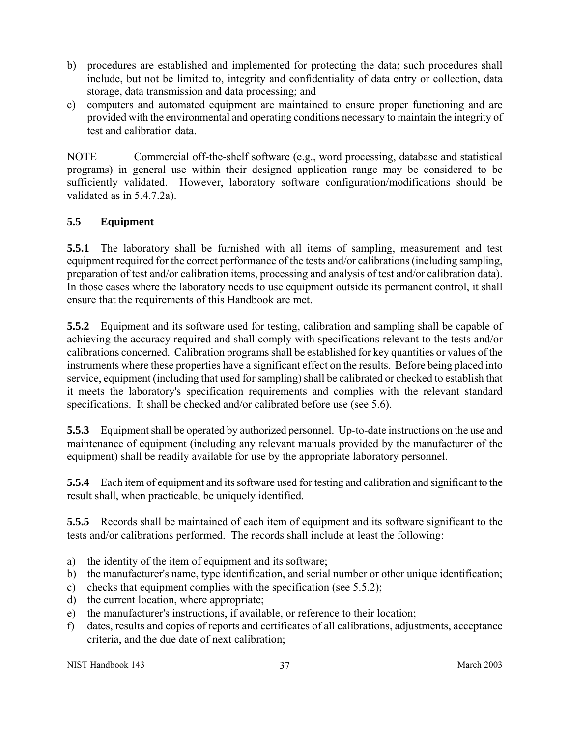- b) procedures are established and implemented for protecting the data; such procedures shall include, but not be limited to, integrity and confidentiality of data entry or collection, data storage, data transmission and data processing; and
- c) computers and automated equipment are maintained to ensure proper functioning and are provided with the environmental and operating conditions necessary to maintain the integrity of test and calibration data.

NOTE Commercial off-the-shelf software (e.g., word processing, database and statistical programs) in general use within their designed application range may be considered to be sufficiently validated. However, laboratory software configuration/modifications should be validated as in 5.4.7.2a).

# **5.5 Equipment**

**5.5.1** The laboratory shall be furnished with all items of sampling, measurement and test equipment required for the correct performance of the tests and/or calibrations (including sampling, preparation of test and/or calibration items, processing and analysis of test and/or calibration data). In those cases where the laboratory needs to use equipment outside its permanent control, it shall ensure that the requirements of this Handbook are met.

**5.5.2** Equipment and its software used for testing, calibration and sampling shall be capable of achieving the accuracy required and shall comply with specifications relevant to the tests and/or calibrations concerned. Calibration programs shall be established for key quantities or values of the instruments where these properties have a significant effect on the results. Before being placed into service, equipment (including that used for sampling) shall be calibrated or checked to establish that it meets the laboratory's specification requirements and complies with the relevant standard specifications. It shall be checked and/or calibrated before use (see 5.6).

**5.5.3** Equipment shall be operated by authorized personnel. Up-to-date instructions on the use and maintenance of equipment (including any relevant manuals provided by the manufacturer of the equipment) shall be readily available for use by the appropriate laboratory personnel.

**5.5.4** Each item of equipment and its software used for testing and calibration and significant to the result shall, when practicable, be uniquely identified.

**5.5.5** Records shall be maintained of each item of equipment and its software significant to the tests and/or calibrations performed. The records shall include at least the following:

- a) the identity of the item of equipment and its software;
- b) the manufacturer's name, type identification, and serial number or other unique identification;
- c) checks that equipment complies with the specification (see 5.5.2);
- d) the current location, where appropriate;
- e) the manufacturer's instructions, if available, or reference to their location;
- f) dates, results and copies of reports and certificates of all calibrations, adjustments, acceptance criteria, and the due date of next calibration;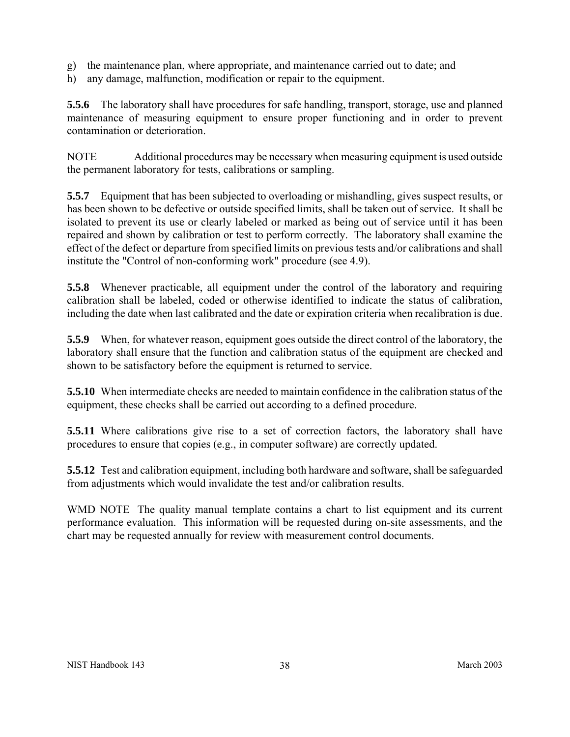- g) the maintenance plan, where appropriate, and maintenance carried out to date; and
- h) any damage, malfunction, modification or repair to the equipment.

**5.5.6** The laboratory shall have procedures for safe handling, transport, storage, use and planned maintenance of measuring equipment to ensure proper functioning and in order to prevent contamination or deterioration.

NOTE Additional procedures may be necessary when measuring equipment is used outside the permanent laboratory for tests, calibrations or sampling.

**5.5.7** Equipment that has been subjected to overloading or mishandling, gives suspect results, or has been shown to be defective or outside specified limits, shall be taken out of service. It shall be isolated to prevent its use or clearly labeled or marked as being out of service until it has been repaired and shown by calibration or test to perform correctly. The laboratory shall examine the effect of the defect or departure from specified limits on previous tests and/or calibrations and shall institute the "Control of non-conforming work" procedure (see 4.9).

**5.5.8** Whenever practicable, all equipment under the control of the laboratory and requiring calibration shall be labeled, coded or otherwise identified to indicate the status of calibration, including the date when last calibrated and the date or expiration criteria when recalibration is due.

**5.5.9** When, for whatever reason, equipment goes outside the direct control of the laboratory, the laboratory shall ensure that the function and calibration status of the equipment are checked and shown to be satisfactory before the equipment is returned to service.

**5.5.10** When intermediate checks are needed to maintain confidence in the calibration status of the equipment, these checks shall be carried out according to a defined procedure.

**5.5.11** Where calibrations give rise to a set of correction factors, the laboratory shall have procedures to ensure that copies (e.g., in computer software) are correctly updated.

**5.5.12** Test and calibration equipment, including both hardware and software, shall be safeguarded from adjustments which would invalidate the test and/or calibration results.

WMD NOTE The quality manual template contains a chart to list equipment and its current performance evaluation. This information will be requested during on-site assessments, and the chart may be requested annually for review with measurement control documents.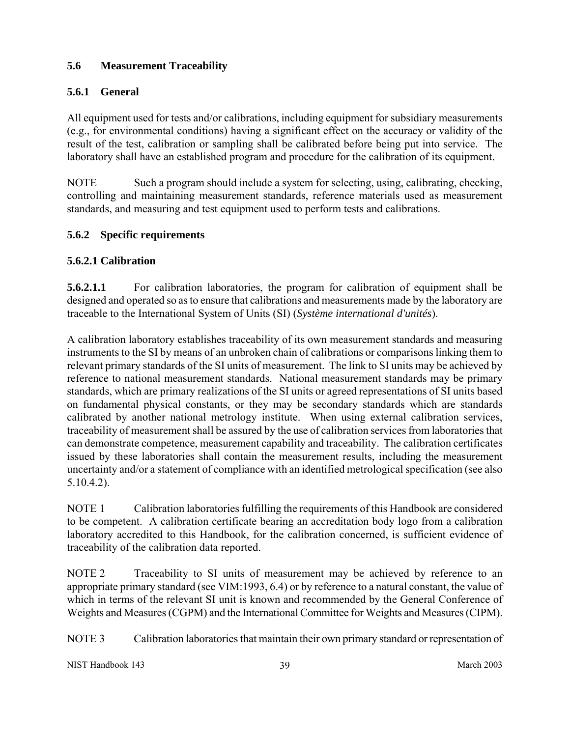### **5.6 Measurement Traceability**

### **5.6.1 General**

All equipment used for tests and/or calibrations, including equipment for subsidiary measurements (e.g., for environmental conditions) having a significant effect on the accuracy or validity of the result of the test, calibration or sampling shall be calibrated before being put into service. The laboratory shall have an established program and procedure for the calibration of its equipment.

NOTE Such a program should include a system for selecting, using, calibrating, checking, controlling and maintaining measurement standards, reference materials used as measurement standards, and measuring and test equipment used to perform tests and calibrations.

### **5.6.2 Specific requirements**

### **5.6.2.1 Calibration**

**5.6.2.1.1** For calibration laboratories, the program for calibration of equipment shall be designed and operated so as to ensure that calibrations and measurements made by the laboratory are traceable to the International System of Units (SI) (*Système international d'unités*).

A calibration laboratory establishes traceability of its own measurement standards and measuring instruments to the SI by means of an unbroken chain of calibrations or comparisons linking them to relevant primary standards of the SI units of measurement. The link to SI units may be achieved by reference to national measurement standards. National measurement standards may be primary standards, which are primary realizations of the SI units or agreed representations of SI units based on fundamental physical constants, or they may be secondary standards which are standards calibrated by another national metrology institute. When using external calibration services, traceability of measurement shall be assured by the use of calibration services from laboratories that can demonstrate competence, measurement capability and traceability. The calibration certificates issued by these laboratories shall contain the measurement results, including the measurement uncertainty and/or a statement of compliance with an identified metrological specification (see also 5.10.4.2).

NOTE 1 Calibration laboratories fulfilling the requirements of this Handbook are considered to be competent. A calibration certificate bearing an accreditation body logo from a calibration laboratory accredited to this Handbook, for the calibration concerned, is sufficient evidence of traceability of the calibration data reported.

NOTE 2 Traceability to SI units of measurement may be achieved by reference to an appropriate primary standard (see VIM:1993, 6.4) or by reference to a natural constant, the value of which in terms of the relevant SI unit is known and recommended by the General Conference of Weights and Measures (CGPM) and the International Committee for Weights and Measures (CIPM).

NOTE 3 Calibration laboratories that maintain their own primary standard or representation of

NIST Handbook 143 39 March 2003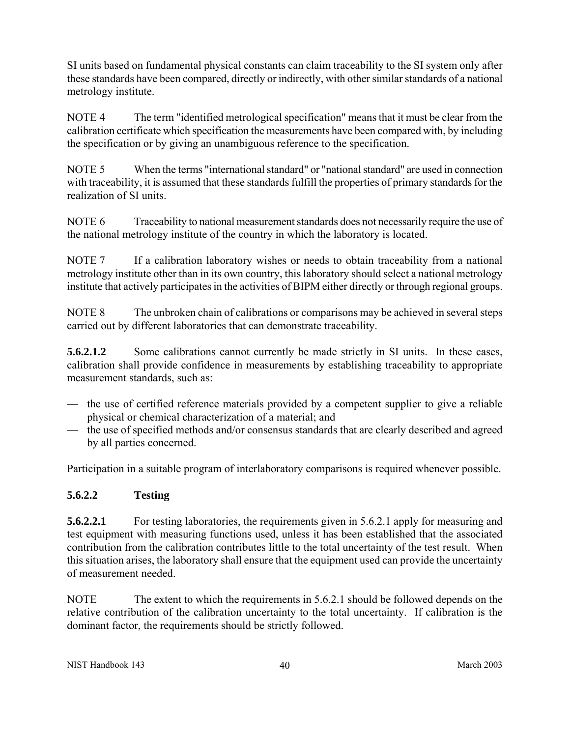SI units based on fundamental physical constants can claim traceability to the SI system only after these standards have been compared, directly or indirectly, with other similar standards of a national metrology institute.

NOTE 4 The term "identified metrological specification" means that it must be clear from the calibration certificate which specification the measurements have been compared with, by including the specification or by giving an unambiguous reference to the specification.

NOTE 5 When the terms "international standard" or "national standard" are used in connection with traceability, it is assumed that these standards fulfill the properties of primary standards for the realization of SI units.

NOTE 6 Traceability to national measurement standards does not necessarily require the use of the national metrology institute of the country in which the laboratory is located.

NOTE 7 If a calibration laboratory wishes or needs to obtain traceability from a national metrology institute other than in its own country, this laboratory should select a national metrology institute that actively participates in the activities of BIPM either directly or through regional groups.

NOTE 8 The unbroken chain of calibrations or comparisons may be achieved in several steps carried out by different laboratories that can demonstrate traceability.

**5.6.2.1.2** Some calibrations cannot currently be made strictly in SI units. In these cases, calibration shall provide confidence in measurements by establishing traceability to appropriate measurement standards, such as:

- the use of certified reference materials provided by a competent supplier to give a reliable physical or chemical characterization of a material; and
- the use of specified methods and/or consensus standards that are clearly described and agreed by all parties concerned.

Participation in a suitable program of interlaboratory comparisons is required whenever possible.

### **5.6.2.2 Testing**

**5.6.2.2.1** For testing laboratories, the requirements given in 5.6.2.1 apply for measuring and test equipment with measuring functions used, unless it has been established that the associated contribution from the calibration contributes little to the total uncertainty of the test result. When this situation arises, the laboratory shall ensure that the equipment used can provide the uncertainty of measurement needed.

NOTE The extent to which the requirements in 5.6.2.1 should be followed depends on the relative contribution of the calibration uncertainty to the total uncertainty. If calibration is the dominant factor, the requirements should be strictly followed.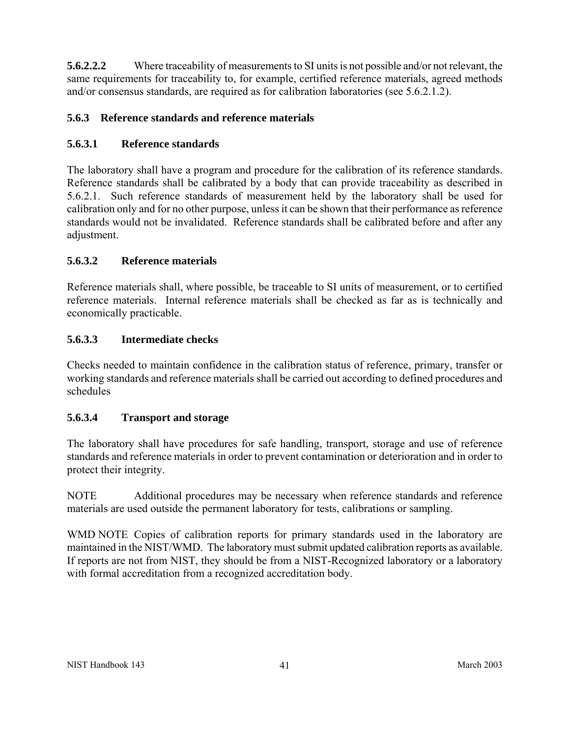**5.6.2.2.2** Where traceability of measurements to SI units is not possible and/or not relevant, the same requirements for traceability to, for example, certified reference materials, agreed methods and/or consensus standards, are required as for calibration laboratories (see 5.6.2.1.2).

# **5.6.3 Reference standards and reference materials**

# **5.6.3.1 Reference standards**

The laboratory shall have a program and procedure for the calibration of its reference standards. Reference standards shall be calibrated by a body that can provide traceability as described in 5.6.2.1. Such reference standards of measurement held by the laboratory shall be used for calibration only and for no other purpose, unless it can be shown that their performance as reference standards would not be invalidated. Reference standards shall be calibrated before and after any adjustment.

# **5.6.3.2 Reference materials**

Reference materials shall, where possible, be traceable to SI units of measurement, or to certified reference materials. Internal reference materials shall be checked as far as is technically and economically practicable.

### **5.6.3.3 Intermediate checks**

Checks needed to maintain confidence in the calibration status of reference, primary, transfer or working standards and reference materials shall be carried out according to defined procedures and schedules

### **5.6.3.4 Transport and storage**

The laboratory shall have procedures for safe handling, transport, storage and use of reference standards and reference materials in order to prevent contamination or deterioration and in order to protect their integrity.

NOTE Additional procedures may be necessary when reference standards and reference materials are used outside the permanent laboratory for tests, calibrations or sampling.

WMD NOTE Copies of calibration reports for primary standards used in the laboratory are maintained in the NIST/WMD. The laboratory must submit updated calibration reports as available. If reports are not from NIST, they should be from a NIST-Recognized laboratory or a laboratory with formal accreditation from a recognized accreditation body.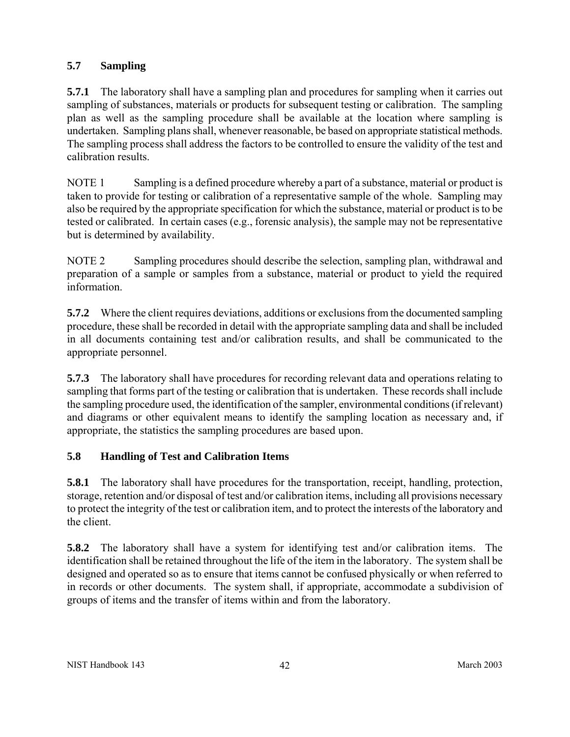### **5.7 Sampling**

**5.7.1** The laboratory shall have a sampling plan and procedures for sampling when it carries out sampling of substances, materials or products for subsequent testing or calibration. The sampling plan as well as the sampling procedure shall be available at the location where sampling is undertaken. Sampling plans shall, whenever reasonable, be based on appropriate statistical methods. The sampling process shall address the factors to be controlled to ensure the validity of the test and calibration results.

NOTE 1 Sampling is a defined procedure whereby a part of a substance, material or product is taken to provide for testing or calibration of a representative sample of the whole. Sampling may also be required by the appropriate specification for which the substance, material or product is to be tested or calibrated. In certain cases (e.g., forensic analysis), the sample may not be representative but is determined by availability.

NOTE 2 Sampling procedures should describe the selection, sampling plan, withdrawal and preparation of a sample or samples from a substance, material or product to yield the required information.

**5.7.2** Where the client requires deviations, additions or exclusions from the documented sampling procedure, these shall be recorded in detail with the appropriate sampling data and shall be included in all documents containing test and/or calibration results, and shall be communicated to the appropriate personnel.

**5.7.3** The laboratory shall have procedures for recording relevant data and operations relating to sampling that forms part of the testing or calibration that is undertaken. These records shall include the sampling procedure used, the identification of the sampler, environmental conditions (if relevant) and diagrams or other equivalent means to identify the sampling location as necessary and, if appropriate, the statistics the sampling procedures are based upon.

### **5.8 Handling of Test and Calibration Items**

**5.8.1** The laboratory shall have procedures for the transportation, receipt, handling, protection, storage, retention and/or disposal of test and/or calibration items, including all provisions necessary to protect the integrity of the test or calibration item, and to protect the interests of the laboratory and the client.

**5.8.2** The laboratory shall have a system for identifying test and/or calibration items. The identification shall be retained throughout the life of the item in the laboratory. The system shall be designed and operated so as to ensure that items cannot be confused physically or when referred to in records or other documents. The system shall, if appropriate, accommodate a subdivision of groups of items and the transfer of items within and from the laboratory.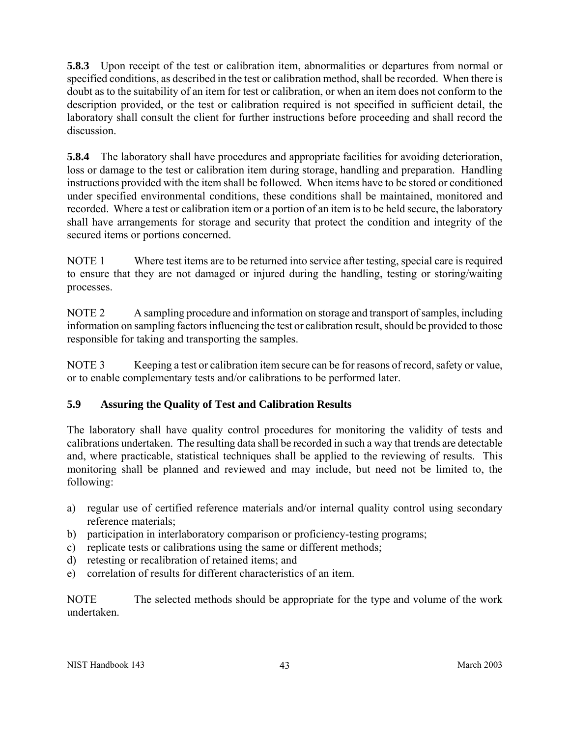**5.8.3** Upon receipt of the test or calibration item, abnormalities or departures from normal or specified conditions, as described in the test or calibration method, shall be recorded. When there is doubt as to the suitability of an item for test or calibration, or when an item does not conform to the description provided, or the test or calibration required is not specified in sufficient detail, the laboratory shall consult the client for further instructions before proceeding and shall record the discussion.

**5.8.4** The laboratory shall have procedures and appropriate facilities for avoiding deterioration, loss or damage to the test or calibration item during storage, handling and preparation. Handling instructions provided with the item shall be followed. When items have to be stored or conditioned under specified environmental conditions, these conditions shall be maintained, monitored and recorded. Where a test or calibration item or a portion of an item is to be held secure, the laboratory shall have arrangements for storage and security that protect the condition and integrity of the secured items or portions concerned.

NOTE 1 Where test items are to be returned into service after testing, special care is required to ensure that they are not damaged or injured during the handling, testing or storing/waiting processes.

NOTE 2 A sampling procedure and information on storage and transport of samples, including information on sampling factors influencing the test or calibration result, should be provided to those responsible for taking and transporting the samples.

NOTE 3 Keeping a test or calibration item secure can be for reasons of record, safety or value, or to enable complementary tests and/or calibrations to be performed later.

# **5.9 Assuring the Quality of Test and Calibration Results**

The laboratory shall have quality control procedures for monitoring the validity of tests and calibrations undertaken. The resulting data shall be recorded in such a way that trends are detectable and, where practicable, statistical techniques shall be applied to the reviewing of results. This monitoring shall be planned and reviewed and may include, but need not be limited to, the following:

- a) regular use of certified reference materials and/or internal quality control using secondary reference materials;
- b) participation in interlaboratory comparison or proficiency-testing programs;
- c) replicate tests or calibrations using the same or different methods;
- d) retesting or recalibration of retained items; and
- e) correlation of results for different characteristics of an item.

NOTE The selected methods should be appropriate for the type and volume of the work undertaken.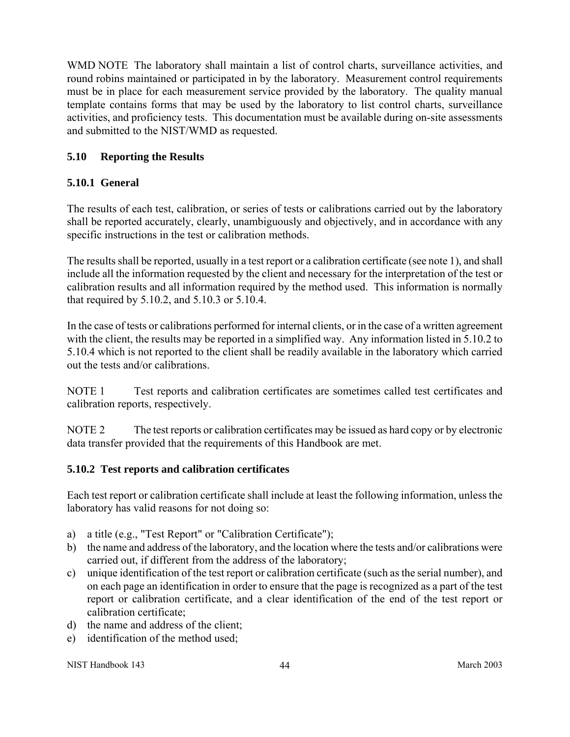WMD NOTE The laboratory shall maintain a list of control charts, surveillance activities, and round robins maintained or participated in by the laboratory. Measurement control requirements must be in place for each measurement service provided by the laboratory. The quality manual template contains forms that may be used by the laboratory to list control charts, surveillance activities, and proficiency tests. This documentation must be available during on-site assessments and submitted to the NIST/WMD as requested.

### **5.10 Reporting the Results**

# **5.10.1 General**

The results of each test, calibration, or series of tests or calibrations carried out by the laboratory shall be reported accurately, clearly, unambiguously and objectively, and in accordance with any specific instructions in the test or calibration methods.

The results shall be reported, usually in a test report or a calibration certificate (see note 1), and shall include all the information requested by the client and necessary for the interpretation of the test or calibration results and all information required by the method used. This information is normally that required by 5.10.2, and 5.10.3 or 5.10.4.

In the case of tests or calibrations performed for internal clients, or in the case of a written agreement with the client, the results may be reported in a simplified way. Any information listed in 5.10.2 to 5.10.4 which is not reported to the client shall be readily available in the laboratory which carried out the tests and/or calibrations.

NOTE 1 Test reports and calibration certificates are sometimes called test certificates and calibration reports, respectively.

NOTE 2 The test reports or calibration certificates may be issued as hard copy or by electronic data transfer provided that the requirements of this Handbook are met.

### **5.10.2 Test reports and calibration certificates**

Each test report or calibration certificate shall include at least the following information, unless the laboratory has valid reasons for not doing so:

- a) a title (e.g., "Test Report" or "Calibration Certificate");
- b) the name and address of the laboratory, and the location where the tests and/or calibrations were carried out, if different from the address of the laboratory;
- c) unique identification of the test report or calibration certificate (such as the serial number), and on each page an identification in order to ensure that the page is recognized as a part of the test report or calibration certificate, and a clear identification of the end of the test report or calibration certificate;
- d) the name and address of the client;
- e) identification of the method used;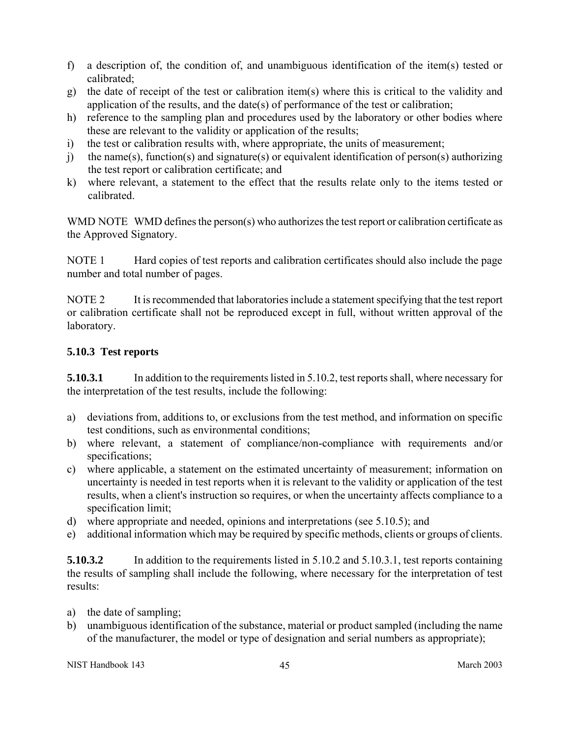- f) a description of, the condition of, and unambiguous identification of the item(s) tested or calibrated;
- g) the date of receipt of the test or calibration item(s) where this is critical to the validity and application of the results, and the date(s) of performance of the test or calibration;
- h) reference to the sampling plan and procedures used by the laboratory or other bodies where these are relevant to the validity or application of the results;
- i) the test or calibration results with, where appropriate, the units of measurement;
- j) the name(s), function(s) and signature(s) or equivalent identification of person(s) authorizing the test report or calibration certificate; and
- k) where relevant, a statement to the effect that the results relate only to the items tested or calibrated.

WMD NOTE WMD defines the person(s) who authorizes the test report or calibration certificate as the Approved Signatory.

NOTE 1 Hard copies of test reports and calibration certificates should also include the page number and total number of pages.

NOTE 2 It is recommended that laboratories include a statement specifying that the test report or calibration certificate shall not be reproduced except in full, without written approval of the laboratory.

#### **5.10.3 Test reports**

**5.10.3.1** In addition to the requirements listed in 5.10.2, test reports shall, where necessary for the interpretation of the test results, include the following:

- a) deviations from, additions to, or exclusions from the test method, and information on specific test conditions, such as environmental conditions;
- b) where relevant, a statement of compliance/non-compliance with requirements and/or specifications;
- c) where applicable, a statement on the estimated uncertainty of measurement; information on uncertainty is needed in test reports when it is relevant to the validity or application of the test results, when a client's instruction so requires, or when the uncertainty affects compliance to a specification limit;
- d) where appropriate and needed, opinions and interpretations (see 5.10.5); and
- e) additional information which may be required by specific methods, clients or groups of clients.

**5.10.3.2** In addition to the requirements listed in 5.10.2 and 5.10.3.1, test reports containing the results of sampling shall include the following, where necessary for the interpretation of test results:

- a) the date of sampling;
- b) unambiguous identification of the substance, material or product sampled (including the name of the manufacturer, the model or type of designation and serial numbers as appropriate);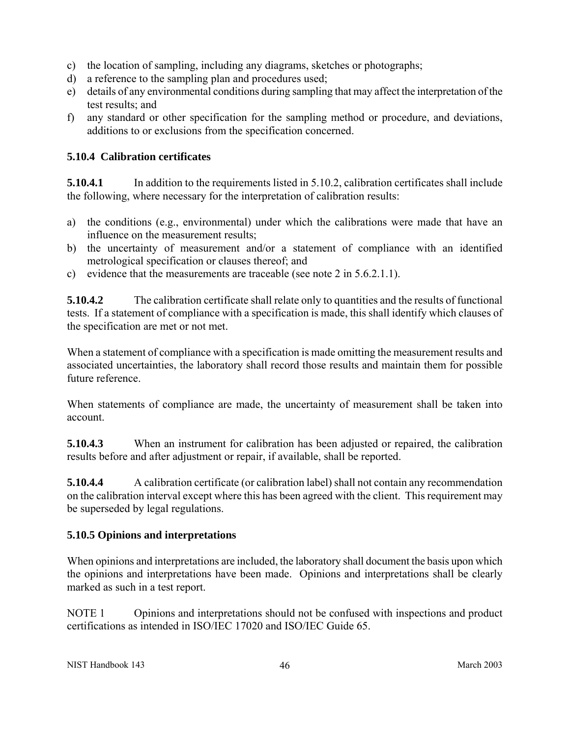- c) the location of sampling, including any diagrams, sketches or photographs;
- d) a reference to the sampling plan and procedures used;
- e) details of any environmental conditions during sampling that may affect the interpretation of the test results; and
- f) any standard or other specification for the sampling method or procedure, and deviations, additions to or exclusions from the specification concerned.

## **5.10.4 Calibration certificates**

**5.10.4.1** In addition to the requirements listed in 5.10.2, calibration certificates shall include the following, where necessary for the interpretation of calibration results:

- a) the conditions (e.g., environmental) under which the calibrations were made that have an influence on the measurement results;
- b) the uncertainty of measurement and/or a statement of compliance with an identified metrological specification or clauses thereof; and
- c) evidence that the measurements are traceable (see note 2 in 5.6.2.1.1).

**5.10.4.2** The calibration certificate shall relate only to quantities and the results of functional tests. If a statement of compliance with a specification is made, this shall identify which clauses of the specification are met or not met.

When a statement of compliance with a specification is made omitting the measurement results and associated uncertainties, the laboratory shall record those results and maintain them for possible future reference.

When statements of compliance are made, the uncertainty of measurement shall be taken into account.

**5.10.4.3** When an instrument for calibration has been adjusted or repaired, the calibration results before and after adjustment or repair, if available, shall be reported.

**5.10.4.4** A calibration certificate (or calibration label) shall not contain any recommendation on the calibration interval except where this has been agreed with the client. This requirement may be superseded by legal regulations.

### **5.10.5 Opinions and interpretations**

When opinions and interpretations are included, the laboratory shall document the basis upon which the opinions and interpretations have been made. Opinions and interpretations shall be clearly marked as such in a test report.

NOTE 1 Opinions and interpretations should not be confused with inspections and product certifications as intended in ISO/IEC 17020 and ISO/IEC Guide 65.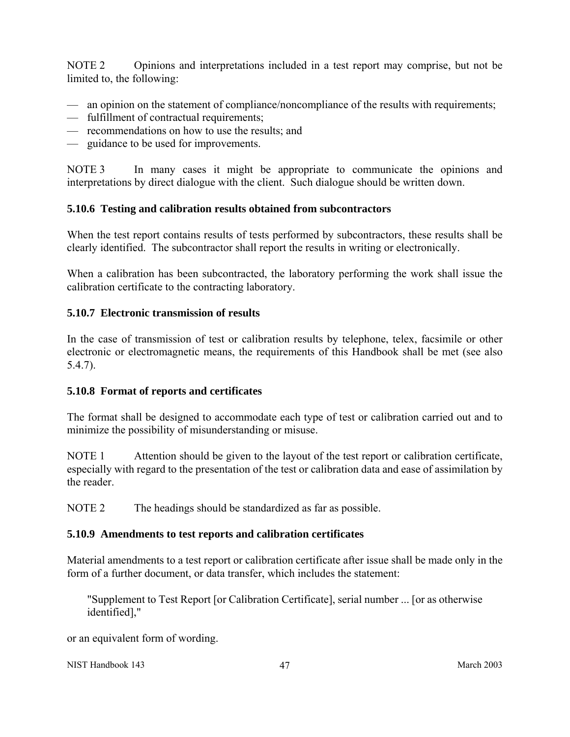NOTE 2 Opinions and interpretations included in a test report may comprise, but not be limited to, the following:

- an opinion on the statement of compliance/noncompliance of the results with requirements;
- fulfillment of contractual requirements;
- recommendations on how to use the results; and
- guidance to be used for improvements.

NOTE 3 In many cases it might be appropriate to communicate the opinions and interpretations by direct dialogue with the client. Such dialogue should be written down.

#### **5.10.6 Testing and calibration results obtained from subcontractors**

When the test report contains results of tests performed by subcontractors, these results shall be clearly identified. The subcontractor shall report the results in writing or electronically.

When a calibration has been subcontracted, the laboratory performing the work shall issue the calibration certificate to the contracting laboratory.

#### **5.10.7 Electronic transmission of results**

In the case of transmission of test or calibration results by telephone, telex, facsimile or other electronic or electromagnetic means, the requirements of this Handbook shall be met (see also 5.4.7).

#### **5.10.8 Format of reports and certificates**

The format shall be designed to accommodate each type of test or calibration carried out and to minimize the possibility of misunderstanding or misuse.

NOTE 1 Attention should be given to the layout of the test report or calibration certificate, especially with regard to the presentation of the test or calibration data and ease of assimilation by the reader.

NOTE 2 The headings should be standardized as far as possible.

#### **5.10.9 Amendments to test reports and calibration certificates**

Material amendments to a test report or calibration certificate after issue shall be made only in the form of a further document, or data transfer, which includes the statement:

"Supplement to Test Report [or Calibration Certificate], serial number ... [or as otherwise identified],"

or an equivalent form of wording.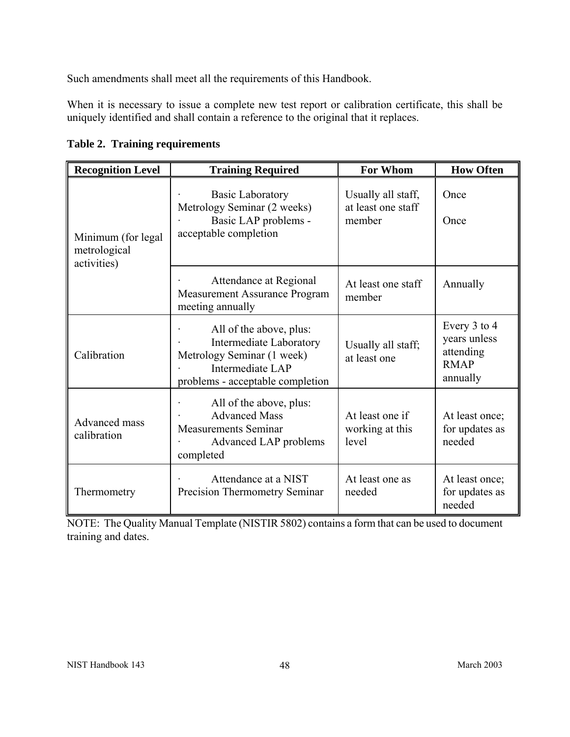Such amendments shall meet all the requirements of this Handbook.

When it is necessary to issue a complete new test report or calibration certificate, this shall be uniquely identified and shall contain a reference to the original that it replaces.

| <b>Recognition Level</b>                          | <b>Training Required</b>                                                                                                                 |                                                    | <b>How Often</b>                                                         |
|---------------------------------------------------|------------------------------------------------------------------------------------------------------------------------------------------|----------------------------------------------------|--------------------------------------------------------------------------|
| Minimum (for legal<br>metrological<br>activities) | <b>Basic Laboratory</b><br>Metrology Seminar (2 weeks)<br>Basic LAP problems -<br>acceptable completion                                  | Usually all staff,<br>at least one staff<br>member | Once<br>Once                                                             |
|                                                   | Attendance at Regional<br><b>Measurement Assurance Program</b><br>meeting annually                                                       | At least one staff<br>member                       | Annually                                                                 |
| Calibration                                       | All of the above, plus:<br>Intermediate Laboratory<br>Metrology Seminar (1 week)<br>Intermediate LAP<br>problems - acceptable completion | Usually all staff;<br>at least one                 | Every $3$ to $4$<br>years unless<br>attending<br><b>RMAP</b><br>annually |
| Advanced mass<br>calibration                      | All of the above, plus:<br><b>Advanced Mass</b><br><b>Measurements Seminar</b><br>Advanced LAP problems<br>completed                     |                                                    | At least once;<br>for updates as<br>needed                               |
|                                                   |                                                                                                                                          |                                                    |                                                                          |

**Table 2. Training requirements**

NOTE: The Quality Manual Template (NISTIR 5802) contains a form that can be used to document training and dates.

At least one as

needed

Attendance at a NIST Precision Thermometry Seminar

Thermometry

At least once; for updates as

needed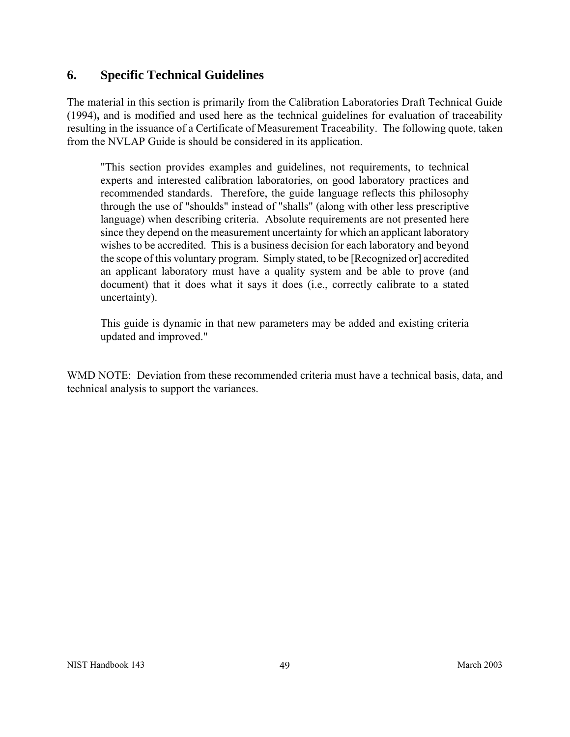# **6. Specific Technical Guidelines**

The material in this section is primarily from the Calibration Laboratories Draft Technical Guide (1994)**,** and is modified and used here as the technical guidelines for evaluation of traceability resulting in the issuance of a Certificate of Measurement Traceability. The following quote, taken from the NVLAP Guide is should be considered in its application.

"This section provides examples and guidelines, not requirements, to technical experts and interested calibration laboratories, on good laboratory practices and recommended standards. Therefore, the guide language reflects this philosophy through the use of "shoulds" instead of "shalls" (along with other less prescriptive language) when describing criteria. Absolute requirements are not presented here since they depend on the measurement uncertainty for which an applicant laboratory wishes to be accredited. This is a business decision for each laboratory and beyond the scope of this voluntary program. Simply stated, to be [Recognized or] accredited an applicant laboratory must have a quality system and be able to prove (and document) that it does what it says it does (i.e., correctly calibrate to a stated uncertainty).

This guide is dynamic in that new parameters may be added and existing criteria updated and improved."

WMD NOTE: Deviation from these recommended criteria must have a technical basis, data, and technical analysis to support the variances.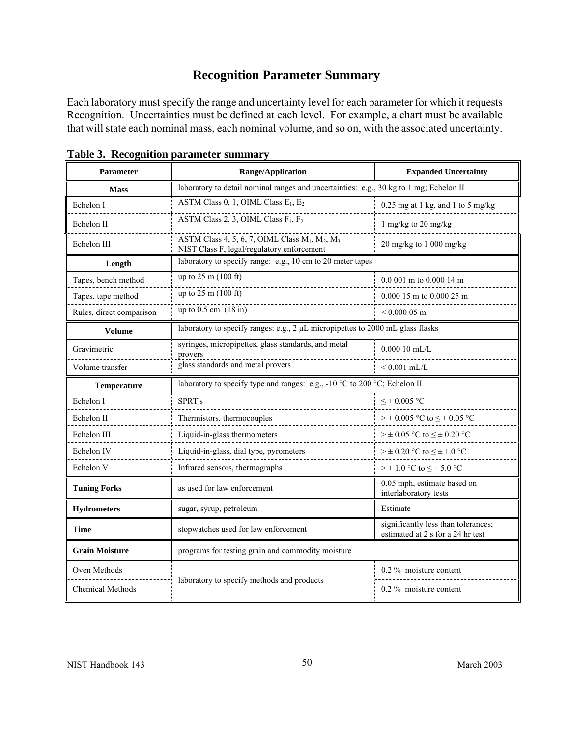# **Recognition Parameter Summary**

Each laboratory must specify the range and uncertainty level for each parameter for which it requests Recognition. Uncertainties must be defined at each level. For example, a chart must be available that will state each nominal mass, each nominal volume, and so on, with the associated uncertainty.

| Parameter                | Range/Application                                                                                     | <b>Expanded Uncertainty</b>                          |  |
|--------------------------|-------------------------------------------------------------------------------------------------------|------------------------------------------------------|--|
| <b>Mass</b>              | laboratory to detail nominal ranges and uncertainties: e.g., 30 kg to 1 mg; Echelon II                |                                                      |  |
| Echelon I                | ASTM Class 0, 1, OIML Class E <sub>1</sub> , E <sub>2</sub>                                           | $0.25$ mg at 1 kg, and 1 to 5 mg/kg                  |  |
| Echelon II               | ASTM Class 2, 3, OIML Class $F_1$ , $F_2$                                                             | 1 mg/kg to 20 mg/kg                                  |  |
| Echelon III              | ASTM Class 4, 5, 6, 7, OIML Class $M_1$ , $M_2$ , $M_3$<br>NIST Class F, legal/regulatory enforcement | 20 mg/kg to 1 000 mg/kg                              |  |
| Length                   | laboratory to specify range: e.g., 10 cm to 20 meter tapes                                            |                                                      |  |
| Tapes, bench method      | up to $25 \text{ m} (100 \text{ ft})$                                                                 | $0.0001$ m to $0.00014$ m                            |  |
| Tapes, tape method       | up to $25 \text{ m} (100 \text{ ft})$                                                                 | 0.000 15 m to 0.000 25 m                             |  |
| Rules, direct comparison | up to $0.5$ cm $(18$ in)                                                                              | $< 0.00005$ m                                        |  |
| <b>Volume</b>            | laboratory to specify ranges: e.g., 2 µL micropipettes to 2000 mL glass flasks                        |                                                      |  |
| Gravimetric              | syringes, micropipettes, glass standards, and metal<br>provers                                        | $0.00010$ mL/L                                       |  |
| Volume transfer          | glass standards and metal provers                                                                     | $< 0.001$ mL/L                                       |  |
| <b>Temperature</b>       | laboratory to specify type and ranges: e.g., -10 °C to 200 °C; Echelon II                             |                                                      |  |
| Echelon I                | SPRT's                                                                                                | $\leq \pm 0.005$ °C                                  |  |
| Echelon II               | Thermistors, thermocouples                                                                            | $> \pm 0.005$ °C to $\leq \pm 0.05$ °C               |  |
| Echelon III              | Liquid-in-glass thermometers<br>.                                                                     | $> \pm 0.05$ °C to $\leq \pm 0.20$ °C                |  |
| Echelon IV               | Liquid-in-glass, dial type, pyrometers                                                                | $> \pm 0.20$ °C to $\leq \pm 1.0$ °C                 |  |
| Echelon V                | Infrared sensors, thermographs                                                                        | $> \pm 1.0$ °C to $\leq \pm 5.0$ °C                  |  |
| <b>Tuning Forks</b>      | as used for law enforcement                                                                           | 0.05 mph, estimate based on<br>interlaboratory tests |  |
| <b>Hydrometers</b>       | sugar, syrup, petroleum                                                                               | Estimate                                             |  |
| Time                     | stopwatches used for law enforcement                                                                  |                                                      |  |
| <b>Grain Moisture</b>    | programs for testing grain and commodity moisture                                                     |                                                      |  |
| Oven Methods             |                                                                                                       | 0.2 % moisture content                               |  |
| <b>Chemical Methods</b>  | laboratory to specify methods and products                                                            | $0.2\%$ moisture content                             |  |

**Table 3. Recognition parameter summary**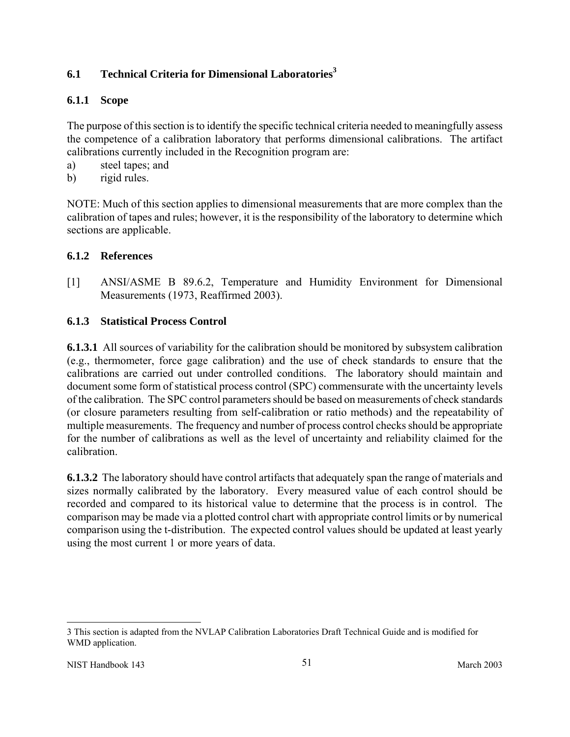# **6.1 Technical Criteria for Dimensional Laboratories3**

### **6.1.1 Scope**

The purpose of this section is to identify the specific technical criteria needed to meaningfully assess the competence of a calibration laboratory that performs dimensional calibrations. The artifact calibrations currently included in the Recognition program are:

- a) steel tapes; and
- b) rigid rules.

NOTE: Much of this section applies to dimensional measurements that are more complex than the calibration of tapes and rules; however, it is the responsibility of the laboratory to determine which sections are applicable.

#### **6.1.2 References**

[1] ANSI/ASME B 89.6.2, Temperature and Humidity Environment for Dimensional Measurements (1973, Reaffirmed 2003).

### **6.1.3 Statistical Process Control**

**6.1.3.1** All sources of variability for the calibration should be monitored by subsystem calibration (e.g., thermometer, force gage calibration) and the use of check standards to ensure that the calibrations are carried out under controlled conditions. The laboratory should maintain and document some form of statistical process control (SPC) commensurate with the uncertainty levels of the calibration. The SPC control parameters should be based on measurements of check standards (or closure parameters resulting from self-calibration or ratio methods) and the repeatability of multiple measurements. The frequency and number of process control checks should be appropriate for the number of calibrations as well as the level of uncertainty and reliability claimed for the calibration.

**6.1.3.2** The laboratory should have control artifacts that adequately span the range of materials and sizes normally calibrated by the laboratory. Every measured value of each control should be recorded and compared to its historical value to determine that the process is in control. The comparison may be made via a plotted control chart with appropriate control limits or by numerical comparison using the t-distribution. The expected control values should be updated at least yearly using the most current 1 or more years of data.

l

<sup>3</sup> This section is adapted from the NVLAP Calibration Laboratories Draft Technical Guide and is modified for WMD application.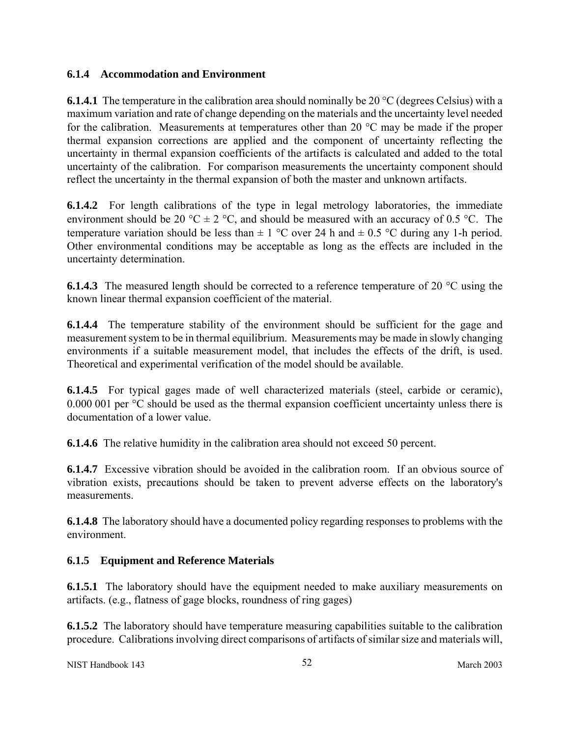#### **6.1.4 Accommodation and Environment**

**6.1.4.1** The temperature in the calibration area should nominally be 20 °C (degrees Celsius) with a maximum variation and rate of change depending on the materials and the uncertainty level needed for the calibration. Measurements at temperatures other than 20 °C may be made if the proper thermal expansion corrections are applied and the component of uncertainty reflecting the uncertainty in thermal expansion coefficients of the artifacts is calculated and added to the total uncertainty of the calibration. For comparison measurements the uncertainty component should reflect the uncertainty in the thermal expansion of both the master and unknown artifacts.

**6.1.4.2** For length calibrations of the type in legal metrology laboratories, the immediate environment should be 20 °C  $\pm$  2 °C, and should be measured with an accuracy of 0.5 °C. The temperature variation should be less than  $\pm 1$  °C over 24 h and  $\pm 0.5$  °C during any 1-h period. Other environmental conditions may be acceptable as long as the effects are included in the uncertainty determination.

**6.1.4.3** The measured length should be corrected to a reference temperature of 20 °C using the known linear thermal expansion coefficient of the material.

**6.1.4.4** The temperature stability of the environment should be sufficient for the gage and measurement system to be in thermal equilibrium. Measurements may be made in slowly changing environments if a suitable measurement model, that includes the effects of the drift, is used. Theoretical and experimental verification of the model should be available.

**6.1.4.5** For typical gages made of well characterized materials (steel, carbide or ceramic), 0.000 001 per  $\degree$ C should be used as the thermal expansion coefficient uncertainty unless there is documentation of a lower value.

**6.1.4.6** The relative humidity in the calibration area should not exceed 50 percent.

**6.1.4.7** Excessive vibration should be avoided in the calibration room. If an obvious source of vibration exists, precautions should be taken to prevent adverse effects on the laboratory's measurements.

**6.1.4.8** The laboratory should have a documented policy regarding responses to problems with the environment.

### **6.1.5 Equipment and Reference Materials**

**6.1.5.1** The laboratory should have the equipment needed to make auxiliary measurements on artifacts. (e.g., flatness of gage blocks, roundness of ring gages)

**6.1.5.2** The laboratory should have temperature measuring capabilities suitable to the calibration procedure. Calibrations involving direct comparisons of artifacts of similar size and materials will,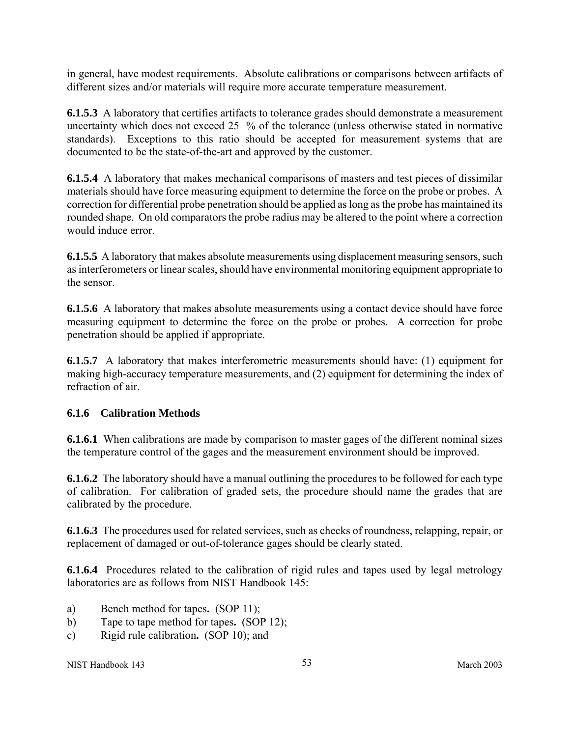in general, have modest requirements. Absolute calibrations or comparisons between artifacts of different sizes and/or materials will require more accurate temperature measurement.

**6.1.5.3** A laboratory that certifies artifacts to tolerance grades should demonstrate a measurement uncertainty which does not exceed 25 % of the tolerance (unless otherwise stated in normative standards). Exceptions to this ratio should be accepted for measurement systems that are documented to be the state-of-the-art and approved by the customer.

**6.1.5.4** A laboratory that makes mechanical comparisons of masters and test pieces of dissimilar materials should have force measuring equipment to determine the force on the probe or probes. A correction for differential probe penetration should be applied as long as the probe has maintained its rounded shape. On old comparators the probe radius may be altered to the point where a correction would induce error.

**6.1.5.5** A laboratory that makes absolute measurements using displacement measuring sensors, such as interferometers or linear scales, should have environmental monitoring equipment appropriate to the sensor.

**6.1.5.6** A laboratory that makes absolute measurements using a contact device should have force measuring equipment to determine the force on the probe or probes. A correction for probe penetration should be applied if appropriate.

**6.1.5.7** A laboratory that makes interferometric measurements should have: (1) equipment for making high-accuracy temperature measurements, and (2) equipment for determining the index of refraction of air.

### **6.1.6 Calibration Methods**

**6.1.6.1** When calibrations are made by comparison to master gages of the different nominal sizes the temperature control of the gages and the measurement environment should be improved.

**6.1.6.2** The laboratory should have a manual outlining the procedures to be followed for each type of calibration. For calibration of graded sets, the procedure should name the grades that are calibrated by the procedure.

**6.1.6.3** The procedures used for related services, such as checks of roundness, relapping, repair, or replacement of damaged or out-of-tolerance gages should be clearly stated.

**6.1.6.4** Procedures related to the calibration of rigid rules and tapes used by legal metrology laboratories are as follows from NIST Handbook  $145<sup>+</sup>$ 

- a) Bench method for tapes**.** (SOP 11);
- b) Tape to tape method for tapes**.** (SOP 12);
- c) Rigid rule calibration**.** (SOP 10); and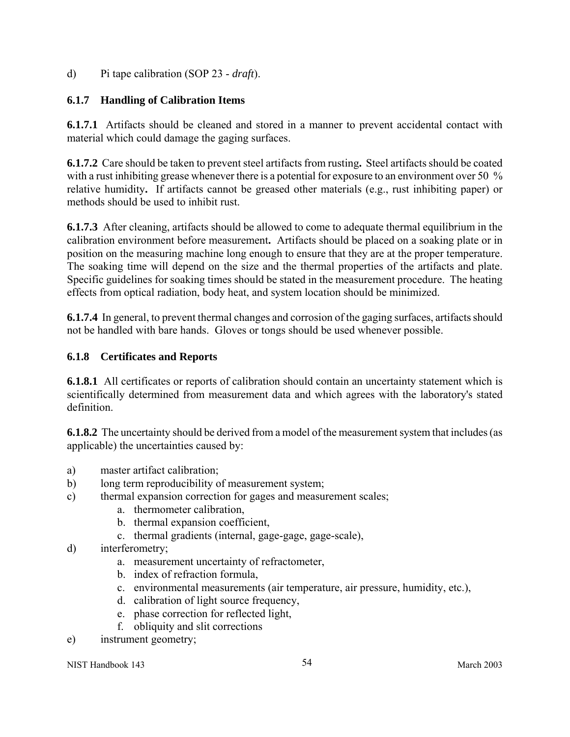d) Pi tape calibration (SOP 23 - *draft*).

### **6.1.7 Handling of Calibration Items**

**6.1.7.1** Artifacts should be cleaned and stored in a manner to prevent accidental contact with material which could damage the gaging surfaces.

**6.1.7.2** Care should be taken to prevent steel artifacts from rusting**.** Steel artifacts should be coated with a rust inhibiting grease whenever there is a potential for exposure to an environment over 50 % relative humidity**.** If artifacts cannot be greased other materials (e.g., rust inhibiting paper) or methods should be used to inhibit rust.

**6.1.7.3** After cleaning, artifacts should be allowed to come to adequate thermal equilibrium in the calibration environment before measurement**.** Artifacts should be placed on a soaking plate or in position on the measuring machine long enough to ensure that they are at the proper temperature. The soaking time will depend on the size and the thermal properties of the artifacts and plate. Specific guidelines for soaking times should be stated in the measurement procedure. The heating effects from optical radiation, body heat, and system location should be minimized.

**6.1.7.4** In general, to prevent thermal changes and corrosion of the gaging surfaces, artifacts should not be handled with bare hands. Gloves or tongs should be used whenever possible.

### **6.1.8 Certificates and Reports**

**6.1.8.1** All certificates or reports of calibration should contain an uncertainty statement which is scientifically determined from measurement data and which agrees with the laboratory's stated definition.

**6.1.8.2** The uncertainty should be derived from a model of the measurement system that includes (as applicable) the uncertainties caused by:

- a) master artifact calibration;
- b) long term reproducibility of measurement system;
- c) thermal expansion correction for gages and measurement scales;
	- a. thermometer calibration,
	- b. thermal expansion coefficient,
	- c. thermal gradients (internal, gage-gage, gage-scale),
- d) interferometry;
	- a. measurement uncertainty of refractometer,
	- b. index of refraction formula,
	- c. environmental measurements (air temperature, air pressure, humidity, etc.),
	- d. calibration of light source frequency,
	- e. phase correction for reflected light,
	- f. obliquity and slit corrections
- e) instrument geometry;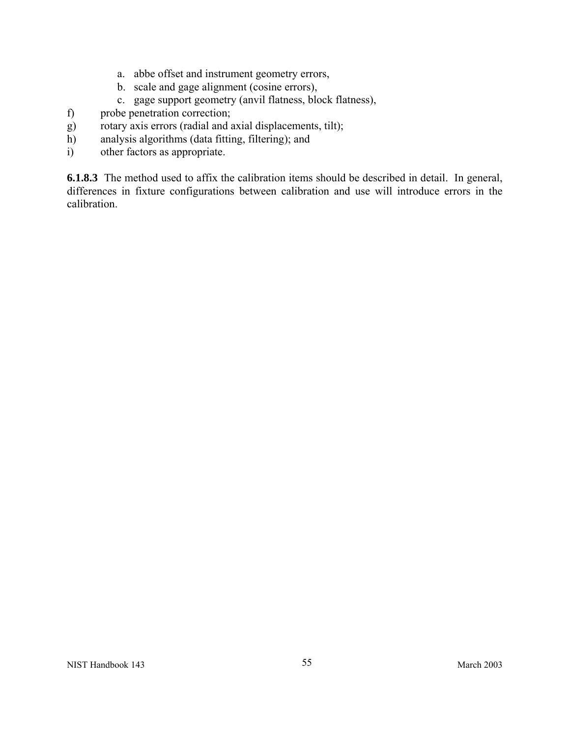- a. abbe offset and instrument geometry errors,
- b. scale and gage alignment (cosine errors),
- c. gage support geometry (anvil flatness, block flatness),
- f) probe penetration correction;
- g) rotary axis errors (radial and axial displacements, tilt);
- h) analysis algorithms (data fitting, filtering); and
- i) other factors as appropriate.

**6.1.8.3** The method used to affix the calibration items should be described in detail. In general, differences in fixture configurations between calibration and use will introduce errors in the calibration.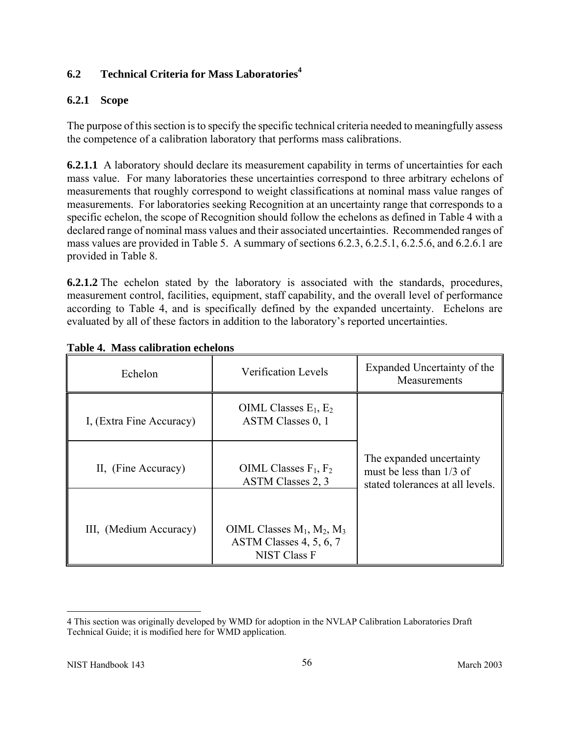# **6.2 Technical Criteria for Mass Laboratories4**

### **6.2.1 Scope**

The purpose of this section is to specify the specific technical criteria needed to meaningfully assess the competence of a calibration laboratory that performs mass calibrations.

**6.2.1.1** A laboratory should declare its measurement capability in terms of uncertainties for each mass value. For many laboratories these uncertainties correspond to three arbitrary echelons of measurements that roughly correspond to weight classifications at nominal mass value ranges of measurements. For laboratories seeking Recognition at an uncertainty range that corresponds to a specific echelon, the scope of Recognition should follow the echelons as defined in Table 4 with a declared range of nominal mass values and their associated uncertainties. Recommended ranges of mass values are provided in Table 5. A summary of sections 6.2.3, 6.2.5.1, 6.2.5.6, and 6.2.6.1 are provided in Table 8.

**6.2.1.2** The echelon stated by the laboratory is associated with the standards, procedures, measurement control, facilities, equipment, staff capability, and the overall level of performance according to Table 4, and is specifically defined by the expanded uncertainty. Echelons are evaluated by all of these factors in addition to the laboratory's reported uncertainties.

| Echelon                  | <b>Verification Levels</b>                                                           | Expanded Uncertainty of the<br>Measurements                                                |
|--------------------------|--------------------------------------------------------------------------------------|--------------------------------------------------------------------------------------------|
| I, (Extra Fine Accuracy) | OIML Classes $E_1, E_2$<br>ASTM Classes 0, 1                                         |                                                                                            |
| II, (Fine Accuracy)      | OIML Classes $F_1, F_2$<br>ASTM Classes 2, 3                                         | The expanded uncertainty<br>must be less than $1/3$ of<br>stated tolerances at all levels. |
| III, (Medium Accuracy)   | OIML Classes $M_1$ , $M_2$ , $M_3$<br>ASTM Classes 4, 5, 6, 7<br><b>NIST Class F</b> |                                                                                            |

#### **Table 4. Mass calibration echelons**

l

<sup>4</sup> This section was originally developed by WMD for adoption in the NVLAP Calibration Laboratories Draft Technical Guide; it is modified here for WMD application.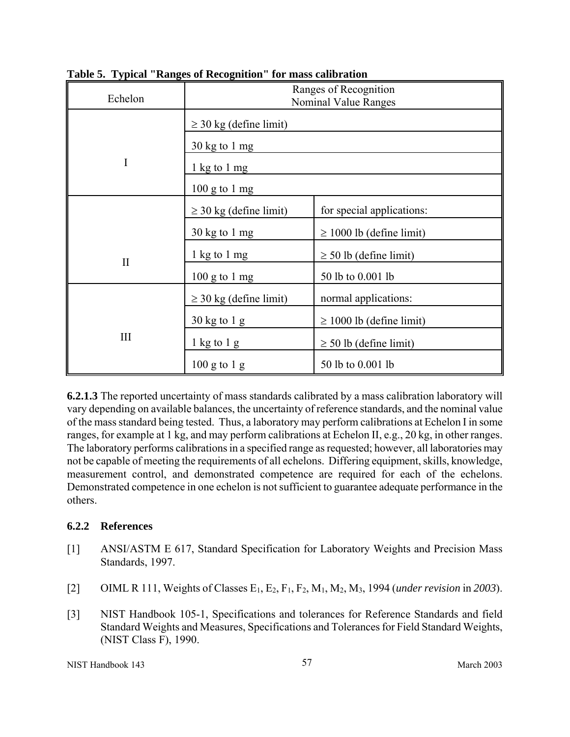| Echelon      | Ranges of Recognition           |                               |  |
|--------------|---------------------------------|-------------------------------|--|
|              | <b>Nominal Value Ranges</b>     |                               |  |
|              | $\geq$ 30 kg (define limit)     |                               |  |
|              | $30 \text{ kg}$ to 1 mg         |                               |  |
| I            | 1 kg to $1 \text{ mg}$          |                               |  |
|              | $100$ g to $1$ mg               |                               |  |
|              | $\geq$ 30 kg (define limit)     | for special applications:     |  |
|              | $30 \text{ kg}$ to 1 mg         | $\geq 1000$ lb (define limit) |  |
| $\mathbf{I}$ | 1 kg to 1 mg                    | $\geq$ 50 lb (define limit)   |  |
|              | $100$ g to $1$ mg               | 50 lb to 0.001 lb             |  |
|              | $\geq$ 30 kg (define limit)     | normal applications:          |  |
|              | $30 \text{ kg}$ to 1 g          | $\geq 1000$ lb (define limit) |  |
| III          | $1 \text{ kg}$ to $1 \text{ g}$ | $\geq$ 50 lb (define limit)   |  |
|              | $100$ g to $1$ g                | 50 lb to 0.001 lb             |  |

**Table 5. Typical "Ranges of Recognition" for mass calibration** 

**6.2.1.3** The reported uncertainty of mass standards calibrated by a mass calibration laboratory will vary depending on available balances, the uncertainty of reference standards, and the nominal value of the mass standard being tested. Thus, a laboratory may perform calibrations at Echelon I in some ranges, for example at 1 kg, and may perform calibrations at Echelon II, e.g., 20 kg, in other ranges. The laboratory performs calibrations in a specified range as requested; however, all laboratories may not be capable of meeting the requirements of all echelons. Differing equipment, skills, knowledge, measurement control, and demonstrated competence are required for each of the echelons. Demonstrated competence in one echelon is not sufficient to guarantee adequate performance in the others.

#### **6.2.2 References**

- [1] ANSI/ASTM E 617, Standard Specification for Laboratory Weights and Precision Mass Standards, 1997.
- [2] OIML R 111, Weights of Classes E1, E2, F1, F2, M1, M2, M3, 1994 (*under revision* in *2003*).
- [3] NIST Handbook 105-1, Specifications and tolerances for Reference Standards and field Standard Weights and Measures, Specifications and Tolerances for Field Standard Weights, (NIST Class F), 1990.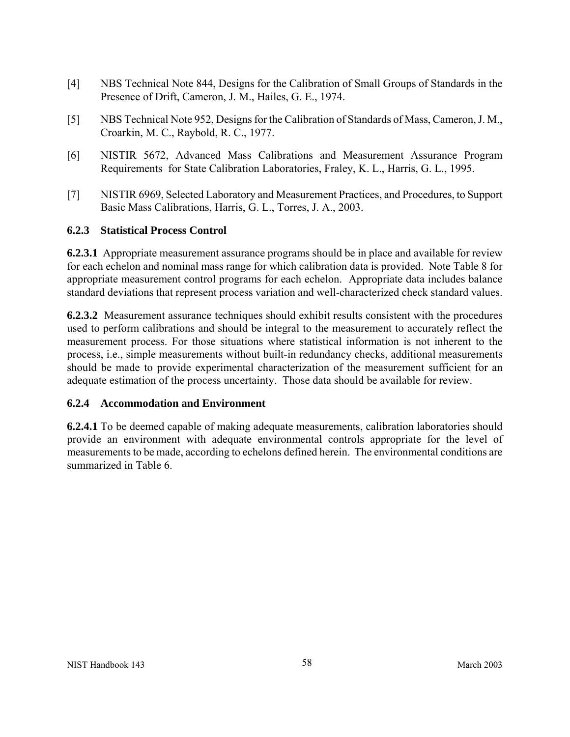- [4] NBS Technical Note 844, Designs for the Calibration of Small Groups of Standards in the Presence of Drift, Cameron, J. M., Hailes, G. E., 1974.
- [5] NBS Technical Note 952, Designs for the Calibration of Standards of Mass, Cameron, J. M., Croarkin, M. C., Raybold, R. C., 1977.
- [6] NISTIR 5672, Advanced Mass Calibrations and Measurement Assurance Program Requirements for State Calibration Laboratories, Fraley, K. L., Harris, G. L., 1995.
- [7] NISTIR 6969, Selected Laboratory and Measurement Practices, and Procedures, to Support Basic Mass Calibrations, Harris, G. L., Torres, J. A., 2003.

#### **6.2.3 Statistical Process Control**

**6.2.3.1** Appropriate measurement assurance programs should be in place and available for review for each echelon and nominal mass range for which calibration data is provided. Note Table 8 for appropriate measurement control programs for each echelon. Appropriate data includes balance standard deviations that represent process variation and well-characterized check standard values.

**6.2.3.2** Measurement assurance techniques should exhibit results consistent with the procedures used to perform calibrations and should be integral to the measurement to accurately reflect the measurement process. For those situations where statistical information is not inherent to the process, i.e., simple measurements without built-in redundancy checks, additional measurements should be made to provide experimental characterization of the measurement sufficient for an adequate estimation of the process uncertainty. Those data should be available for review.

#### **6.2.4 Accommodation and Environment**

**6.2.4.1** To be deemed capable of making adequate measurements, calibration laboratories should provide an environment with adequate environmental controls appropriate for the level of measurements to be made, according to echelons defined herein. The environmental conditions are summarized in Table 6.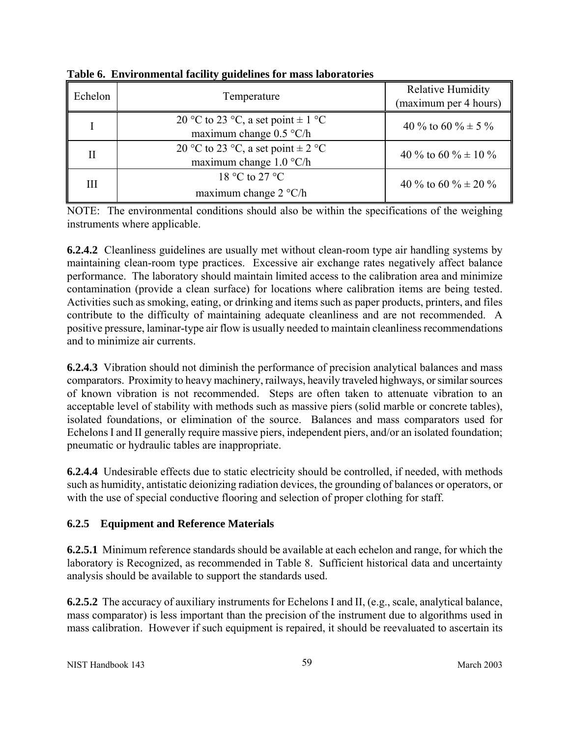| Echelon  | Temperature                                                                | <b>Relative Humidity</b><br>(maximum per 4 hours) |
|----------|----------------------------------------------------------------------------|---------------------------------------------------|
|          | 20 °C to 23 °C, a set point $\pm$ 1 °C<br>maximum change $0.5 \degree C/h$ | 40 % to 60 % $\pm$ 5 %                            |
| $\rm II$ | 20 °C to 23 °C, a set point $\pm$ 2 °C<br>maximum change $1.0 \degree C/h$ | 40 % to 60 % $\pm$ 10 %                           |
| Ш        | 18 °C to 27 °C<br>maximum change $2 °C/h$                                  | 40 % to 60 % $\pm$ 20 %                           |

**Table 6. Environmental facility guidelines for mass laboratories**

NOTE: The environmental conditions should also be within the specifications of the weighing instruments where applicable.

**6.2.4.2** Cleanliness guidelines are usually met without clean-room type air handling systems by maintaining clean-room type practices. Excessive air exchange rates negatively affect balance performance. The laboratory should maintain limited access to the calibration area and minimize contamination (provide a clean surface) for locations where calibration items are being tested. Activities such as smoking, eating, or drinking and items such as paper products, printers, and files contribute to the difficulty of maintaining adequate cleanliness and are not recommended. A positive pressure, laminar-type air flow is usually needed to maintain cleanliness recommendations and to minimize air currents.

**6.2.4.3** Vibration should not diminish the performance of precision analytical balances and mass comparators. Proximity to heavy machinery, railways, heavily traveled highways, or similar sources of known vibration is not recommended. Steps are often taken to attenuate vibration to an acceptable level of stability with methods such as massive piers (solid marble or concrete tables), isolated foundations, or elimination of the source. Balances and mass comparators used for Echelons I and II generally require massive piers, independent piers, and/or an isolated foundation; pneumatic or hydraulic tables are inappropriate.

**6.2.4.4** Undesirable effects due to static electricity should be controlled, if needed, with methods such as humidity, antistatic deionizing radiation devices, the grounding of balances or operators, or with the use of special conductive flooring and selection of proper clothing for staff.

### **6.2.5 Equipment and Reference Materials**

**6.2.5.1** Minimum reference standards should be available at each echelon and range, for which the laboratory is Recognized, as recommended in Table 8. Sufficient historical data and uncertainty analysis should be available to support the standards used.

**6.2.5.2** The accuracy of auxiliary instruments for Echelons I and II, (e.g., scale, analytical balance, mass comparator) is less important than the precision of the instrument due to algorithms used in mass calibration. However if such equipment is repaired, it should be reevaluated to ascertain its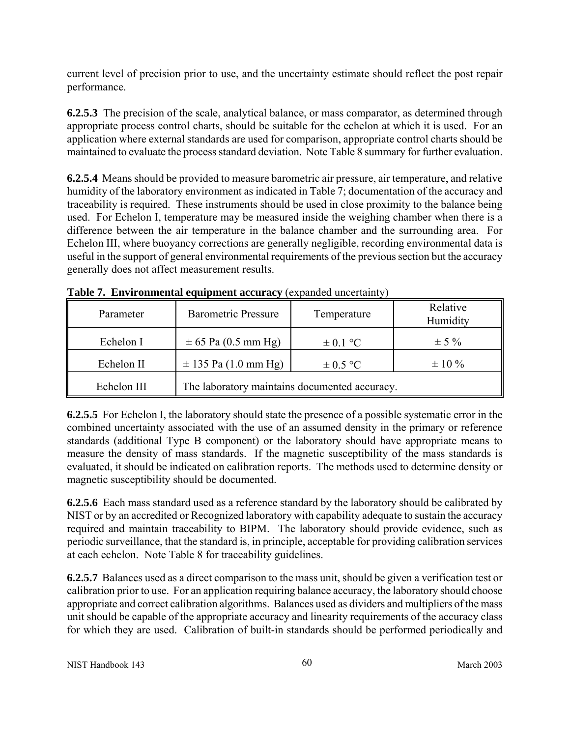current level of precision prior to use, and the uncertainty estimate should reflect the post repair performance.

**6.2.5.3** The precision of the scale, analytical balance, or mass comparator, as determined through appropriate process control charts, should be suitable for the echelon at which it is used. For an application where external standards are used for comparison, appropriate control charts should be maintained to evaluate the process standard deviation. Note Table 8 summary for further evaluation.

**6.2.5.4** Means should be provided to measure barometric air pressure, air temperature, and relative humidity of the laboratory environment as indicated in Table 7; documentation of the accuracy and traceability is required. These instruments should be used in close proximity to the balance being used. For Echelon I, temperature may be measured inside the weighing chamber when there is a difference between the air temperature in the balance chamber and the surrounding area. For Echelon III, where buoyancy corrections are generally negligible, recording environmental data is useful in the support of general environmental requirements of the previous section but the accuracy generally does not affect measurement results.

| Parameter   | <b>Barometric Pressure</b>                    | Temperature  | Relative<br>Humidity |
|-------------|-----------------------------------------------|--------------|----------------------|
| Echelon I   | $\pm 65$ Pa (0.5 mm Hg)                       | $\pm$ 0.1 °C | $\pm$ 5 %            |
| Echelon II  | $\pm$ 135 Pa (1.0 mm Hg)<br>$\pm 0.5$ °C      |              | $\pm 10 \%$          |
| Echelon III | The laboratory maintains documented accuracy. |              |                      |

**Table 7. Environmental equipment accuracy** (expanded uncertainty)

**6.2.5.5** For Echelon I, the laboratory should state the presence of a possible systematic error in the combined uncertainty associated with the use of an assumed density in the primary or reference standards (additional Type B component) or the laboratory should have appropriate means to measure the density of mass standards. If the magnetic susceptibility of the mass standards is evaluated, it should be indicated on calibration reports. The methods used to determine density or magnetic susceptibility should be documented.

**6.2.5.6** Each mass standard used as a reference standard by the laboratory should be calibrated by NIST or by an accredited or Recognized laboratory with capability adequate to sustain the accuracy required and maintain traceability to BIPM. The laboratory should provide evidence, such as periodic surveillance, that the standard is, in principle, acceptable for providing calibration services at each echelon. Note Table 8 for traceability guidelines.

**6.2.5.7** Balances used as a direct comparison to the mass unit, should be given a verification test or calibration prior to use. For an application requiring balance accuracy, the laboratory should choose appropriate and correct calibration algorithms. Balances used as dividers and multipliers of the mass unit should be capable of the appropriate accuracy and linearity requirements of the accuracy class for which they are used. Calibration of built-in standards should be performed periodically and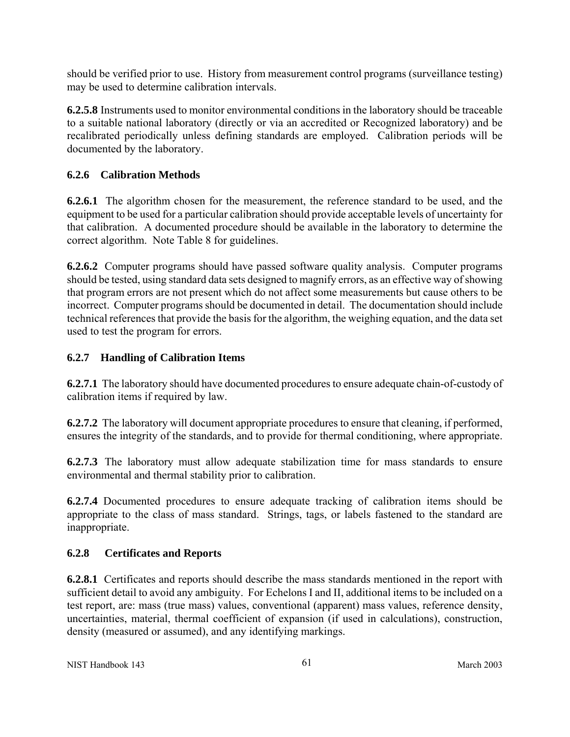should be verified prior to use. History from measurement control programs (surveillance testing) may be used to determine calibration intervals.

**6.2.5.8** Instruments used to monitor environmental conditions in the laboratory should be traceable to a suitable national laboratory (directly or via an accredited or Recognized laboratory) and be recalibrated periodically unless defining standards are employed. Calibration periods will be documented by the laboratory.

## **6.2.6 Calibration Methods**

**6.2.6.1** The algorithm chosen for the measurement, the reference standard to be used, and the equipment to be used for a particular calibration should provide acceptable levels of uncertainty for that calibration. A documented procedure should be available in the laboratory to determine the correct algorithm. Note Table 8 for guidelines.

**6.2.6.2** Computer programs should have passed software quality analysis. Computer programs should be tested, using standard data sets designed to magnify errors, as an effective way of showing that program errors are not present which do not affect some measurements but cause others to be incorrect. Computer programs should be documented in detail. The documentation should include technical references that provide the basis for the algorithm, the weighing equation, and the data set used to test the program for errors.

# **6.2.7 Handling of Calibration Items**

**6.2.7.1** The laboratory should have documented procedures to ensure adequate chain-of-custody of calibration items if required by law.

**6.2.7.2** The laboratory will document appropriate procedures to ensure that cleaning, if performed, ensures the integrity of the standards, and to provide for thermal conditioning, where appropriate.

**6.2.7.3** The laboratory must allow adequate stabilization time for mass standards to ensure environmental and thermal stability prior to calibration.

**6.2.7.4** Documented procedures to ensure adequate tracking of calibration items should be appropriate to the class of mass standard. Strings, tags, or labels fastened to the standard are inappropriate.

### **6.2.8 Certificates and Reports**

**6.2.8.1** Certificates and reports should describe the mass standards mentioned in the report with sufficient detail to avoid any ambiguity. For Echelons I and II, additional items to be included on a test report, are: mass (true mass) values, conventional (apparent) mass values, reference density, uncertainties, material, thermal coefficient of expansion (if used in calculations), construction, density (measured or assumed), and any identifying markings.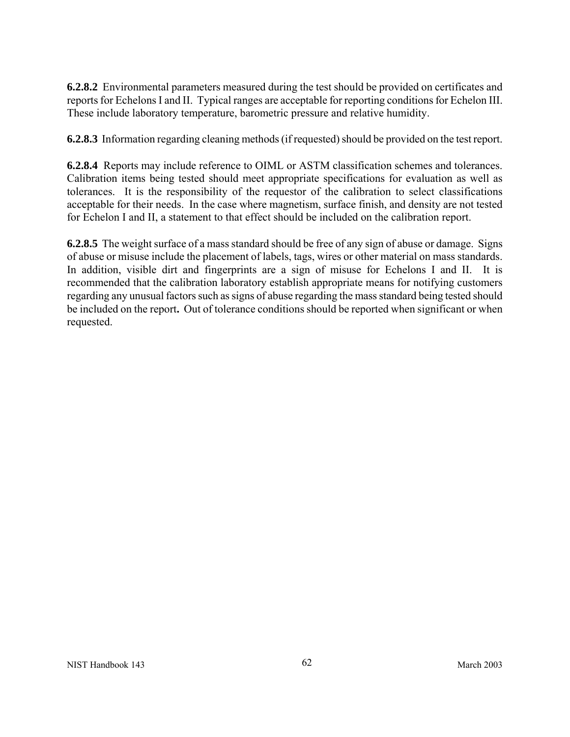**6.2.8.2** Environmental parameters measured during the test should be provided on certificates and reports for Echelons I and II. Typical ranges are acceptable for reporting conditions for Echelon III. These include laboratory temperature, barometric pressure and relative humidity.

**6.2.8.3** Information regarding cleaning methods (if requested) should be provided on the test report.

**6.2.8.4** Reports may include reference to OIML or ASTM classification schemes and tolerances. Calibration items being tested should meet appropriate specifications for evaluation as well as tolerances. It is the responsibility of the requestor of the calibration to select classifications acceptable for their needs. In the case where magnetism, surface finish, and density are not tested for Echelon I and II, a statement to that effect should be included on the calibration report.

**6.2.8.5** The weight surface of a mass standard should be free of any sign of abuse or damage. Signs of abuse or misuse include the placement of labels, tags, wires or other material on mass standards. In addition, visible dirt and fingerprints are a sign of misuse for Echelons I and II. It is recommended that the calibration laboratory establish appropriate means for notifying customers regarding any unusual factors such as signs of abuse regarding the mass standard being tested should be included on the report**.** Out of tolerance conditions should be reported when significant or when requested.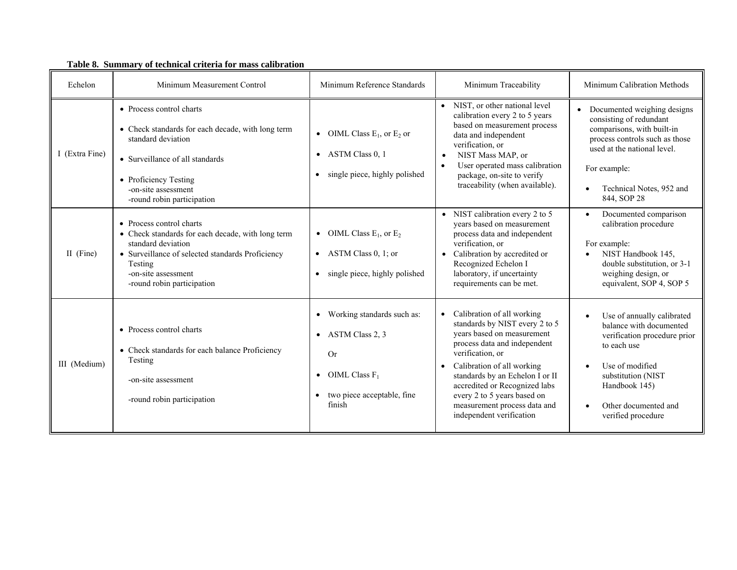| Echelon        | Minimum Measurement Control                                                                                                                                                                                             | Minimum Reference Standards                                                                                                             | Minimum Traceability                                                                                                                                                                                                                                                                                                                        | <b>Minimum Calibration Methods</b>                                                                                                                                                                                                                  |
|----------------|-------------------------------------------------------------------------------------------------------------------------------------------------------------------------------------------------------------------------|-----------------------------------------------------------------------------------------------------------------------------------------|---------------------------------------------------------------------------------------------------------------------------------------------------------------------------------------------------------------------------------------------------------------------------------------------------------------------------------------------|-----------------------------------------------------------------------------------------------------------------------------------------------------------------------------------------------------------------------------------------------------|
| I (Extra Fine) | • Process control charts<br>• Check standards for each decade, with long term<br>standard deviation<br>• Surveillance of all standards<br>• Proficiency Testing<br>-on-site assessment<br>-round robin participation    | • OIML Class $E_1$ , or $E_2$ or<br>• ASTM Class 0, 1<br>single piece, highly polished                                                  | NIST, or other national level<br>$\bullet$<br>calibration every 2 to 5 years<br>based on measurement process<br>data and independent<br>verification, or<br>NIST Mass MAP, or<br>User operated mass calibration<br>package, on-site to verify<br>traceability (when available).                                                             | Documented weighing designs<br>consisting of redundant<br>comparisons, with built-in<br>process controls such as those<br>used at the national level.<br>For example:<br>Technical Notes, 952 and<br>$\bullet$<br>844, SOP 28                       |
| II $(Fine)$    | • Process control charts<br>• Check standards for each decade, with long term<br>standard deviation<br>• Surveillance of selected standards Proficiency<br>Testing<br>-on-site assessment<br>-round robin participation | • OIML Class $E_1$ , or $E_2$<br>ASTM Class $0, 1$ ; or<br>single piece, highly polished                                                | • NIST calibration every 2 to 5<br>years based on measurement<br>process data and independent<br>verification, or<br>Calibration by accredited or<br>Recognized Echelon I<br>laboratory, if uncertainty<br>requirements can be met.                                                                                                         | Documented comparison<br>$\bullet$<br>calibration procedure<br>For example:<br>NIST Handbook 145,<br>double substitution, or 3-1<br>weighing design, or<br>equivalent, SOP 4, SOP 5                                                                 |
| III (Medium)   | • Process control charts<br>• Check standards for each balance Proficiency<br>Testing<br>-on-site assessment<br>-round robin participation                                                                              | Working standards such as:<br>$\bullet$<br>• ASTM Class 2, 3<br><b>Or</b><br>• OIML Class $F_1$<br>two piece acceptable, fine<br>finish | Calibration of all working<br>standards by NIST every 2 to 5<br>years based on measurement<br>process data and independent<br>verification, or<br>Calibration of all working<br>standards by an Echelon I or II<br>accredited or Recognized labs<br>every 2 to 5 years based on<br>measurement process data and<br>independent verification | Use of annually calibrated<br>$\bullet$<br>balance with documented<br>verification procedure prior<br>to each use<br>Use of modified<br>$\bullet$<br>substitution (NIST<br>Handbook 145)<br>Other documented and<br>$\bullet$<br>verified procedure |

**Table 8. Summary of technical criteria for mass calibration**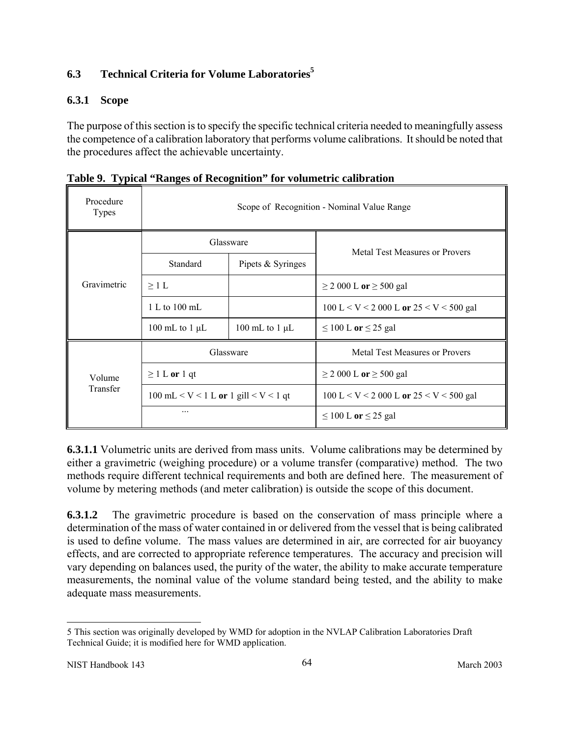# **6.3 Technical Criteria for Volume Laboratories5**

### **6.3.1 Scope**

The purpose of this section is to specify the specific technical criteria needed to meaningfully assess the competence of a calibration laboratory that performs volume calibrations. It should be noted that the procedures affect the achievable uncertainty.

| Procedure<br><b>Types</b> | Scope of Recognition - Nominal Value Range |                     |                                            |
|---------------------------|--------------------------------------------|---------------------|--------------------------------------------|
|                           | Glassware                                  |                     | <b>Metal Test Measures or Provers</b>      |
|                           | Standard                                   | Pipets & Syringes   |                                            |
| Gravimetric               | $\geq 1$ L                                 |                     | $\geq$ 2 000 L or $\geq$ 500 gal           |
|                           | $1 L$ to $100$ mL                          |                     | $100 L < V < 2000 L$ or $25 < V < 500$ gal |
|                           | 100 mL to $1 \mu L$                        | 100 mL to $1 \mu L$ | $\leq 100$ L or $\leq 25$ gal              |
|                           | Glassware                                  |                     | <b>Metal Test Measures or Provers</b>      |
| Volume<br>Transfer        | $\geq 1$ L or 1 qt                         |                     | $\geq$ 2 000 L or $\geq$ 500 gal           |
|                           | $100$ mL < V < 1 L or 1 gill < V < 1 qt    |                     | $100 L < V < 2000 L$ or $25 < V < 500$ gal |
|                           | $\cdots$                                   |                     | $\leq 100$ L or $\leq 25$ gal              |

**Table 9. Typical "Ranges of Recognition" for volumetric calibration**

**6.3.1.1** Volumetric units are derived from mass units. Volume calibrations may be determined by either a gravimetric (weighing procedure) or a volume transfer (comparative) method. The two methods require different technical requirements and both are defined here. The measurement of volume by metering methods (and meter calibration) is outside the scope of this document.

**6.3.1.2** The gravimetric procedure is based on the conservation of mass principle where a determination of the mass of water contained in or delivered from the vessel that is being calibrated is used to define volume. The mass values are determined in air, are corrected for air buoyancy effects, and are corrected to appropriate reference temperatures. The accuracy and precision will vary depending on balances used, the purity of the water, the ability to make accurate temperature measurements, the nominal value of the volume standard being tested, and the ability to make adequate mass measurements.

l 5 This section was originally developed by WMD for adoption in the NVLAP Calibration Laboratories Draft Technical Guide; it is modified here for WMD application.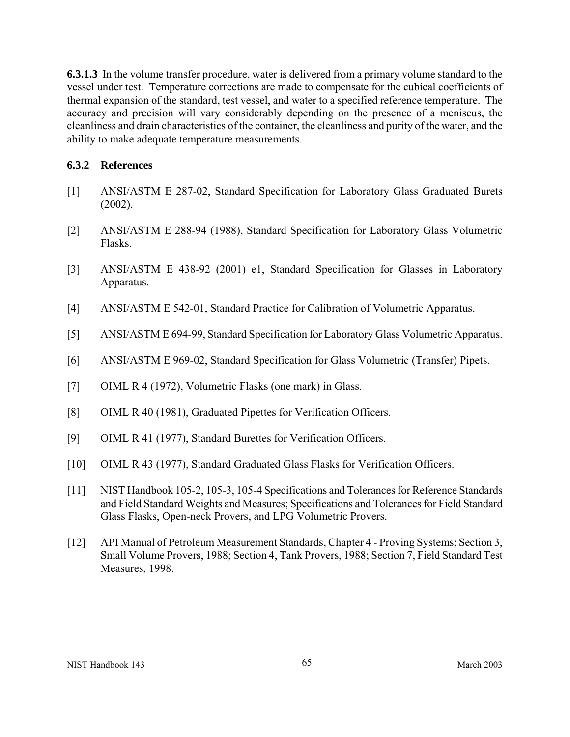**6.3.1.3** In the volume transfer procedure, water is delivered from a primary volume standard to the vessel under test. Temperature corrections are made to compensate for the cubical coefficients of thermal expansion of the standard, test vessel, and water to a specified reference temperature. The accuracy and precision will vary considerably depending on the presence of a meniscus, the cleanliness and drain characteristics of the container, the cleanliness and purity of the water, and the ability to make adequate temperature measurements.

#### **6.3.2 References**

- [1] ANSI/ASTM E 287-02, Standard Specification for Laboratory Glass Graduated Burets (2002).
- [2] ANSI/ASTM E 288-94 (1988), Standard Specification for Laboratory Glass Volumetric Flasks.
- [3] ANSI/ASTM E 438-92 (2001) e1, Standard Specification for Glasses in Laboratory Apparatus.
- [4] ANSI/ASTM E 542-01, Standard Practice for Calibration of Volumetric Apparatus.
- [5] ANSI/ASTM E 694-99, Standard Specification for Laboratory Glass Volumetric Apparatus.
- [6] ANSI/ASTM E 969-02, Standard Specification for Glass Volumetric (Transfer) Pipets.
- [7] OIML R 4 (1972), Volumetric Flasks (one mark) in Glass.
- [8] OIML R 40 (1981), Graduated Pipettes for Verification Officers.
- [9] OIML R 41 (1977), Standard Burettes for Verification Officers.
- [10] OIML R 43 (1977), Standard Graduated Glass Flasks for Verification Officers.
- [11] NIST Handbook 105-2, 105-3, 105-4 Specifications and Tolerances for Reference Standards and Field Standard Weights and Measures; Specifications and Tolerances for Field Standard Glass Flasks, Open-neck Provers, and LPG Volumetric Provers.
- [12] API Manual of Petroleum Measurement Standards, Chapter 4 Proving Systems; Section 3, Small Volume Provers, 1988; Section 4, Tank Provers, 1988; Section 7, Field Standard Test Measures, 1998.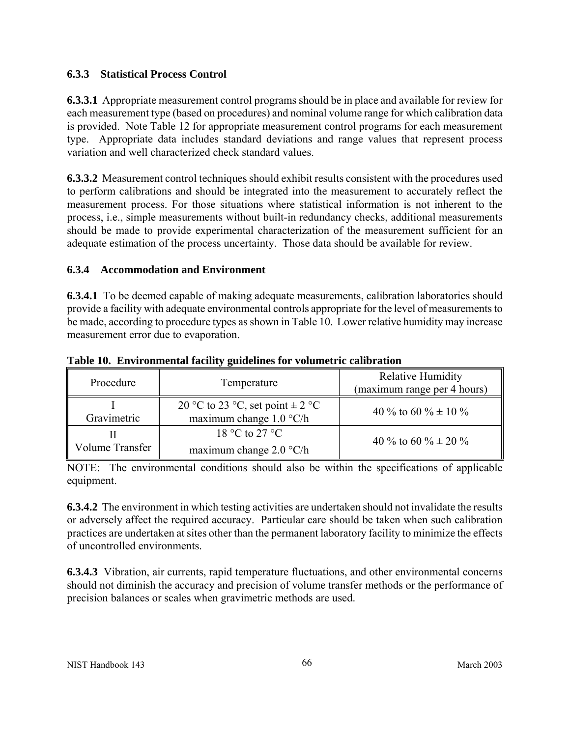### **6.3.3 Statistical Process Control**

**6.3.3.1** Appropriate measurement control programs should be in place and available for review for each measurement type (based on procedures) and nominal volume range for which calibration data is provided. Note Table 12 for appropriate measurement control programs for each measurement type. Appropriate data includes standard deviations and range values that represent process variation and well characterized check standard values.

**6.3.3.2** Measurement control techniques should exhibit results consistent with the procedures used to perform calibrations and should be integrated into the measurement to accurately reflect the measurement process. For those situations where statistical information is not inherent to the process, i.e., simple measurements without built-in redundancy checks, additional measurements should be made to provide experimental characterization of the measurement sufficient for an adequate estimation of the process uncertainty. Those data should be available for review.

#### **6.3.4 Accommodation and Environment**

**6.3.4.1** To be deemed capable of making adequate measurements, calibration laboratories should provide a facility with adequate environmental controls appropriate for the level of measurements to be made, according to procedure types as shown in Table 10. Lower relative humidity may increase measurement error due to evaporation.

| Procedure       | Temperature                                                              | <b>Relative Humidity</b><br>(maximum range per 4 hours) |
|-----------------|--------------------------------------------------------------------------|---------------------------------------------------------|
| Gravimetric     | 20 °C to 23 °C, set point $\pm$ 2 °C<br>maximum change $1.0 \degree C/h$ | 40 % to 60 % $\pm$ 10 %                                 |
| Volume Transfer | 18 °C to 27 °C<br>maximum change $2.0 \degree C/h$                       | 40 % to 60 % $\pm$ 20 %                                 |

**Table 10. Environmental facility guidelines for volumetric calibration**

NOTE: The environmental conditions should also be within the specifications of applicable equipment.

**6.3.4.2** The environment in which testing activities are undertaken should not invalidate the results or adversely affect the required accuracy. Particular care should be taken when such calibration practices are undertaken at sites other than the permanent laboratory facility to minimize the effects of uncontrolled environments.

**6.3.4.3** Vibration, air currents, rapid temperature fluctuations, and other environmental concerns should not diminish the accuracy and precision of volume transfer methods or the performance of precision balances or scales when gravimetric methods are used.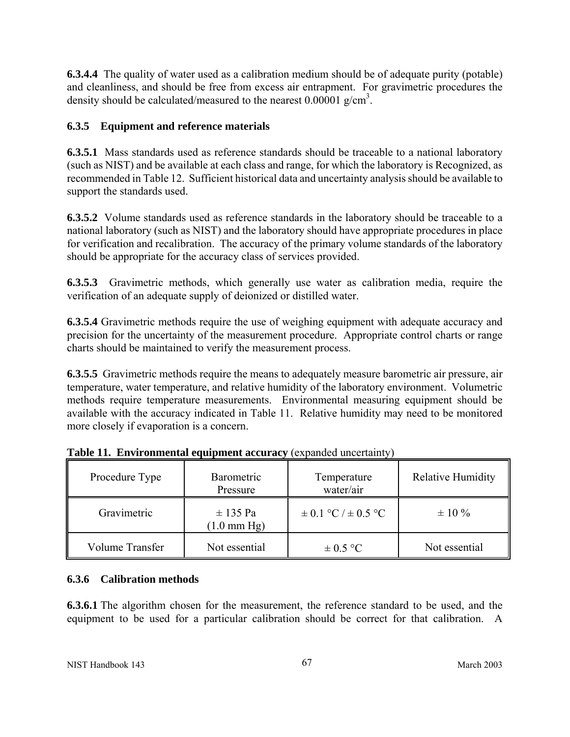**6.3.4.4** The quality of water used as a calibration medium should be of adequate purity (potable) and cleanliness, and should be free from excess air entrapment. For gravimetric procedures the density should be calculated/measured to the nearest  $0.00001$  g/cm<sup>3</sup>.

# **6.3.5 Equipment and reference materials**

**6.3.5.1** Mass standards used as reference standards should be traceable to a national laboratory (such as NIST) and be available at each class and range, for which the laboratory is Recognized, as recommended in Table 12. Sufficient historical data and uncertainty analysis should be available to support the standards used.

**6.3.5.2** Volume standards used as reference standards in the laboratory should be traceable to a national laboratory (such as NIST) and the laboratory should have appropriate procedures in place for verification and recalibration. The accuracy of the primary volume standards of the laboratory should be appropriate for the accuracy class of services provided.

**6.3.5.3** Gravimetric methods, which generally use water as calibration media, require the verification of an adequate supply of deionized or distilled water.

**6.3.5.4** Gravimetric methods require the use of weighing equipment with adequate accuracy and precision for the uncertainty of the measurement procedure. Appropriate control charts or range charts should be maintained to verify the measurement process.

**6.3.5.5** Gravimetric methods require the means to adequately measure barometric air pressure, air temperature, water temperature, and relative humidity of the laboratory environment. Volumetric methods require temperature measurements. Environmental measuring equipment should be available with the accuracy indicated in Table 11. Relative humidity may need to be monitored more closely if evaporation is a concern.

| Procedure Type  | Barometric<br>Pressure                | Temperature<br>water/air    | <b>Relative Humidity</b> |
|-----------------|---------------------------------------|-----------------------------|--------------------------|
| Gravimetric     | $\pm$ 135 Pa<br>$(1.0 \text{ mm Hg})$ | $\pm 0.1$ °C / $\pm 0.5$ °C | $\pm 10 \%$              |
| Volume Transfer | Not essential                         | $\pm$ 0.5 °C                | Not essential            |

**Table 11. Environmental equipment accuracy** (expanded uncertainty)

## **6.3.6 Calibration methods**

**6.3.6.1** The algorithm chosen for the measurement, the reference standard to be used, and the equipment to be used for a particular calibration should be correct for that calibration. A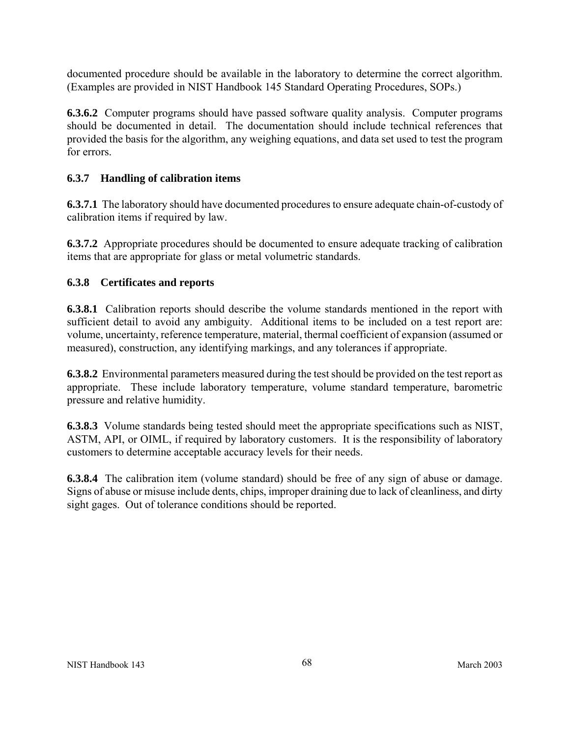documented procedure should be available in the laboratory to determine the correct algorithm. (Examples are provided in NIST Handbook 145 Standard Operating Procedures, SOPs.)

**6.3.6.2** Computer programs should have passed software quality analysis. Computer programs should be documented in detail. The documentation should include technical references that provided the basis for the algorithm, any weighing equations, and data set used to test the program for errors.

# **6.3.7 Handling of calibration items**

**6.3.7.1** The laboratory should have documented procedures to ensure adequate chain-of-custody of calibration items if required by law.

**6.3.7.2** Appropriate procedures should be documented to ensure adequate tracking of calibration items that are appropriate for glass or metal volumetric standards.

# **6.3.8 Certificates and reports**

**6.3.8.1** Calibration reports should describe the volume standards mentioned in the report with sufficient detail to avoid any ambiguity. Additional items to be included on a test report are: volume, uncertainty, reference temperature, material, thermal coefficient of expansion (assumed or measured), construction, any identifying markings, and any tolerances if appropriate.

**6.3.8.2** Environmental parameters measured during the test should be provided on the test report as appropriate. These include laboratory temperature, volume standard temperature, barometric pressure and relative humidity.

**6.3.8.3** Volume standards being tested should meet the appropriate specifications such as NIST, ASTM, API, or OIML, if required by laboratory customers. It is the responsibility of laboratory customers to determine acceptable accuracy levels for their needs.

**6.3.8.4** The calibration item (volume standard) should be free of any sign of abuse or damage. Signs of abuse or misuse include dents, chips, improper draining due to lack of cleanliness, and dirty sight gages. Out of tolerance conditions should be reported.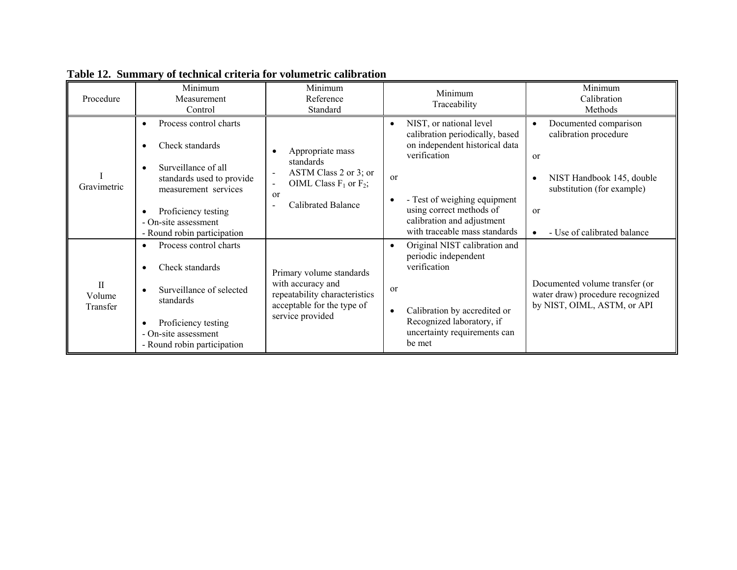| Procedure                          | Minimum<br>Measurement<br>Control                                                                                                                                                                                                               | Minimum<br>Reference<br>Standard                                                                                                                                                                         | Minimum<br>Traceability                                                                                                                                                                                                                                                            | Minimum<br>Calibration<br>Methods                                                                                                                                                                 |
|------------------------------------|-------------------------------------------------------------------------------------------------------------------------------------------------------------------------------------------------------------------------------------------------|----------------------------------------------------------------------------------------------------------------------------------------------------------------------------------------------------------|------------------------------------------------------------------------------------------------------------------------------------------------------------------------------------------------------------------------------------------------------------------------------------|---------------------------------------------------------------------------------------------------------------------------------------------------------------------------------------------------|
| Gravimetric                        | Process control charts<br>$\bullet$<br>Check standards<br>٠<br>Surveillance of all<br>$\bullet$<br>standards used to provide<br>measurement services<br>Proficiency testing<br>$\bullet$<br>- On-site assessment<br>- Round robin participation | Appropriate mass<br>$\bullet$<br>standards<br>ASTM Class 2 or 3; or<br>$\overline{\phantom{a}}$<br>OIML Class $F_1$ or $F_2$ ;<br>$\sim$<br><sub>or</sub><br><b>Calibrated Balance</b><br>$\overline{a}$ | NIST, or national level<br>$\bullet$<br>calibration periodically, based<br>on independent historical data<br>verification<br><sub>or</sub><br>- Test of weighing equipment<br>$\bullet$<br>using correct methods of<br>calibration and adjustment<br>with traceable mass standards | Documented comparison<br>$\bullet$<br>calibration procedure<br>or<br>NIST Handbook 145, double<br>$\bullet$<br>substitution (for example)<br>$\alpha$<br>- Use of calibrated balance<br>$\bullet$ |
| $\mathbf{I}$<br>Volume<br>Transfer | Process control charts<br>$\bullet$<br>Check standards<br>٠<br>Surveillance of selected<br>$\bullet$<br>standards<br>Proficiency testing<br>$\bullet$<br>- On-site assessment<br>- Round robin participation                                    | Primary volume standards<br>with accuracy and<br>repeatability characteristics<br>acceptable for the type of<br>service provided                                                                         | Original NIST calibration and<br>$\bullet$<br>periodic independent<br>verification<br><sub>or</sub><br>Calibration by accredited or<br>$\bullet$<br>Recognized laboratory, if<br>uncertainty requirements can<br>be met                                                            | Documented volume transfer (or<br>water draw) procedure recognized<br>by NIST, OIML, ASTM, or API                                                                                                 |

**Table 12. Summary of technical criteria for volumetric calibration**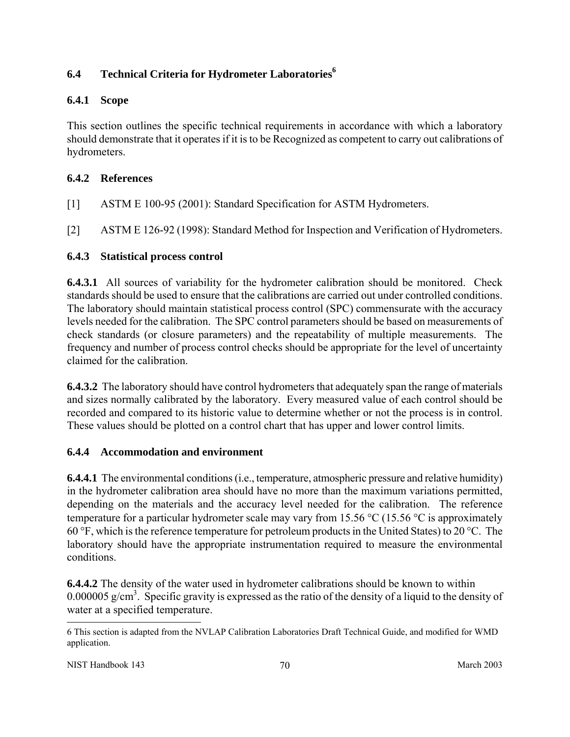# **6.4 Technical Criteria for Hydrometer Laboratories6**

# **6.4.1 Scope**

This section outlines the specific technical requirements in accordance with which a laboratory should demonstrate that it operates if it is to be Recognized as competent to carry out calibrations of hydrometers.

# **6.4.2 References**

- [1] ASTM E 100-95 (2001): Standard Specification for ASTM Hydrometers.
- [2] ASTM E 126-92 (1998): Standard Method for Inspection and Verification of Hydrometers.

# **6.4.3 Statistical process control**

**6.4.3.1** All sources of variability for the hydrometer calibration should be monitored. Check standards should be used to ensure that the calibrations are carried out under controlled conditions. The laboratory should maintain statistical process control (SPC) commensurate with the accuracy levels needed for the calibration. The SPC control parameters should be based on measurements of check standards (or closure parameters) and the repeatability of multiple measurements. The frequency and number of process control checks should be appropriate for the level of uncertainty claimed for the calibration.

**6.4.3.2** The laboratory should have control hydrometers that adequately span the range of materials and sizes normally calibrated by the laboratory. Every measured value of each control should be recorded and compared to its historic value to determine whether or not the process is in control. These values should be plotted on a control chart that has upper and lower control limits.

## **6.4.4 Accommodation and environment**

**6.4.4.1** The environmental conditions (i.e., temperature, atmospheric pressure and relative humidity) in the hydrometer calibration area should have no more than the maximum variations permitted, depending on the materials and the accuracy level needed for the calibration. The reference temperature for a particular hydrometer scale may vary from 15.56  $\degree$ C (15.56  $\degree$ C is approximately 60 °F, which is the reference temperature for petroleum products in the United States) to 20 °C. The laboratory should have the appropriate instrumentation required to measure the environmental conditions.

**6.4.4.2** The density of the water used in hydrometer calibrations should be known to within 0.000005  $g/cm<sup>3</sup>$ . Specific gravity is expressed as the ratio of the density of a liquid to the density of water at a specified temperature.

l

<sup>6</sup> This section is adapted from the NVLAP Calibration Laboratories Draft Technical Guide, and modified for WMD application.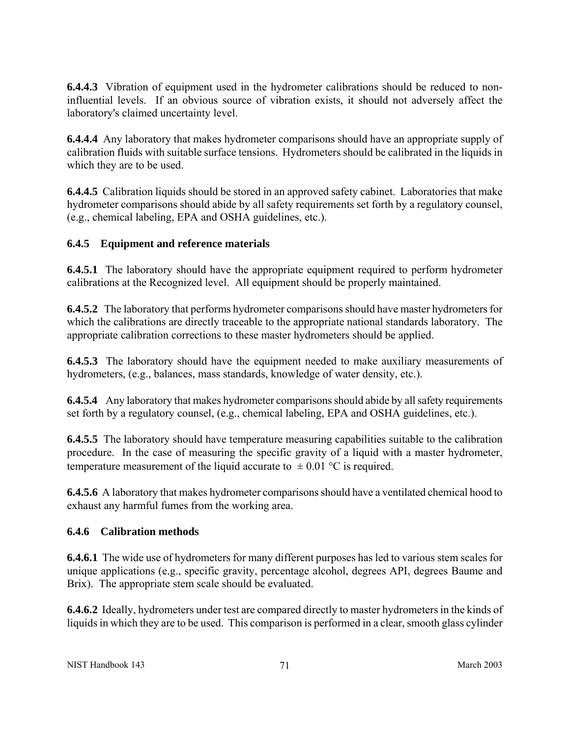**6.4.4.3** Vibration of equipment used in the hydrometer calibrations should be reduced to noninfluential levels. If an obvious source of vibration exists, it should not adversely affect the laboratory's claimed uncertainty level.

**6.4.4.4** Any laboratory that makes hydrometer comparisons should have an appropriate supply of calibration fluids with suitable surface tensions. Hydrometers should be calibrated in the liquids in which they are to be used.

**6.4.4.5** Calibration liquids should be stored in an approved safety cabinet. Laboratories that make hydrometer comparisons should abide by all safety requirements set forth by a regulatory counsel, (e.g., chemical labeling, EPA and OSHA guidelines, etc.).

# **6.4.5 Equipment and reference materials**

**6.4.5.1** The laboratory should have the appropriate equipment required to perform hydrometer calibrations at the Recognized level. All equipment should be properly maintained.

**6.4.5.2** The laboratory that performs hydrometer comparisons should have master hydrometers for which the calibrations are directly traceable to the appropriate national standards laboratory. The appropriate calibration corrections to these master hydrometers should be applied.

**6.4.5.3** The laboratory should have the equipment needed to make auxiliary measurements of hydrometers, (e.g., balances, mass standards, knowledge of water density, etc.).

**6.4.5.4** Any laboratory that makes hydrometer comparisons should abide by all safety requirements set forth by a regulatory counsel, (e.g., chemical labeling, EPA and OSHA guidelines, etc.).

**6.4.5.5** The laboratory should have temperature measuring capabilities suitable to the calibration procedure. In the case of measuring the specific gravity of a liquid with a master hydrometer, temperature measurement of the liquid accurate to  $\pm 0.01$  °C is required.

**6.4.5.6** A laboratory that makes hydrometer comparisons should have a ventilated chemical hood to exhaust any harmful fumes from the working area.

## **6.4.6 Calibration methods**

**6.4.6.1** The wide use of hydrometers for many different purposes has led to various stem scales for unique applications (e.g., specific gravity, percentage alcohol, degrees API, degrees Baume and Brix). The appropriate stem scale should be evaluated.

**6.4.6.2** Ideally, hydrometers under test are compared directly to master hydrometers in the kinds of liquids in which they are to be used. This comparison is performed in a clear, smooth glass cylinder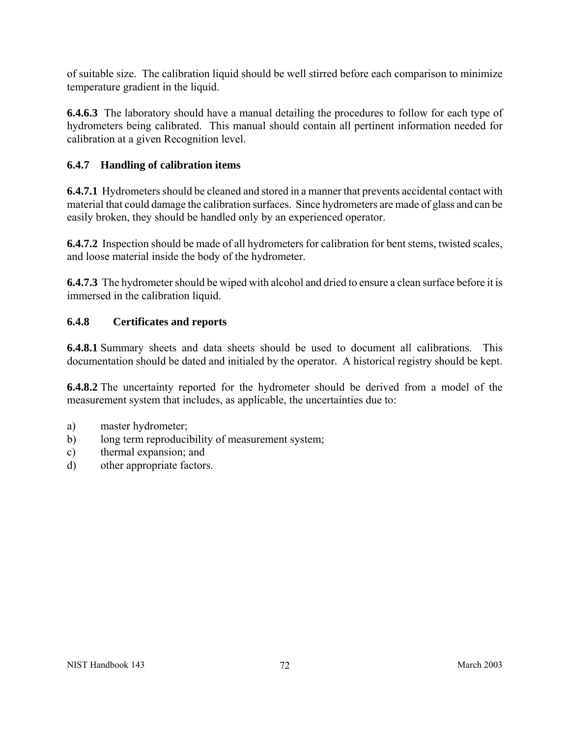of suitable size. The calibration liquid should be well stirred before each comparison to minimize temperature gradient in the liquid.

**6.4.6.3** The laboratory should have a manual detailing the procedures to follow for each type of hydrometers being calibrated. This manual should contain all pertinent information needed for calibration at a given Recognition level.

# **6.4.7 Handling of calibration items**

**6.4.7.1** Hydrometers should be cleaned and stored in a manner that prevents accidental contact with material that could damage the calibration surfaces. Since hydrometers are made of glass and can be easily broken, they should be handled only by an experienced operator.

**6.4.7.2** Inspection should be made of all hydrometers for calibration for bent stems, twisted scales, and loose material inside the body of the hydrometer.

**6.4.7.3** The hydrometer should be wiped with alcohol and dried to ensure a clean surface before it is immersed in the calibration liquid.

# **6.4.8 Certificates and reports**

**6.4.8.1** Summary sheets and data sheets should be used to document all calibrations. This documentation should be dated and initialed by the operator. A historical registry should be kept.

**6.4.8.2** The uncertainty reported for the hydrometer should be derived from a model of the measurement system that includes, as applicable, the uncertainties due to:

- a) master hydrometer;
- b) long term reproducibility of measurement system;
- c) thermal expansion; and
- d) other appropriate factors.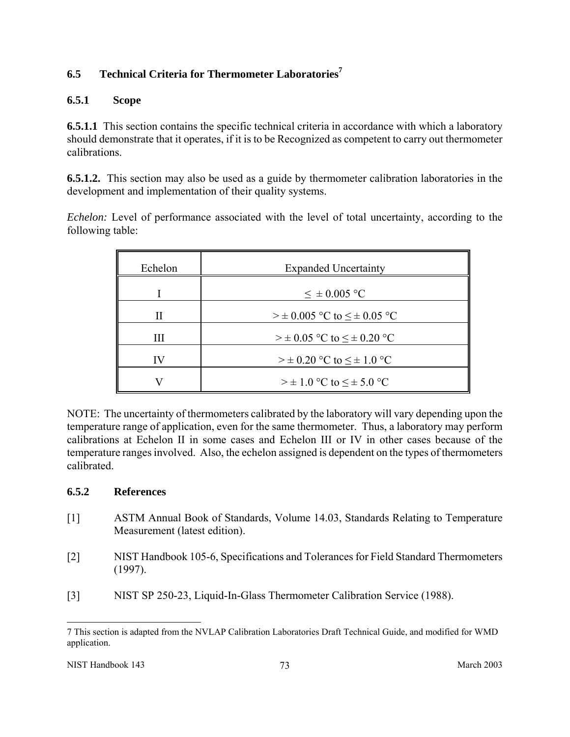# **6.5 Technical Criteria for Thermometer Laboratories7**

# **6.5.1 Scope**

**6.5.1.1** This section contains the specific technical criteria in accordance with which a laboratory should demonstrate that it operates, if it is to be Recognized as competent to carry out thermometer calibrations.

**6.5.1.2.** This section may also be used as a guide by thermometer calibration laboratories in the development and implementation of their quality systems.

*Echelon:* Level of performance associated with the level of total uncertainty, according to the following table:

| Echelon | <b>Expanded Uncertainty</b>            |
|---------|----------------------------------------|
|         | $\leq \pm 0.005$ °C                    |
|         | $> \pm 0.005$ °C to $\leq \pm 0.05$ °C |
| Ш       | $> \pm 0.05$ °C to $\leq \pm 0.20$ °C  |
| IV      | $> \pm 0.20$ °C to $\leq \pm 1.0$ °C   |
|         | $> \pm 1.0$ °C to $\leq \pm 5.0$ °C    |

NOTE: The uncertainty of thermometers calibrated by the laboratory will vary depending upon the temperature range of application, even for the same thermometer. Thus, a laboratory may perform calibrations at Echelon II in some cases and Echelon III or IV in other cases because of the temperature ranges involved. Also, the echelon assigned is dependent on the types of thermometers calibrated.

# **6.5.2 References**

- [1] ASTM Annual Book of Standards, Volume 14.03, Standards Relating to Temperature Measurement (latest edition).
- [2] NIST Handbook 105-6, Specifications and Tolerances for Field Standard Thermometers (1997).
- [3] NIST SP 250-23, Liquid-In-Glass Thermometer Calibration Service (1988).

l 7 This section is adapted from the NVLAP Calibration Laboratories Draft Technical Guide, and modified for WMD application.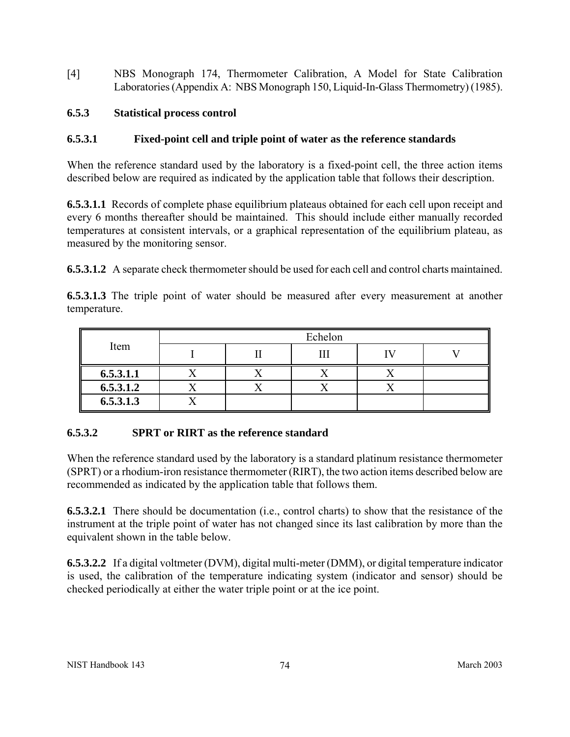[4] NBS Monograph 174, Thermometer Calibration, A Model for State Calibration Laboratories (Appendix A: NBS Monograph 150, Liquid-In-Glass Thermometry) (1985).

## **6.5.3 Statistical process control**

## **6.5.3.1 Fixed-point cell and triple point of water as the reference standards**

When the reference standard used by the laboratory is a fixed-point cell, the three action items described below are required as indicated by the application table that follows their description.

**6.5.3.1.1** Records of complete phase equilibrium plateaus obtained for each cell upon receipt and every 6 months thereafter should be maintained. This should include either manually recorded temperatures at consistent intervals, or a graphical representation of the equilibrium plateau, as measured by the monitoring sensor.

**6.5.3.1.2** A separate check thermometer should be used for each cell and control charts maintained.

**6.5.3.1.3** The triple point of water should be measured after every measurement at another temperature.

|           |  | Echelon |  |
|-----------|--|---------|--|
| Item      |  | 111     |  |
| 6.5.3.1.1 |  |         |  |
| 6.5.3.1.2 |  |         |  |
| 6.5.3.1.3 |  |         |  |

# **6.5.3.2 SPRT or RIRT as the reference standard**

When the reference standard used by the laboratory is a standard platinum resistance thermometer (SPRT) or a rhodium-iron resistance thermometer (RIRT), the two action items described below are recommended as indicated by the application table that follows them.

**6.5.3.2.1** There should be documentation (i.e., control charts) to show that the resistance of the instrument at the triple point of water has not changed since its last calibration by more than the equivalent shown in the table below.

**6.5.3.2.2** If a digital voltmeter (DVM), digital multi-meter (DMM), or digital temperature indicator is used, the calibration of the temperature indicating system (indicator and sensor) should be checked periodically at either the water triple point or at the ice point.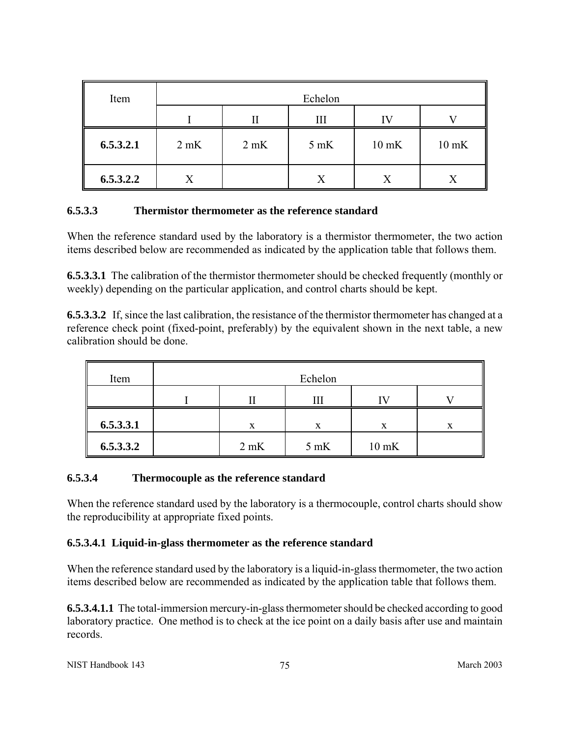| Item      | Echelon |      |        |         |                 |  |
|-----------|---------|------|--------|---------|-----------------|--|
|           |         |      | Ш      | TV.     |                 |  |
| 6.5.3.2.1 | 2 mK    | 2 mK | $5$ mK | $10$ mK | $10 \text{ mK}$ |  |
| 6.5.3.2.2 | X       |      | X      | X       |                 |  |

### **6.5.3.3 Thermistor thermometer as the reference standard**

When the reference standard used by the laboratory is a thermistor thermometer, the two action items described below are recommended as indicated by the application table that follows them.

**6.5.3.3.1** The calibration of the thermistor thermometer should be checked frequently (monthly or weekly) depending on the particular application, and control charts should be kept.

**6.5.3.3.2** If, since the last calibration, the resistance of the thermistor thermometer has changed at a reference check point (fixed-point, preferably) by the equivalent shown in the next table, a new calibration should be done.

| Item      | Echelon |        |        |         |   |  |  |
|-----------|---------|--------|--------|---------|---|--|--|
|           |         | Ш      |        |         |   |  |  |
| 6.5.3.3.1 |         | X      | X      | X       | X |  |  |
| 6.5.3.3.2 |         | $2$ mK | $5$ mK | $10$ mK |   |  |  |

## **6.5.3.4 Thermocouple as the reference standard**

When the reference standard used by the laboratory is a thermocouple, control charts should show the reproducibility at appropriate fixed points.

## **6.5.3.4.1 Liquid-in-glass thermometer as the reference standard**

When the reference standard used by the laboratory is a liquid-in-glass thermometer, the two action items described below are recommended as indicated by the application table that follows them.

**6.5.3.4.1.1** The total-immersion mercury-in-glass thermometer should be checked according to good laboratory practice. One method is to check at the ice point on a daily basis after use and maintain records.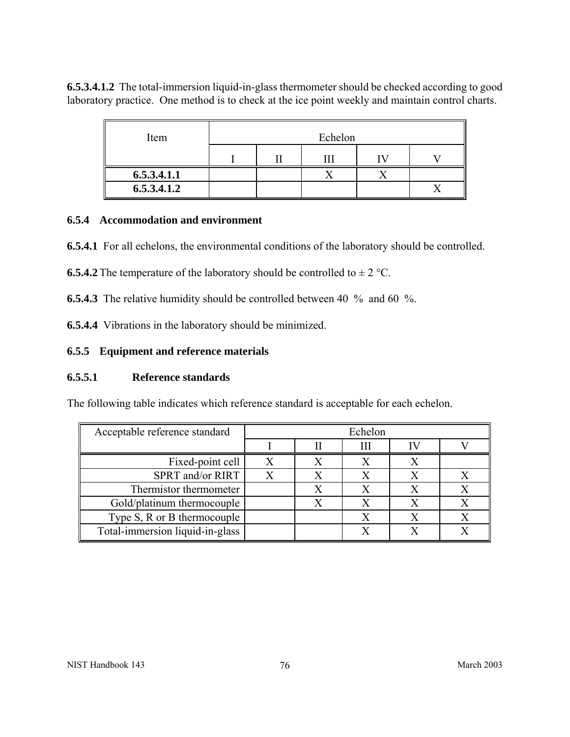**6.5.3.4.1.2** The total-immersion liquid-in-glass thermometer should be checked according to good laboratory practice. One method is to check at the ice point weekly and maintain control charts.

| Item        | Echelon |  |   |  |  |
|-------------|---------|--|---|--|--|
|             |         |  | ш |  |  |
| 6.5.3.4.1.1 |         |  |   |  |  |
| 6.5.3.4.1.2 |         |  |   |  |  |

### **6.5.4 Accommodation and environment**

**6.5.4.1** For all echelons, the environmental conditions of the laboratory should be controlled.

**6.5.4.2** The temperature of the laboratory should be controlled to  $\pm 2^{\circ}$ C.

**6.5.4.3** The relative humidity should be controlled between 40 % and 60 %.

**6.5.4.4** Vibrations in the laboratory should be minimized.

# **6.5.5 Equipment and reference materials**

## **6.5.5.1 Reference standards**

The following table indicates which reference standard is acceptable for each echelon.

| Acceptable reference standard   | Echelon |  |   |  |  |
|---------------------------------|---------|--|---|--|--|
|                                 |         |  | Ш |  |  |
| Fixed-point cell                |         |  | Х |  |  |
| SPRT and/or RIRT                |         |  | Χ |  |  |
| Thermistor thermometer          |         |  | X |  |  |
| Gold/platinum thermocouple      |         |  |   |  |  |
| Type S, R or B thermocouple     |         |  |   |  |  |
| Total-immersion liquid-in-glass |         |  |   |  |  |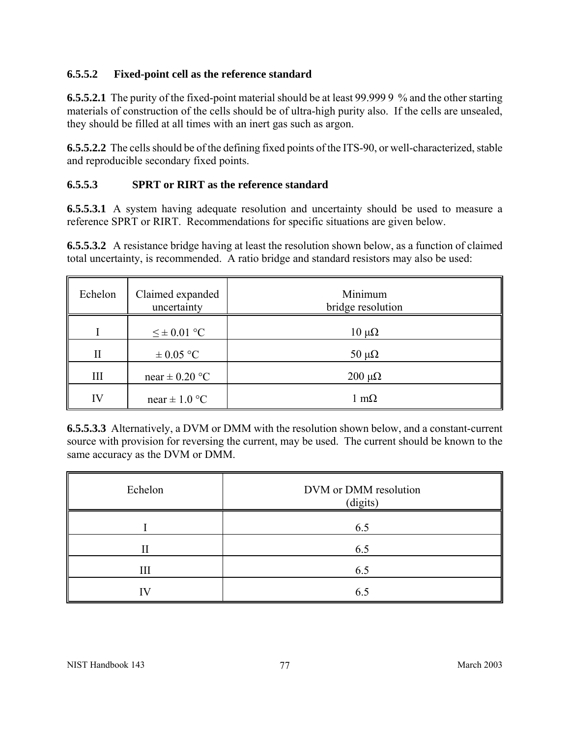# **6.5.5.2 Fixed-point cell as the reference standard**

**6.5.5.2.1** The purity of the fixed-point material should be at least 99.999 9 % and the other starting materials of construction of the cells should be of ultra-high purity also. If the cells are unsealed, they should be filled at all times with an inert gas such as argon.

**6.5.5.2.2** The cells should be of the defining fixed points of the ITS-90, or well-characterized, stable and reproducible secondary fixed points.

# **6.5.5.3 SPRT or RIRT as the reference standard**

**6.5.5.3.1** A system having adequate resolution and uncertainty should be used to measure a reference SPRT or RIRT. Recommendations for specific situations are given below.

**6.5.5.3.2** A resistance bridge having at least the resolution shown below, as a function of claimed total uncertainty, is recommended. A ratio bridge and standard resistors may also be used:

| Echelon  | Claimed expanded<br>uncertainty | Minimum<br>bridge resolution |
|----------|---------------------------------|------------------------------|
|          | $\leq \pm 0.01$ °C              | $10 \mu\Omega$               |
| $\rm II$ | $\pm 0.05$ °C                   | $50 \mu\Omega$               |
| III      | near $\pm$ 0.20 °C              | $200 \mu\Omega$              |
| IV       | near $\pm$ 1.0 °C               | $1 \text{ m}\Omega$          |

**6.5.5.3.3** Alternatively, a DVM or DMM with the resolution shown below, and a constant-current source with provision for reversing the current, may be used. The current should be known to the same accuracy as the DVM or DMM.

| Echelon | DVM or DMM resolution<br>(digits) |
|---------|-----------------------------------|
|         | 6.5                               |
|         | 6.5                               |
| Ш       | 6.5                               |
|         | 6.5                               |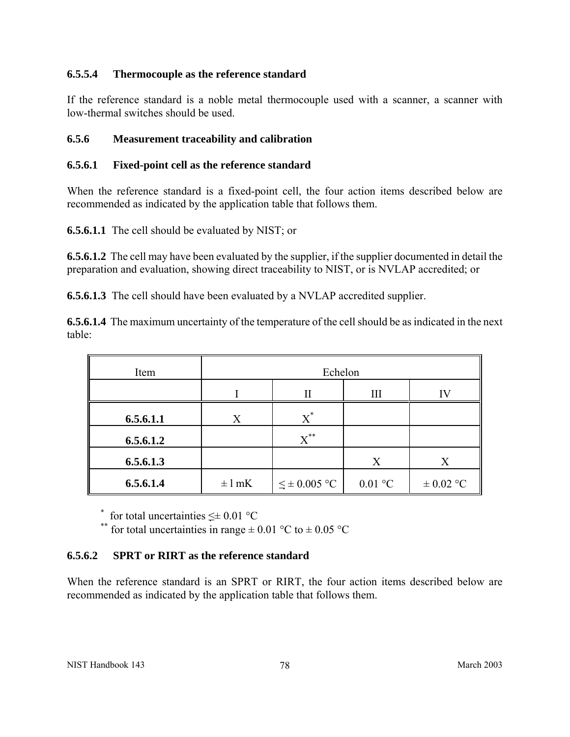### **6.5.5.4 Thermocouple as the reference standard**

If the reference standard is a noble metal thermocouple used with a scanner, a scanner with low-thermal switches should be used.

## **6.5.6 Measurement traceability and calibration**

### **6.5.6.1 Fixed-point cell as the reference standard**

When the reference standard is a fixed-point cell, the four action items described below are recommended as indicated by the application table that follows them.

**6.5.6.1.1** The cell should be evaluated by NIST; or

**6.5.6.1.2** The cell may have been evaluated by the supplier, if the supplier documented in detail the preparation and evaluation, showing direct traceability to NIST, or is NVLAP accredited; or

**6.5.6.1.3** The cell should have been evaluated by a NVLAP accredited supplier.

**6.5.6.1.4** The maximum uncertainty of the temperature of the cell should be as indicated in the next table:

| Item      | Echelon    |                     |         |               |  |  |  |
|-----------|------------|---------------------|---------|---------------|--|--|--|
|           | Ш<br>IV    |                     |         |               |  |  |  |
| 6.5.6.1.1 | X          | $X^*$               |         |               |  |  |  |
| 6.5.6.1.2 |            | $x^{\ast\ast}$      |         |               |  |  |  |
| 6.5.6.1.3 |            |                     | X       | X             |  |  |  |
| 6.5.6.1.4 | $\pm 1$ mK | $\leq \pm 0.005$ °C | 0.01 °C | $\pm$ 0.02 °C |  |  |  |

\*

for total uncertainties  $\leq \pm 0.01$  °C<br>\* for total uncertainties in range  $\pm 0.01$  °C to  $\pm 0.05$  °C

## **6.5.6.2 SPRT or RIRT as the reference standard**

When the reference standard is an SPRT or RIRT, the four action items described below are recommended as indicated by the application table that follows them.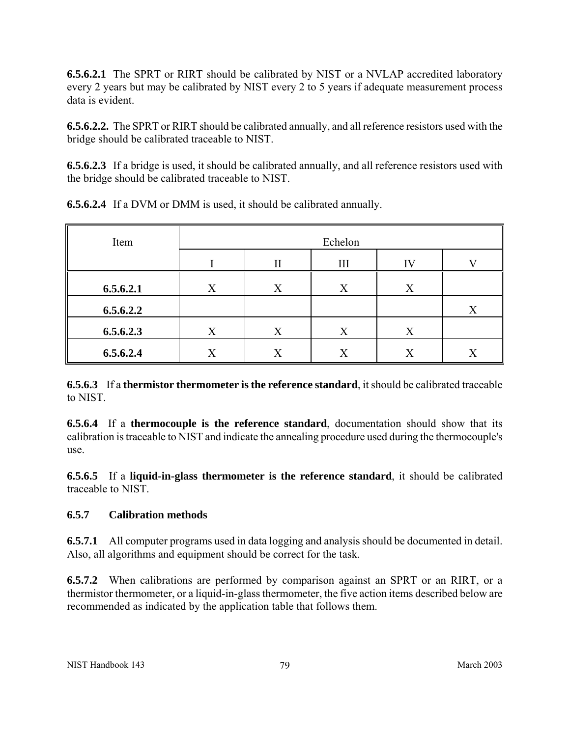**6.5.6.2.1** The SPRT or RIRT should be calibrated by NIST or a NVLAP accredited laboratory every 2 years but may be calibrated by NIST every 2 to 5 years if adequate measurement process data is evident.

**6.5.6.2.2.** The SPRT or RIRT should be calibrated annually, and all reference resistors used with the bridge should be calibrated traceable to NIST.

**6.5.6.2.3** If a bridge is used, it should be calibrated annually, and all reference resistors used with the bridge should be calibrated traceable to NIST.

| Item      | Echelon |   |   |    |   |  |
|-----------|---------|---|---|----|---|--|
|           |         |   | Ш | TV |   |  |
| 6.5.6.2.1 | X       | X | X | X  |   |  |
| 6.5.6.2.2 |         |   |   |    | X |  |
| 6.5.6.2.3 | X       | X | X | X  |   |  |
| 6.5.6.2.4 |         | X | X |    | X |  |

**6.5.6.2.4** If a DVM or DMM is used, it should be calibrated annually.

**6.5.6.3** If a **thermistor thermometer is the reference standard**, it should be calibrated traceable to NIST.

**6.5.6.4** If a **thermocouple is the reference standard**, documentation should show that its calibration is traceable to NIST and indicate the annealing procedure used during the thermocouple's use.

**6.5.6.5** If a **liquid-in-glass thermometer is the reference standard**, it should be calibrated traceable to NIST.

# **6.5.7 Calibration methods**

**6.5.7.1** All computer programs used in data logging and analysis should be documented in detail. Also, all algorithms and equipment should be correct for the task.

**6.5.7.2** When calibrations are performed by comparison against an SPRT or an RIRT, or a thermistor thermometer, or a liquid-in-glass thermometer, the five action items described below are recommended as indicated by the application table that follows them.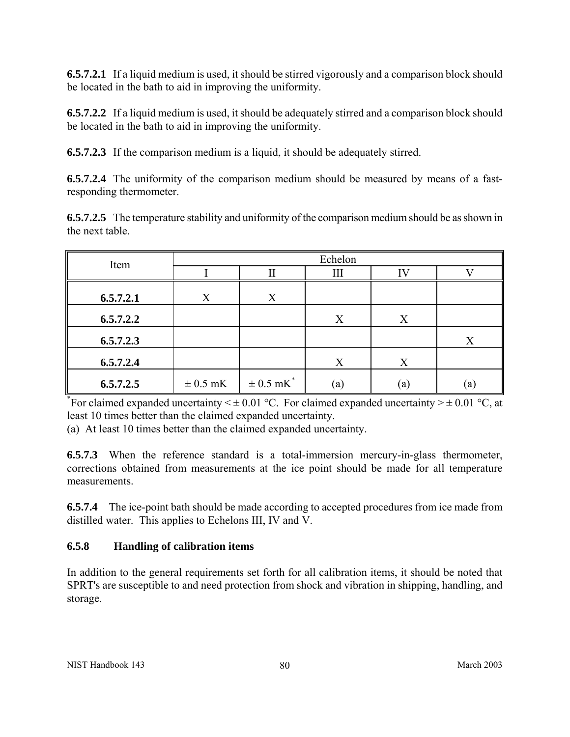**6.5.7.2.1** If a liquid medium is used, it should be stirred vigorously and a comparison block should be located in the bath to aid in improving the uniformity.

**6.5.7.2.2** If a liquid medium is used, it should be adequately stirred and a comparison block should be located in the bath to aid in improving the uniformity.

**6.5.7.2.3** If the comparison medium is a liquid, it should be adequately stirred.

**6.5.7.2.4** The uniformity of the comparison medium should be measured by means of a fastresponding thermometer.

**6.5.7.2.5** The temperature stability and uniformity of the comparison medium should be as shown in the next table.

| Item      | Echelon      |                           |     |                   |    |  |
|-----------|--------------|---------------------------|-----|-------------------|----|--|
|           |              |                           | Ш   | TΩ                |    |  |
| 6.5.7.2.1 | X            | X                         |     |                   |    |  |
| 6.5.7.2.2 |              |                           | X   | $\rm\overline{X}$ |    |  |
| 6.5.7.2.3 |              |                           |     |                   |    |  |
| 6.5.7.2.4 |              |                           | X   | $\rm X$           |    |  |
| 6.5.7.2.5 | $\pm$ 0.5 mK | $\pm$ 0.5 mK <sup>*</sup> | (a) | (a)               | (a |  |

\*For claimed expanded uncertainty  $\leq \pm 0.01$  °C. For claimed expanded uncertainty  $\geq \pm 0.01$  °C, at least 10 times better than the claimed expanded uncertainty.

(a) At least 10 times better than the claimed expanded uncertainty.

**6.5.7.3** When the reference standard is a total-immersion mercury-in-glass thermometer, corrections obtained from measurements at the ice point should be made for all temperature measurements.

**6.5.7.4** The ice-point bath should be made according to accepted procedures from ice made from distilled water. This applies to Echelons III, IV and V.

# **6.5.8 Handling of calibration items**

In addition to the general requirements set forth for all calibration items, it should be noted that SPRT's are susceptible to and need protection from shock and vibration in shipping, handling, and storage.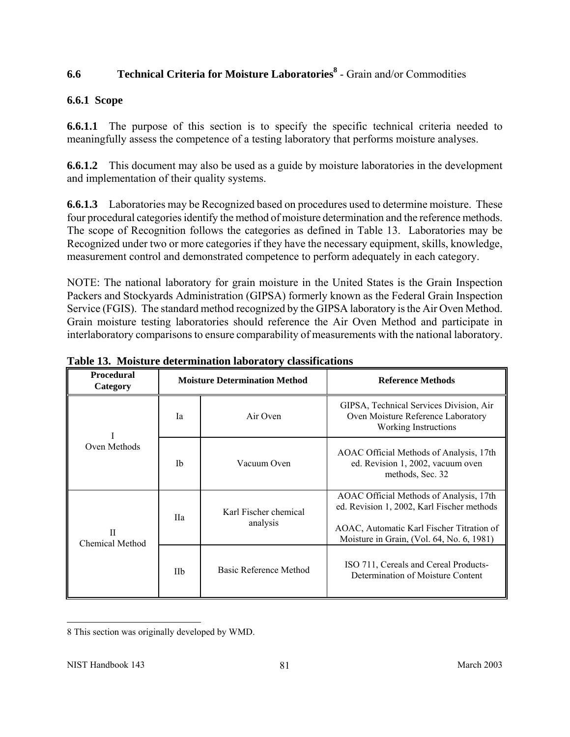# **6.6** Technical Criteria for Moisture Laboratories<sup>8</sup> - Grain and/or Commodities

## **6.6.1 Scope**

**6.6.1.1** The purpose of this section is to specify the specific technical criteria needed to meaningfully assess the competence of a testing laboratory that performs moisture analyses.

**6.6.1.2** This document may also be used as a guide by moisture laboratories in the development and implementation of their quality systems.

**6.6.1.3** Laboratories may be Recognized based on procedures used to determine moisture. These four procedural categories identify the method of moisture determination and the reference methods. The scope of Recognition follows the categories as defined in Table 13. Laboratories may be Recognized under two or more categories if they have the necessary equipment, skills, knowledge, measurement control and demonstrated competence to perform adequately in each category.

NOTE: The national laboratory for grain moisture in the United States is the Grain Inspection Packers and Stockyards Administration (GIPSA) formerly known as the Federal Grain Inspection Service (FGIS). The standard method recognized by the GIPSA laboratory is the Air Oven Method. Grain moisture testing laboratories should reference the Air Oven Method and participate in interlaboratory comparisons to ensure comparability of measurements with the national laboratory.

| <b>Procedural</b><br>Category | <b>Moisture Determination Method</b> |                                   | <b>Reference Methods</b>                                                                                                                                                        |  |  |
|-------------------------------|--------------------------------------|-----------------------------------|---------------------------------------------------------------------------------------------------------------------------------------------------------------------------------|--|--|
| Oven Methods                  | <b>I</b> a                           | Air Oven                          | GIPSA, Technical Services Division, Air<br>Oven Moisture Reference Laboratory<br>Working Instructions                                                                           |  |  |
|                               | <b>Ib</b>                            | Vacuum Oven                       | AOAC Official Methods of Analysis, 17th<br>ed. Revision 1, 2002, vacuum oven<br>methods, Sec. 32                                                                                |  |  |
| П<br><b>Chemical Method</b>   | Ha                                   | Karl Fischer chemical<br>analysis | AOAC Official Methods of Analysis, 17th<br>ed. Revision 1, 2002, Karl Fischer methods<br>AOAC, Automatic Karl Fischer Titration of<br>Moisture in Grain, (Vol. 64, No. 6, 1981) |  |  |
|                               | <b>IIb</b>                           | Basic Reference Method            | ISO 711, Cereals and Cereal Products-<br>Determination of Moisture Content                                                                                                      |  |  |

**Table 13. Moisture determination laboratory classifications**

l 8 This section was originally developed by WMD.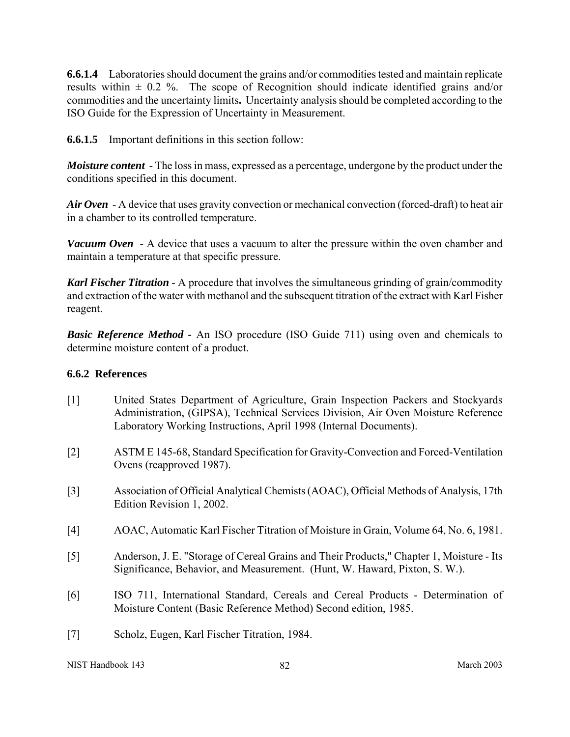**6.6.1.4** Laboratories should document the grains and/or commodities tested and maintain replicate results within  $\pm$  0.2 %. The scope of Recognition should indicate identified grains and/or commodities and the uncertainty limits**.** Uncertainty analysis should be completed according to the ISO Guide for the Expression of Uncertainty in Measurement.

**6.6.1.5** Important definitions in this section follow:

*Moisture content* - The loss in mass, expressed as a percentage, undergone by the product under the conditions specified in this document.

*Air Oven* - A device that uses gravity convection or mechanical convection (forced-draft) to heat air in a chamber to its controlled temperature.

*Vacuum Oven* - A device that uses a vacuum to alter the pressure within the oven chamber and maintain a temperature at that specific pressure.

*Karl Fischer Titration* - A procedure that involves the simultaneous grinding of grain/commodity and extraction of the water with methanol and the subsequent titration of the extract with Karl Fisher reagent.

**Basic Reference Method -** An ISO procedure (ISO Guide 711) using oven and chemicals to determine moisture content of a product.

## **6.6.2 References**

- [1] United States Department of Agriculture, Grain Inspection Packers and Stockyards Administration, (GIPSA), Technical Services Division, Air Oven Moisture Reference Laboratory Working Instructions, April 1998 (Internal Documents).
- [2] ASTM E 145-68, Standard Specification for Gravity-Convection and Forced-Ventilation Ovens (reapproved 1987).
- [3] Association of Official Analytical Chemists (AOAC), Official Methods of Analysis, 17th Edition Revision 1, 2002.
- [4] AOAC, Automatic Karl Fischer Titration of Moisture in Grain, Volume 64, No. 6, 1981.
- [5] Anderson, J. E. "Storage of Cereal Grains and Their Products," Chapter 1, Moisture Its Significance, Behavior, and Measurement. (Hunt, W. Haward, Pixton, S. W.).
- [6] ISO 711, International Standard, Cereals and Cereal Products Determination of Moisture Content (Basic Reference Method) Second edition, 1985.
- [7] Scholz, Eugen, Karl Fischer Titration, 1984.

NIST Handbook 143 82 March 2003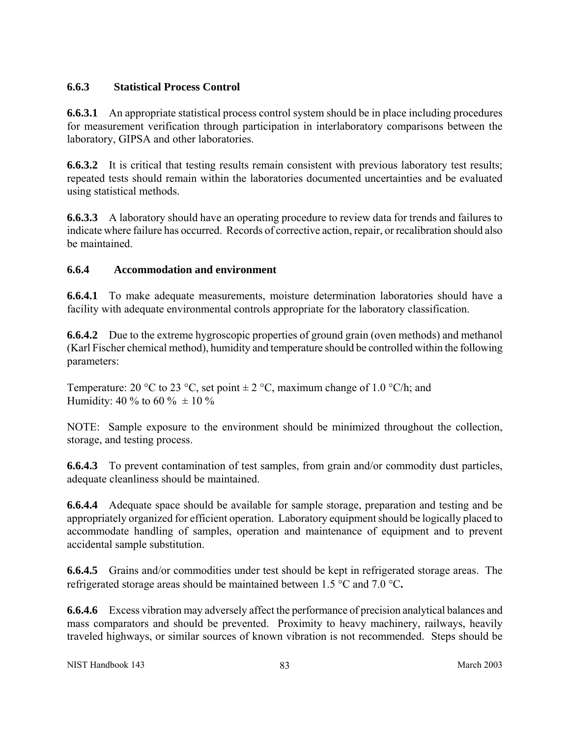# **6.6.3 Statistical Process Control**

**6.6.3.1** An appropriate statistical process control system should be in place including procedures for measurement verification through participation in interlaboratory comparisons between the laboratory, GIPSA and other laboratories.

**6.6.3.2** It is critical that testing results remain consistent with previous laboratory test results; repeated tests should remain within the laboratories documented uncertainties and be evaluated using statistical methods.

**6.6.3.3** A laboratory should have an operating procedure to review data for trends and failures to indicate where failure has occurred. Records of corrective action, repair, or recalibration should also be maintained.

# **6.6.4 Accommodation and environment**

**6.6.4.1** To make adequate measurements, moisture determination laboratories should have a facility with adequate environmental controls appropriate for the laboratory classification.

**6.6.4.2** Due to the extreme hygroscopic properties of ground grain (oven methods) and methanol (Karl Fischer chemical method), humidity and temperature should be controlled within the following parameters:

Temperature: 20 °C to 23 °C, set point  $\pm$  2 °C, maximum change of 1.0 °C/h; and Humidity: 40 % to 60 %  $\pm$  10 %

NOTE:Sample exposure to the environment should be minimized throughout the collection, storage, and testing process.

**6.6.4.3** To prevent contamination of test samples, from grain and/or commodity dust particles, adequate cleanliness should be maintained.

**6.6.4.4** Adequate space should be available for sample storage, preparation and testing and be appropriately organized for efficient operation. Laboratory equipment should be logically placed to accommodate handling of samples, operation and maintenance of equipment and to prevent accidental sample substitution.

**6.6.4.5** Grains and/or commodities under test should be kept in refrigerated storage areas. The refrigerated storage areas should be maintained between 1.5 °C and 7.0 °C**.** 

**6.6.4.6** Excess vibration may adversely affect the performance of precision analytical balances and mass comparators and should be prevented. Proximity to heavy machinery, railways, heavily traveled highways, or similar sources of known vibration is not recommended. Steps should be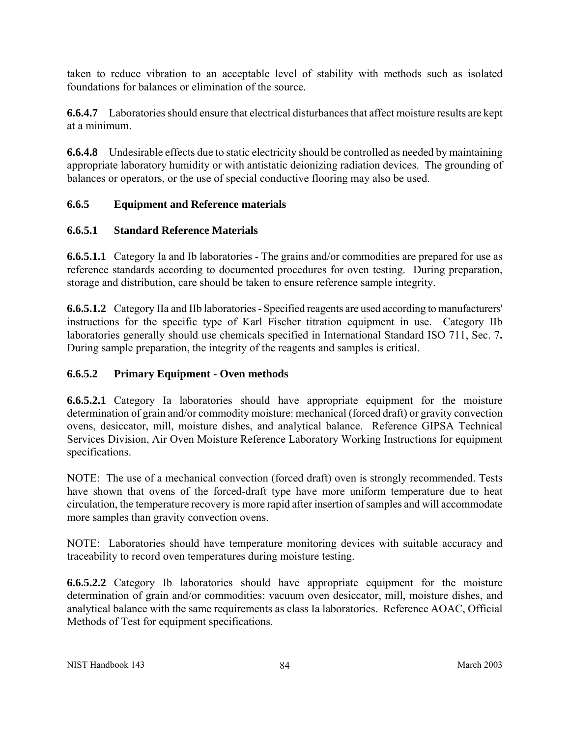taken to reduce vibration to an acceptable level of stability with methods such as isolated foundations for balances or elimination of the source.

**6.6.4.7** Laboratories should ensure that electrical disturbances that affect moisture results are kept at a minimum.

**6.6.4.8** Undesirable effects due to static electricity should be controlled as needed by maintaining appropriate laboratory humidity or with antistatic deionizing radiation devices. The grounding of balances or operators, or the use of special conductive flooring may also be used.

# **6.6.5 Equipment and Reference materials**

# **6.6.5.1 Standard Reference Materials**

**6.6.5.1.1** Category Ia and Ib laboratories - The grains and/or commodities are prepared for use as reference standards according to documented procedures for oven testing. During preparation, storage and distribution, care should be taken to ensure reference sample integrity.

**6.6.5.1.2** Category IIa and IIb laboratories - Specified reagents are used according to manufacturers' instructions for the specific type of Karl Fischer titration equipment in use. Category IIb laboratories generally should use chemicals specified in International Standard ISO 711, Sec. 7**.**  During sample preparation, the integrity of the reagents and samples is critical.

# **6.6.5.2 Primary Equipment - Oven methods**

**6.6.5.2.1** Category Ia laboratories should have appropriate equipment for the moisture determination of grain and/or commodity moisture: mechanical (forced draft) or gravity convection ovens, desiccator, mill, moisture dishes, and analytical balance. Reference GIPSA Technical Services Division, Air Oven Moisture Reference Laboratory Working Instructions for equipment specifications.

NOTE: The use of a mechanical convection (forced draft) oven is strongly recommended. Tests have shown that ovens of the forced-draft type have more uniform temperature due to heat circulation, the temperature recovery is more rapid after insertion of samples and will accommodate more samples than gravity convection ovens.

NOTE: Laboratories should have temperature monitoring devices with suitable accuracy and traceability to record oven temperatures during moisture testing.

**6.6.5.2.2** Category Ib laboratories should have appropriate equipment for the moisture determination of grain and/or commodities: vacuum oven desiccator, mill, moisture dishes, and analytical balance with the same requirements as class Ia laboratories. Reference AOAC, Official Methods of Test for equipment specifications.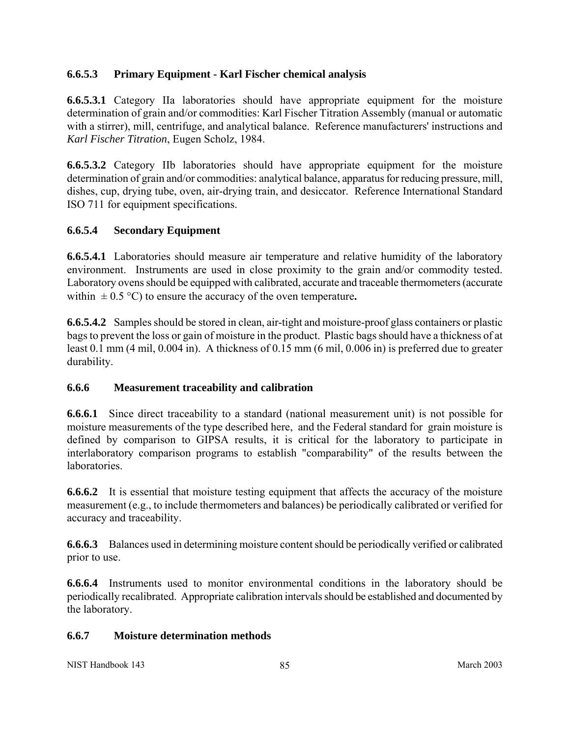## **6.6.5.3 Primary Equipment - Karl Fischer chemical analysis**

**6.6.5.3.1** Category IIa laboratories should have appropriate equipment for the moisture determination of grain and/or commodities: Karl Fischer Titration Assembly (manual or automatic with a stirrer), mill, centrifuge, and analytical balance. Reference manufacturers' instructions and *Karl Fischer Titration*, Eugen Scholz, 1984.

**6.6.5.3.2** Category IIb laboratories should have appropriate equipment for the moisture determination of grain and/or commodities: analytical balance, apparatus for reducing pressure, mill, dishes, cup, drying tube, oven, air-drying train, and desiccator. Reference International Standard ISO 711 for equipment specifications.

# **6.6.5.4 Secondary Equipment**

**6.6.5.4.1** Laboratories should measure air temperature and relative humidity of the laboratory environment. Instruments are used in close proximity to the grain and/or commodity tested. Laboratory ovens should be equipped with calibrated, accurate and traceable thermometers (accurate within  $\pm 0.5$  °C) to ensure the accuracy of the oven temperature.

**6.6.5.4.2** Samples should be stored in clean, air-tight and moisture-proof glass containers or plastic bags to prevent the loss or gain of moisture in the product. Plastic bags should have a thickness of at least 0.1 mm (4 mil, 0.004 in). A thickness of 0.15 mm (6 mil, 0.006 in) is preferred due to greater durability.

## **6.6.6 Measurement traceability and calibration**

**6.6.6.1** Since direct traceability to a standard (national measurement unit) is not possible for moisture measurements of the type described here, and the Federal standard for grain moisture is defined by comparison to GIPSA results, it is critical for the laboratory to participate in interlaboratory comparison programs to establish "comparability" of the results between the laboratories.

**6.6.6.2** It is essential that moisture testing equipment that affects the accuracy of the moisture measurement (e.g., to include thermometers and balances) be periodically calibrated or verified for accuracy and traceability.

**6.6.6.3** Balances used in determining moisture content should be periodically verified or calibrated prior to use.

**6.6.6.4** Instruments used to monitor environmental conditions in the laboratory should be periodically recalibrated. Appropriate calibration intervals should be established and documented by the laboratory.

## **6.6.7 Moisture determination methods**

NIST Handbook 143 85 March 2003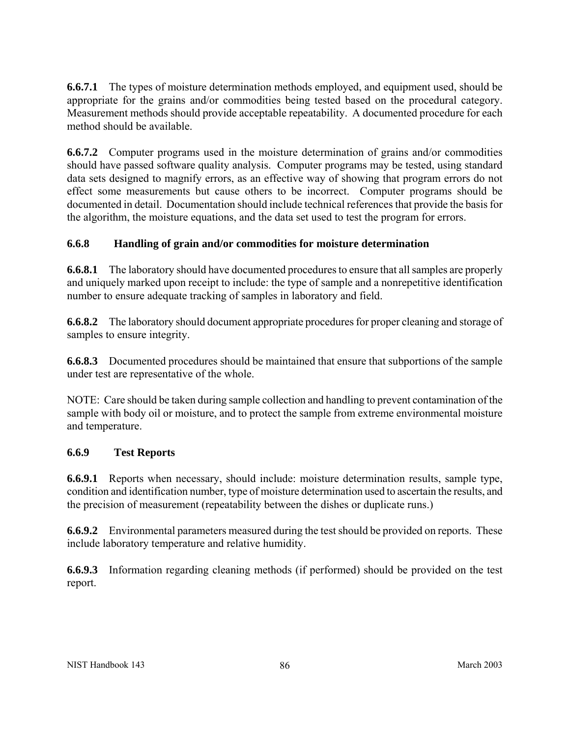**6.6.7.1** The types of moisture determination methods employed, and equipment used, should be appropriate for the grains and/or commodities being tested based on the procedural category. Measurement methods should provide acceptable repeatability. A documented procedure for each method should be available.

**6.6.7.2** Computer programs used in the moisture determination of grains and/or commodities should have passed software quality analysis. Computer programs may be tested, using standard data sets designed to magnify errors, as an effective way of showing that program errors do not effect some measurements but cause others to be incorrect. Computer programs should be documented in detail. Documentation should include technical references that provide the basis for the algorithm, the moisture equations, and the data set used to test the program for errors.

# **6.6.8 Handling of grain and/or commodities for moisture determination**

**6.6.8.1** The laboratory should have documented procedures to ensure that all samples are properly and uniquely marked upon receipt to include: the type of sample and a nonrepetitive identification number to ensure adequate tracking of samples in laboratory and field.

**6.6.8.2** The laboratory should document appropriate procedures for proper cleaning and storage of samples to ensure integrity.

**6.6.8.3** Documented procedures should be maintained that ensure that subportions of the sample under test are representative of the whole.

NOTE:Care should be taken during sample collection and handling to prevent contamination of the sample with body oil or moisture, and to protect the sample from extreme environmental moisture and temperature.

## **6.6.9 Test Reports**

**6.6.9.1** Reports when necessary, should include: moisture determination results, sample type, condition and identification number, type of moisture determination used to ascertain the results, and the precision of measurement (repeatability between the dishes or duplicate runs.)

**6.6.9.2** Environmental parameters measured during the test should be provided on reports. These include laboratory temperature and relative humidity.

**6.6.9.3** Information regarding cleaning methods (if performed) should be provided on the test report.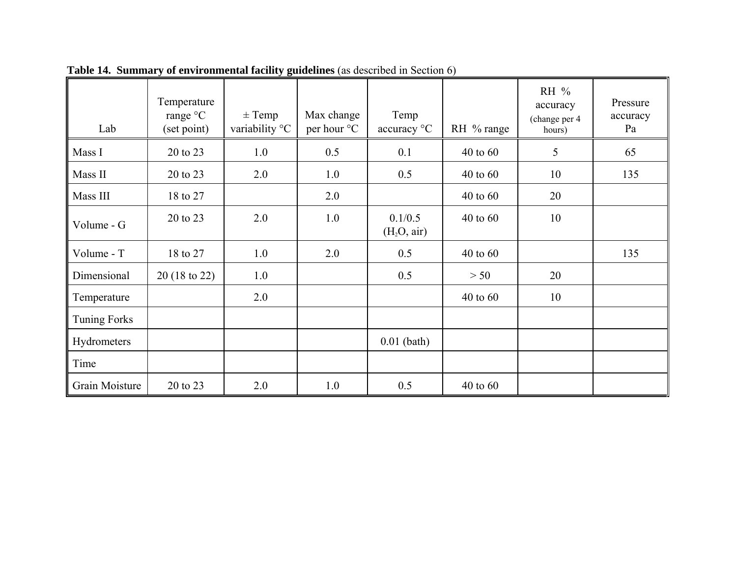| Lab                 | Temperature<br>range °C<br>(set point) | $\pm$ Temp<br>variability °C | Max change<br>per hour °C | Temp<br>accuracy °C                | RH % range | RH %<br>accuracy<br>(change per 4<br>hours) | Pressure<br>accuracy<br>Pa |
|---------------------|----------------------------------------|------------------------------|---------------------------|------------------------------------|------------|---------------------------------------------|----------------------------|
| Mass I              | 20 to 23                               | 1.0                          | 0.5                       | 0.1                                | 40 to 60   | 5                                           | 65                         |
| Mass II             | 20 to 23                               | 2.0                          | 1.0                       | 0.5                                | 40 to 60   | 10                                          | 135                        |
| Mass III            | 18 to 27                               |                              | 2.0                       |                                    | 40 to 60   | 20                                          |                            |
| Volume - G          | 20 to 23                               | 2.0                          | 1.0                       | 0.1/0.5<br>(H <sub>2</sub> O, air) | 40 to 60   | 10                                          |                            |
| Volume - T          | 18 to 27                               | 1.0                          | 2.0                       | 0.5                                | 40 to 60   |                                             | 135                        |
| Dimensional         | 20 (18 to 22)                          | 1.0                          |                           | 0.5                                | > 50       | 20                                          |                            |
| Temperature         |                                        | 2.0                          |                           |                                    | 40 to 60   | 10                                          |                            |
| <b>Tuning Forks</b> |                                        |                              |                           |                                    |            |                                             |                            |
| Hydrometers         |                                        |                              |                           | $0.01$ (bath)                      |            |                                             |                            |
| Time                |                                        |                              |                           |                                    |            |                                             |                            |
| Grain Moisture      | 20 to 23                               | 2.0                          | 1.0                       | 0.5                                | 40 to 60   |                                             |                            |

**Table 14. Summary of environmental facility guidelines** (as described in Section 6)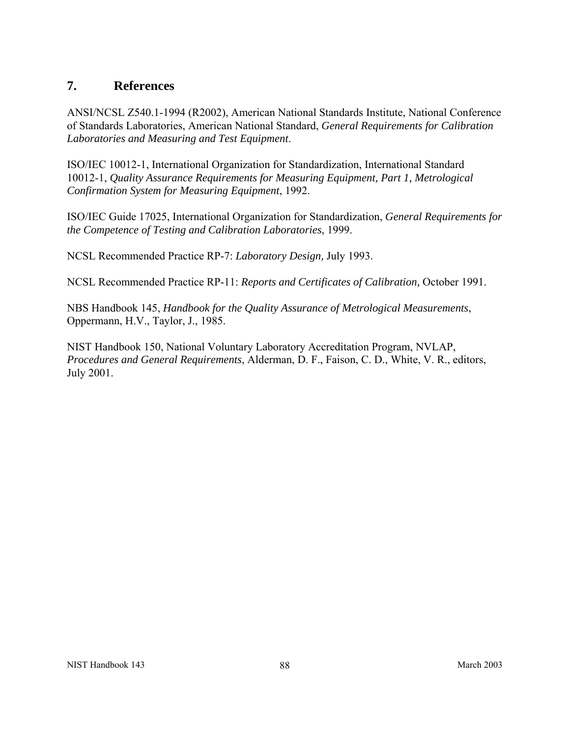# **7. References**

ANSI/NCSL Z540.1-1994 (R2002), American National Standards Institute, National Conference of Standards Laboratories, American National Standard, *General Requirements for Calibration Laboratories and Measuring and Test Equipment*.

ISO/IEC 10012-1, International Organization for Standardization, International Standard 10012-1, *Quality Assurance Requirements for Measuring Equipment, Part 1, Metrological Confirmation System for Measuring Equipment*, 1992.

ISO/IEC Guide 17025, International Organization for Standardization, *General Requirements for the Competence of Testing and Calibration Laboratories*, 1999.

NCSL Recommended Practice RP-7: *Laboratory Design,* July 1993.

NCSL Recommended Practice RP-11: *Reports and Certificates of Calibration,* October 1991.

NBS Handbook 145, *Handbook for the Quality Assurance of Metrological Measurements*, Oppermann, H.V., Taylor, J., 1985.

NIST Handbook 150, National Voluntary Laboratory Accreditation Program, NVLAP, *Procedures and General Requirements*, Alderman, D. F., Faison, C. D., White, V. R., editors, July 2001.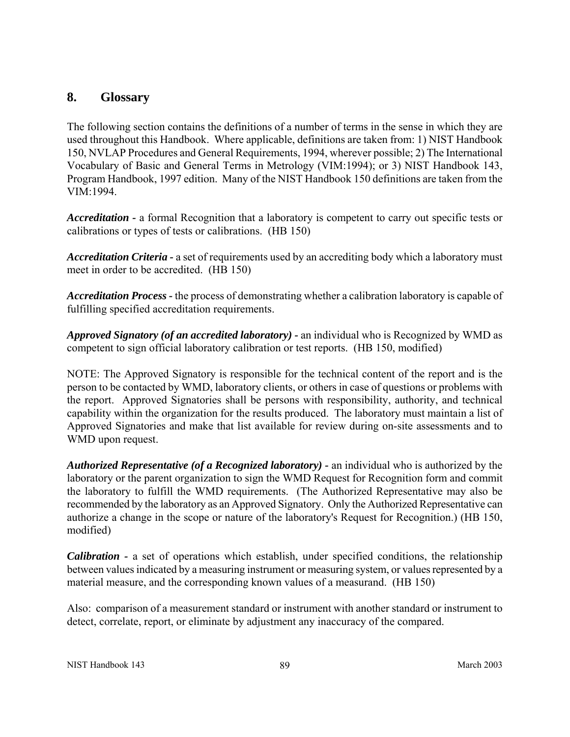# **8. Glossary**

The following section contains the definitions of a number of terms in the sense in which they are used throughout this Handbook. Where applicable, definitions are taken from: 1) NIST Handbook 150, NVLAP Procedures and General Requirements, 1994, wherever possible; 2) The International Vocabulary of Basic and General Terms in Metrology (VIM:1994); or 3) NIST Handbook 143, Program Handbook, 1997 edition. Many of the NIST Handbook 150 definitions are taken from the VIM:1994.

*Accreditation -* a formal Recognition that a laboratory is competent to carry out specific tests or calibrations or types of tests or calibrations. (HB 150)

*Accreditation Criteria -* a set of requirements used by an accrediting body which a laboratory must meet in order to be accredited. (HB 150)

*Accreditation Process -* the process of demonstrating whether a calibration laboratory is capable of fulfilling specified accreditation requirements.

*Approved Signatory (of an accredited laboratory) -* an individual who is Recognized by WMD as competent to sign official laboratory calibration or test reports. (HB 150, modified)

NOTE: The Approved Signatory is responsible for the technical content of the report and is the person to be contacted by WMD, laboratory clients, or others in case of questions or problems with the report. Approved Signatories shall be persons with responsibility, authority, and technical capability within the organization for the results produced. The laboratory must maintain a list of Approved Signatories and make that list available for review during on-site assessments and to WMD upon request.

*Authorized Representative (of a Recognized laboratory) -* an individual who is authorized by the laboratory or the parent organization to sign the WMD Request for Recognition form and commit the laboratory to fulfill the WMD requirements. (The Authorized Representative may also be recommended by the laboratory as an Approved Signatory. Only the Authorized Representative can authorize a change in the scope or nature of the laboratory's Request for Recognition.) (HB 150, modified)

*Calibration -* a set of operations which establish, under specified conditions, the relationship between values indicated by a measuring instrument or measuring system, or values represented by a material measure, and the corresponding known values of a measurand. (HB 150)

Also: comparison of a measurement standard or instrument with another standard or instrument to detect, correlate, report, or eliminate by adjustment any inaccuracy of the compared.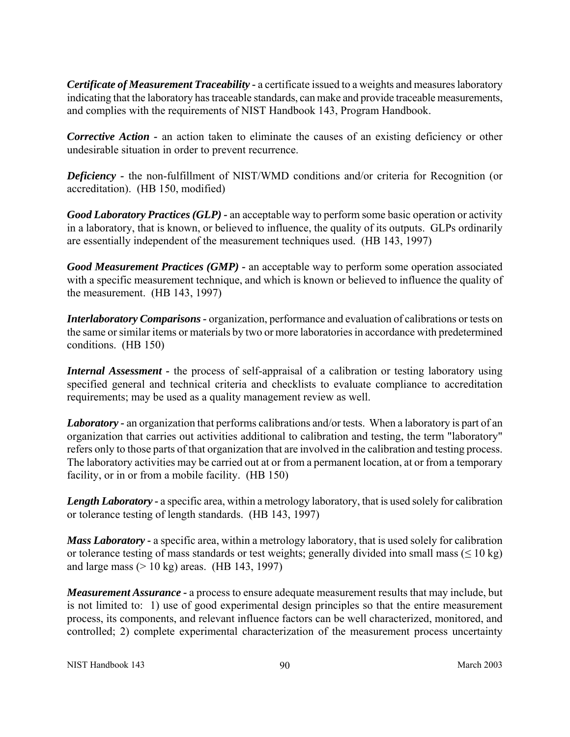*Certificate of Measurement Traceability* **-** a certificate issued to a weights and measures laboratory indicating that the laboratory has traceable standards, can make and provide traceable measurements, and complies with the requirements of NIST Handbook 143, Program Handbook.

*Corrective Action -* an action taken to eliminate the causes of an existing deficiency or other undesirable situation in order to prevent recurrence.

*Deficiency* - the non-fulfillment of NIST/WMD conditions and/or criteria for Recognition (or accreditation). (HB 150, modified)

*Good Laboratory Practices (GLP) -* an acceptable way to perform some basic operation or activity in a laboratory, that is known, or believed to influence, the quality of its outputs. GLPs ordinarily are essentially independent of the measurement techniques used. (HB 143, 1997)

*Good Measurement Practices (GMP) -* an acceptable way to perform some operation associated with a specific measurement technique, and which is known or believed to influence the quality of the measurement. (HB 143, 1997)

*Interlaboratory Comparisons -* organization, performance and evaluation of calibrations or tests on the same or similar items or materials by two or more laboratories in accordance with predetermined conditions. (HB 150)

*Internal Assessment - the process of self-appraisal of a calibration or testing laboratory using* specified general and technical criteria and checklists to evaluate compliance to accreditation requirements; may be used as a quality management review as well.

*Laboratory -* an organization that performs calibrations and/or tests. When a laboratory is part of an organization that carries out activities additional to calibration and testing, the term "laboratory" refers only to those parts of that organization that are involved in the calibration and testing process. The laboratory activities may be carried out at or from a permanent location, at or from a temporary facility, or in or from a mobile facility. (HB 150)

*Length Laboratory -* a specific area, within a metrology laboratory, that is used solely for calibration or tolerance testing of length standards. (HB 143, 1997)

*Mass Laboratory -* a specific area, within a metrology laboratory, that is used solely for calibration or tolerance testing of mass standards or test weights; generally divided into small mass ( $\leq 10 \text{ kg}$ ) and large mass  $(> 10 \text{ kg})$  areas. (HB 143, 1997)

*Measurement Assurance -* a process to ensure adequate measurement results that may include, but is not limited to: 1) use of good experimental design principles so that the entire measurement process, its components, and relevant influence factors can be well characterized, monitored, and controlled; 2) complete experimental characterization of the measurement process uncertainty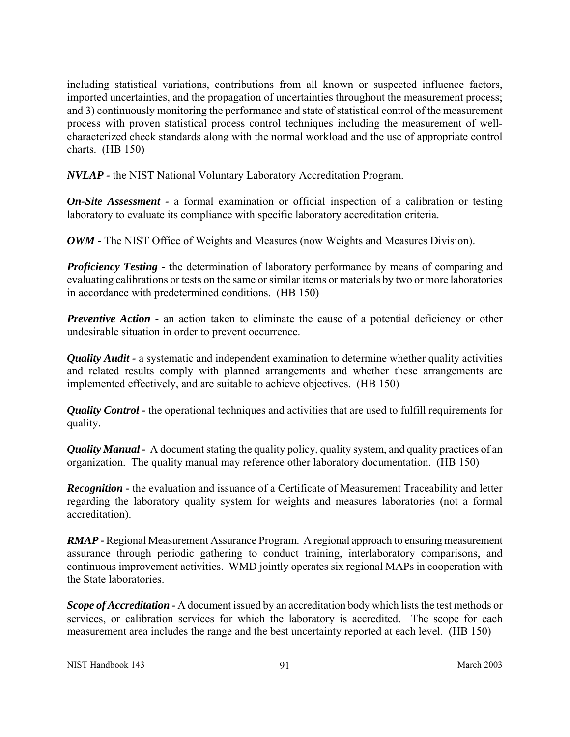including statistical variations, contributions from all known or suspected influence factors, imported uncertainties, and the propagation of uncertainties throughout the measurement process; and 3) continuously monitoring the performance and state of statistical control of the measurement process with proven statistical process control techniques including the measurement of wellcharacterized check standards along with the normal workload and the use of appropriate control charts. (HB 150)

*NVLAP -* the NIST National Voluntary Laboratory Accreditation Program.

*On-Site Assessment -* a formal examination or official inspection of a calibration or testing laboratory to evaluate its compliance with specific laboratory accreditation criteria.

*OWM -* The NIST Office of Weights and Measures (now Weights and Measures Division).

*Proficiency Testing* - the determination of laboratory performance by means of comparing and evaluating calibrations or tests on the same or similar items or materials by two or more laboratories in accordance with predetermined conditions. (HB 150)

*Preventive Action -* an action taken to eliminate the cause of a potential deficiency or other undesirable situation in order to prevent occurrence.

*Quality Audit -* a systematic and independent examination to determine whether quality activities and related results comply with planned arrangements and whether these arrangements are implemented effectively, and are suitable to achieve objectives. (HB 150)

*Quality Control* - the operational techniques and activities that are used to fulfill requirements for quality.

*Quality Manual - A document stating the quality policy, quality system, and quality practices of an* organization. The quality manual may reference other laboratory documentation. (HB 150)

*Recognition* - the evaluation and issuance of a Certificate of Measurement Traceability and letter regarding the laboratory quality system for weights and measures laboratories (not a formal accreditation).

*RMAP* - Regional Measurement Assurance Program. A regional approach to ensuring measurement assurance through periodic gathering to conduct training, interlaboratory comparisons, and continuous improvement activities. WMD jointly operates six regional MAPs in cooperation with the State laboratories.

*Scope of Accreditation -* A document issued by an accreditation body which lists the test methods or services, or calibration services for which the laboratory is accredited. The scope for each measurement area includes the range and the best uncertainty reported at each level. (HB 150)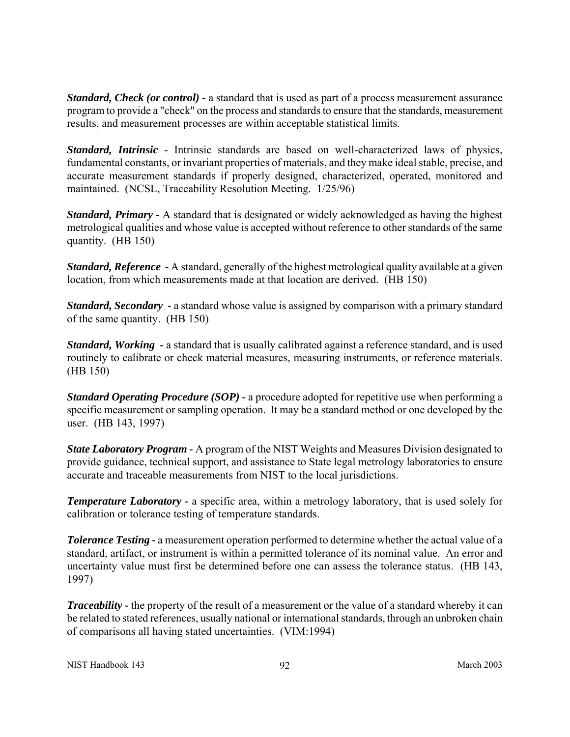*Standard, Check (or control) -* a standard that is used as part of a process measurement assurance program to provide a "check" on the process and standards to ensure that the standards, measurement results, and measurement processes are within acceptable statistical limits.

*Standard, Intrinsic* - Intrinsic standards are based on well-characterized laws of physics, fundamental constants, or invariant properties of materials, and they make ideal stable, precise, and accurate measurement standards if properly designed, characterized, operated, monitored and maintained. (NCSL, Traceability Resolution Meeting. 1/25/96)

*Standard, Primary -* A standard that is designated or widely acknowledged as having the highest metrological qualities and whose value is accepted without reference to other standards of the same quantity. (HB 150)

*Standard, Reference -* A standard, generally of the highest metrological quality available at a given location, from which measurements made at that location are derived. (HB 150)

*Standard, Secondary -* a standard whose value is assigned by comparison with a primary standard of the same quantity. (HB 150)

*Standard, Working -* a standard that is usually calibrated against a reference standard, and is used routinely to calibrate or check material measures, measuring instruments, or reference materials. (HB 150)

*Standard Operating Procedure (SOP) -* a procedure adopted for repetitive use when performing a specific measurement or sampling operation. It may be a standard method or one developed by the user. (HB 143, 1997)

*State Laboratory Program -* A program of the NIST Weights and Measures Division designated to provide guidance, technical support, and assistance to State legal metrology laboratories to ensure accurate and traceable measurements from NIST to the local jurisdictions.

**Temperature Laboratory -** a specific area, within a metrology laboratory, that is used solely for calibration or tolerance testing of temperature standards.

*Tolerance Testing -* a measurement operation performed to determine whether the actual value of a standard, artifact, or instrument is within a permitted tolerance of its nominal value. An error and uncertainty value must first be determined before one can assess the tolerance status. (HB 143, 1997)

*Traceability* - the property of the result of a measurement or the value of a standard whereby it can be related to stated references, usually national or international standards, through an unbroken chain of comparisons all having stated uncertainties. (VIM:1994)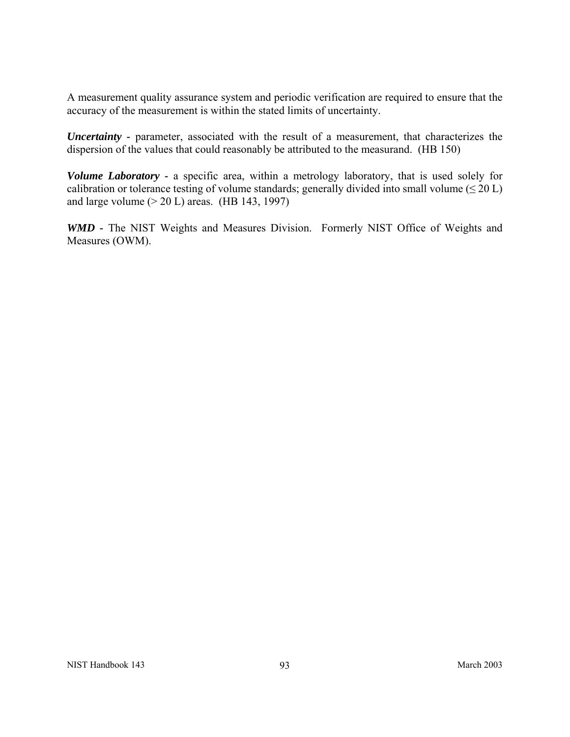A measurement quality assurance system and periodic verification are required to ensure that the accuracy of the measurement is within the stated limits of uncertainty.

*Uncertainty* - parameter, associated with the result of a measurement, that characterizes the dispersion of the values that could reasonably be attributed to the measurand. (HB 150)

*Volume Laboratory -* a specific area, within a metrology laboratory, that is used solely for calibration or tolerance testing of volume standards; generally divided into small volume  $(\leq 20 \text{ L})$ and large volume  $(> 20 \text{ L})$  areas. (HB 143, 1997)

*WMD -* The NIST Weights and Measures Division. Formerly NIST Office of Weights and Measures (OWM).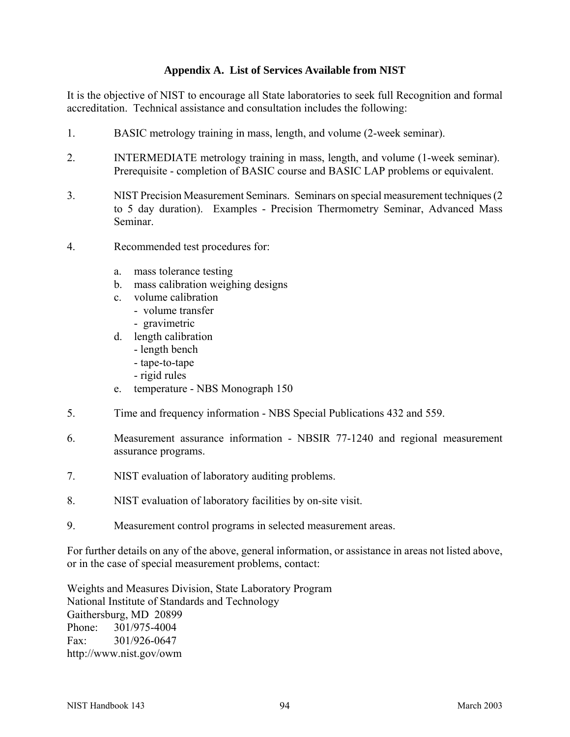### **Appendix A. List of Services Available from NIST**

It is the objective of NIST to encourage all State laboratories to seek full Recognition and formal accreditation. Technical assistance and consultation includes the following:

- 1. BASIC metrology training in mass, length, and volume (2-week seminar).
- 2. INTERMEDIATE metrology training in mass, length, and volume (1-week seminar). Prerequisite - completion of BASIC course and BASIC LAP problems or equivalent.
- 3. NIST Precision Measurement Seminars. Seminars on special measurement techniques (2 to 5 day duration). Examples - Precision Thermometry Seminar, Advanced Mass Seminar.
- 4. Recommended test procedures for:
	- a. mass tolerance testing
	- b. mass calibration weighing designs
	- c. volume calibration
		- volume transfer
		- gravimetric
	- d. length calibration
		- length bench
		- tape-to-tape
		- rigid rules
	- e. temperature NBS Monograph 150
- 5. Time and frequency information NBS Special Publications 432 and 559.
- 6. Measurement assurance information NBSIR 77-1240 and regional measurement assurance programs.
- 7. NIST evaluation of laboratory auditing problems.
- 8. NIST evaluation of laboratory facilities by on-site visit.
- 9. Measurement control programs in selected measurement areas.

For further details on any of the above, general information, or assistance in areas not listed above, or in the case of special measurement problems, contact:

Weights and Measures Division, State Laboratory Program National Institute of Standards and Technology Gaithersburg, MD 20899 Phone: 301/975-4004 Fax: 301/926-0647 http://www.nist.gov/owm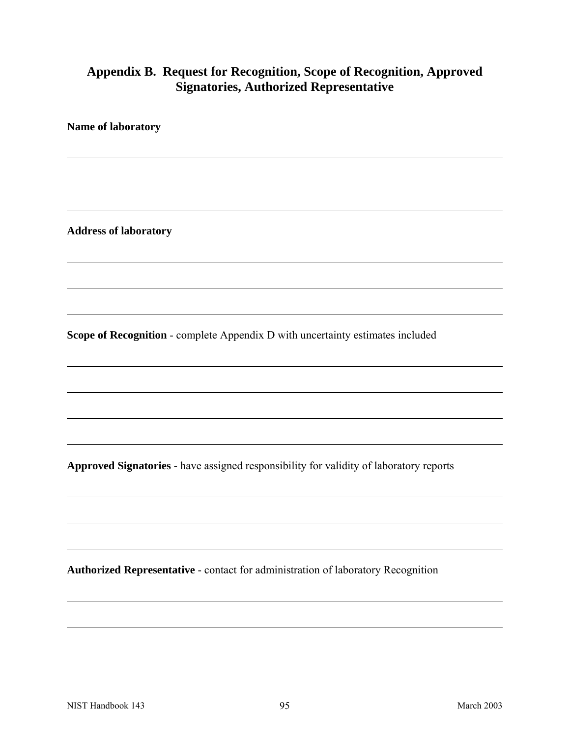# **Appendix B. Request for Recognition, Scope of Recognition, Approved Signatories, Authorized Representative**

**Name of laboratory**

**Address of laboratory**

**Scope of Recognition** - complete Appendix D with uncertainty estimates included

**Approved Signatories** - have assigned responsibility for validity of laboratory reports

**Authorized Representative** - contact for administration of laboratory Recognition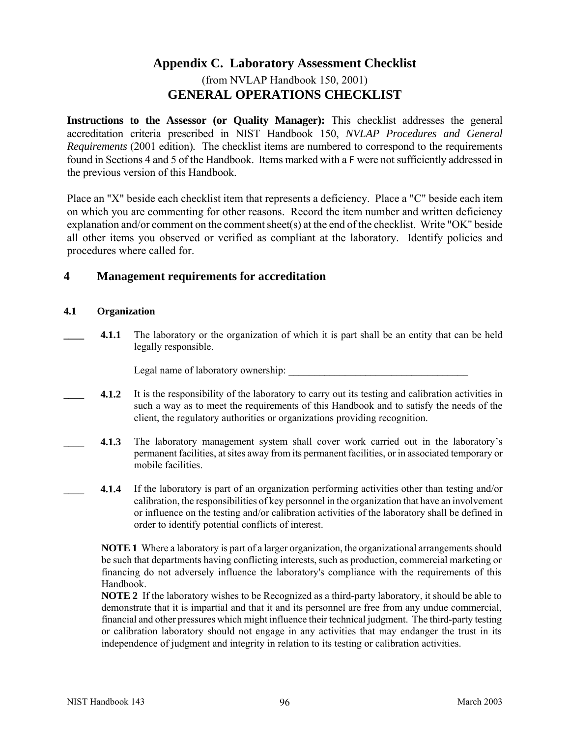# **Appendix C. Laboratory Assessment Checklist**  (from NVLAP Handbook 150, 2001) **GENERAL OPERATIONS CHECKLIST**

**Instructions to the Assessor (or Quality Manager):** This checklist addresses the general accreditation criteria prescribed in NIST Handbook 150, *NVLAP Procedures and General Requirements* (2001 edition)*.* The checklist items are numbered to correspond to the requirements found in Sections 4 and 5 of the Handbook. Items marked with a F were not sufficiently addressed in the previous version of this Handbook.

Place an "X" beside each checklist item that represents a deficiency. Place a "C" beside each item on which you are commenting for other reasons. Record the item number and written deficiency explanation and/or comment on the comment sheet(s) at the end of the checklist. Write "OK" beside all other items you observed or verified as compliant at the laboratory. Identify policies and procedures where called for.

## **4 Management requirements for accreditation**

### **4.1 Organization**

**4.1.1** The laboratory or the organization of which it is part shall be an entity that can be held legally responsible.

Legal name of laboratory ownership:

- **4.1.2** It is the responsibility of the laboratory to carry out its testing and calibration activities in such a way as to meet the requirements of this Handbook and to satisfy the needs of the client, the regulatory authorities or organizations providing recognition.
	- **4.1.3** The laboratory management system shall cover work carried out in the laboratory's permanent facilities, at sites away from its permanent facilities, or in associated temporary or mobile facilities.
	- \_\_\_\_ **4.1.4** If the laboratory is part of an organization performing activities other than testing and/or calibration, the responsibilities of key personnel in the organization that have an involvement or influence on the testing and/or calibration activities of the laboratory shall be defined in order to identify potential conflicts of interest.

**NOTE 1** Where a laboratory is part of a larger organization, the organizational arrangements should be such that departments having conflicting interests, such as production, commercial marketing or financing do not adversely influence the laboratory's compliance with the requirements of this Handbook.

**NOTE 2** If the laboratory wishes to be Recognized as a third-party laboratory, it should be able to demonstrate that it is impartial and that it and its personnel are free from any undue commercial, financial and other pressures which might influence their technical judgment. The third-party testing or calibration laboratory should not engage in any activities that may endanger the trust in its independence of judgment and integrity in relation to its testing or calibration activities.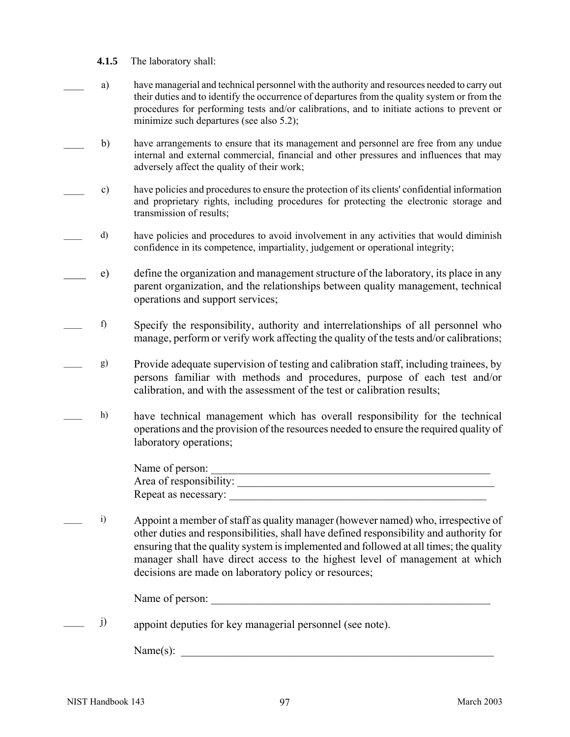### **4.1.5** The laboratory shall:

| a)           | have managerial and technical personnel with the authority and resources needed to carry out<br>their duties and to identify the occurrence of departures from the quality system or from the<br>procedures for performing tests and/or calibrations, and to initiate actions to prevent or<br>minimize such departures (see also 5.2);                                                                        |
|--------------|----------------------------------------------------------------------------------------------------------------------------------------------------------------------------------------------------------------------------------------------------------------------------------------------------------------------------------------------------------------------------------------------------------------|
| b)           | have arrangements to ensure that its management and personnel are free from any undue<br>internal and external commercial, financial and other pressures and influences that may<br>adversely affect the quality of their work;                                                                                                                                                                                |
| $\circ$ )    | have policies and procedures to ensure the protection of its clients' confidential information<br>and proprietary rights, including procedures for protecting the electronic storage and<br>transmission of results;                                                                                                                                                                                           |
| d)           | have policies and procedures to avoid involvement in any activities that would diminish<br>confidence in its competence, impartiality, judgement or operational integrity;                                                                                                                                                                                                                                     |
| e)           | define the organization and management structure of the laboratory, its place in any<br>parent organization, and the relationships between quality management, technical<br>operations and support services;                                                                                                                                                                                                   |
| f)           | Specify the responsibility, authority and interrelationships of all personnel who<br>manage, perform or verify work affecting the quality of the tests and/or calibrations;                                                                                                                                                                                                                                    |
| g)           | Provide adequate supervision of testing and calibration staff, including trainees, by<br>persons familiar with methods and procedures, purpose of each test and/or<br>calibration, and with the assessment of the test or calibration results;                                                                                                                                                                 |
| h)           | have technical management which has overall responsibility for the technical<br>operations and the provision of the resources needed to ensure the required quality of<br>laboratory operations;                                                                                                                                                                                                               |
|              | Name of person:<br>Area of responsibility:<br>Repeat as necessary:                                                                                                                                                                                                                                                                                                                                             |
| $\mathbf{i}$ | Appoint a member of staff as quality manager (however named) who, irrespective of<br>other duties and responsibilities, shall have defined responsibility and authority for<br>ensuring that the quality system is implemented and followed at all times; the quality<br>manager shall have direct access to the highest level of management at which<br>decisions are made on laboratory policy or resources; |
|              | Name of person:                                                                                                                                                                                                                                                                                                                                                                                                |
| j)           | appoint deputies for key managerial personnel (see note).                                                                                                                                                                                                                                                                                                                                                      |
|              | Name $(s)$ :                                                                                                                                                                                                                                                                                                                                                                                                   |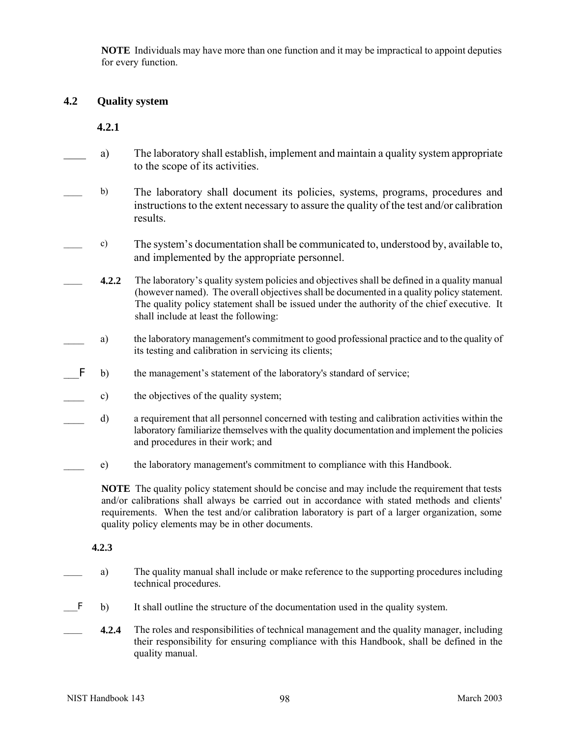**NOTE** Individuals may have more than one function and it may be impractical to appoint deputies for every function.

### **4.2 Quality system**

 **4.2.1** 

- a) The laboratory shall establish, implement and maintain a quality system appropriate to the scope of its activities.
- b) The laboratory shall document its policies, systems, programs, procedures and instructions to the extent necessary to assure the quality of the test and/or calibration results.
- \_\_\_\_ c) The system's documentation shall be communicated to, understood by, available to, and implemented by the appropriate personnel.
- **4.2.2** The laboratory's quality system policies and objectives shall be defined in a quality manual (however named). The overall objectives shall be documented in a quality policy statement. The quality policy statement shall be issued under the authority of the chief executive. It shall include at least the following:
- a) the laboratory management's commitment to good professional practice and to the quality of its testing and calibration in servicing its clients;
- $\mathbf{F}$  b) the management's statement of the laboratory's standard of service;
- c) the objectives of the quality system;
- \_\_\_\_ d) a requirement that all personnel concerned with testing and calibration activities within the laboratory familiarize themselves with the quality documentation and implement the policies and procedures in their work; and
- \_\_\_\_ e) the laboratory management's commitment to compliance with this Handbook.

**NOTE** The quality policy statement should be concise and may include the requirement that tests and/or calibrations shall always be carried out in accordance with stated methods and clients' requirements. When the test and/or calibration laboratory is part of a larger organization, some quality policy elements may be in other documents.

### **4.2.3**

- a) The quality manual shall include or make reference to the supporting procedures including technical procedures.
- $\mathbf{F}$  b) It shall outline the structure of the documentation used in the quality system.
- **4.2.4** The roles and responsibilities of technical management and the quality manager, including their responsibility for ensuring compliance with this Handbook, shall be defined in the quality manual.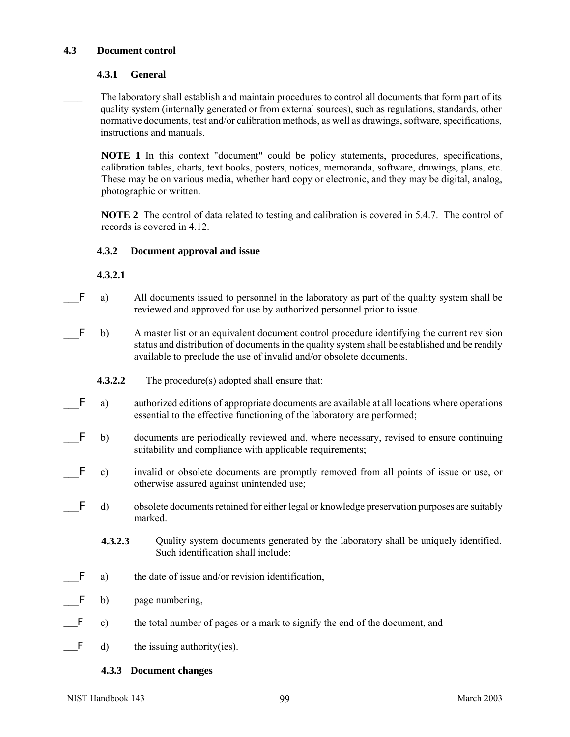### **4.3 Document control**

### **4.3.1 General**

The laboratory shall establish and maintain procedures to control all documents that form part of its quality system (internally generated or from external sources), such as regulations, standards, other normative documents, test and/or calibration methods, as well as drawings, software, specifications, instructions and manuals.

**NOTE 1** In this context "document" could be policy statements, procedures, specifications, calibration tables, charts, text books, posters, notices, memoranda, software, drawings, plans, etc. These may be on various media, whether hard copy or electronic, and they may be digital, analog, photographic or written.

**NOTE 2** The control of data related to testing and calibration is covered in 5.4.7. The control of records is covered in 4.12.

### **4.3.2 Document approval and issue**

 **4.3.2.1** 

- $\mathbf{F}$  a) All documents issued to personnel in the laboratory as part of the quality system shall be reviewed and approved for use by authorized personnel prior to issue.
	- F b) A master list or an equivalent document control procedure identifying the current revision status and distribution of documents in the quality system shall be established and be readily available to preclude the use of invalid and/or obsolete documents.
		- **4.3.2.2** The procedure(s) adopted shall ensure that:
- $\mathbf{F}$  a) authorized editions of appropriate documents are available at all locations where operations essential to the effective functioning of the laboratory are performed;
- $\mathbf{F}$  b) documents are periodically reviewed and, where necessary, revised to ensure continuing suitability and compliance with applicable requirements;
- $\mathbf{F}$  c) invalid or obsolete documents are promptly removed from all points of issue or use, or otherwise assured against unintended use;
- $\mathbf{F}$  d) obsolete documents retained for either legal or knowledge preservation purposes are suitably marked.
	- **4.3.2.3** Quality system documents generated by the laboratory shall be uniquely identified. Such identification shall include:
- $\mathbf{F}$  a) the date of issue and/or revision identification,
- $\mathbf{F}$  b) page numbering,
- $\mathbf{F}$  c) the total number of pages or a mark to signify the end of the document, and
- $\mathbf{F}$  d) the issuing authority(ies).

### **4.3.3 Document changes**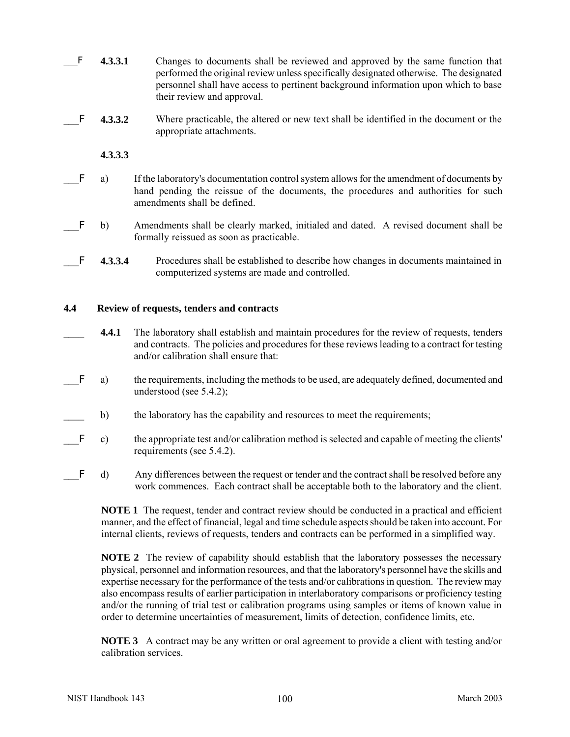- \_\_\_F **4.3.3.1** Changes to documents shall be reviewed and approved by the same function that performed the original review unless specifically designated otherwise. The designated personnel shall have access to pertinent background information upon which to base their review and approval.
- **F** 4.3.3.2 Where practicable, the altered or new text shall be identified in the document or the appropriate attachments.

**4.3.3.3**

- $\mathbf{F}$  a) If the laboratory's documentation control system allows for the amendment of documents by hand pending the reissue of the documents, the procedures and authorities for such amendments shall be defined.
- \_\_\_F b) Amendments shall be clearly marked, initialed and dated. A revised document shall be formally reissued as soon as practicable.
- **F** 4.3.3.4 Procedures shall be established to describe how changes in documents maintained in computerized systems are made and controlled.

#### **4.4 Review of requests, tenders and contracts**

- **4.4.1** The laboratory shall establish and maintain procedures for the review of requests, tenders and contracts. The policies and procedures for these reviews leading to a contract for testing and/or calibration shall ensure that:
- $\mathbf{F}$  a) the requirements, including the methods to be used, are adequately defined, documented and understood (see 5.4.2);
- b) the laboratory has the capability and resources to meet the requirements;
- $\mathbf{F}$  c) the appropriate test and/or calibration method is selected and capable of meeting the clients' requirements (see 5.4.2).
- $\mathbf{F}$  d) Any differences between the request or tender and the contract shall be resolved before any work commences. Each contract shall be acceptable both to the laboratory and the client.

**NOTE 1** The request, tender and contract review should be conducted in a practical and efficient manner, and the effect of financial, legal and time schedule aspects should be taken into account. For internal clients, reviews of requests, tenders and contracts can be performed in a simplified way.

**NOTE 2** The review of capability should establish that the laboratory possesses the necessary physical, personnel and information resources, and that the laboratory's personnel have the skills and expertise necessary for the performance of the tests and/or calibrations in question. The review may also encompass results of earlier participation in interlaboratory comparisons or proficiency testing and/or the running of trial test or calibration programs using samples or items of known value in order to determine uncertainties of measurement, limits of detection, confidence limits, etc.

**NOTE 3** A contract may be any written or oral agreement to provide a client with testing and/or calibration services.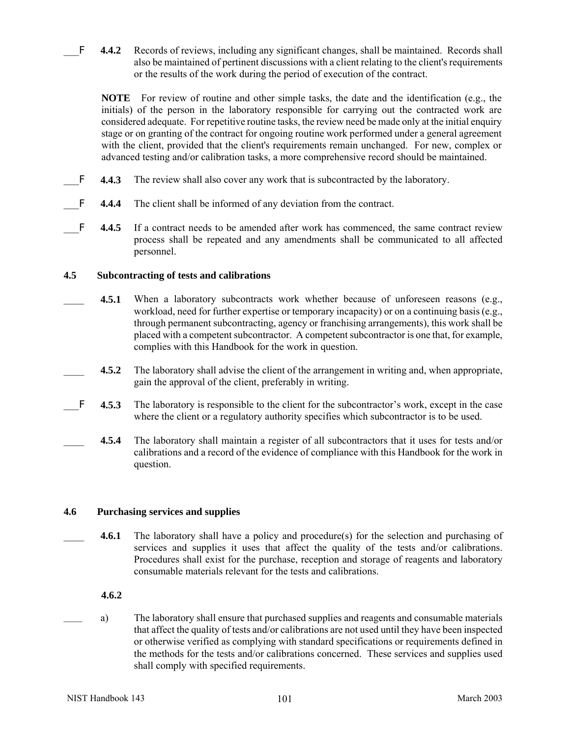**F** 4.4.2 Records of reviews, including any significant changes, shall be maintained. Records shall also be maintained of pertinent discussions with a client relating to the client's requirements or the results of the work during the period of execution of the contract.

**NOTE** For review of routine and other simple tasks, the date and the identification (e.g., the initials) of the person in the laboratory responsible for carrying out the contracted work are considered adequate. For repetitive routine tasks, the review need be made only at the initial enquiry stage or on granting of the contract for ongoing routine work performed under a general agreement with the client, provided that the client's requirements remain unchanged. For new, complex or advanced testing and/or calibration tasks, a more comprehensive record should be maintained.

- **F** 4.4.3 The review shall also cover any work that is subcontracted by the laboratory.
- **F** 4.4.4 The client shall be informed of any deviation from the contract.
- **F** 4.4.5 If a contract needs to be amended after work has commenced, the same contract review process shall be repeated and any amendments shall be communicated to all affected personnel.

### **4.5 Subcontracting of tests and calibrations**

- **4.5.1** When a laboratory subcontracts work whether because of unforeseen reasons (e.g., workload, need for further expertise or temporary incapacity) or on a continuing basis (e.g., through permanent subcontracting, agency or franchising arrangements), this work shall be placed with a competent subcontractor. A competent subcontractor is one that, for example, complies with this Handbook for the work in question.
- **4.5.2** The laboratory shall advise the client of the arrangement in writing and, when appropriate, gain the approval of the client, preferably in writing.
- **F** 4.5.3 The laboratory is responsible to the client for the subcontractor's work, except in the case where the client or a regulatory authority specifies which subcontractor is to be used.
	- \_\_\_\_ **4.5.4** The laboratory shall maintain a register of all subcontractors that it uses for tests and/or calibrations and a record of the evidence of compliance with this Handbook for the work in question.

### **4.6 Purchasing services and supplies**

**4.6.1** The laboratory shall have a policy and procedure(s) for the selection and purchasing of services and supplies it uses that affect the quality of the tests and/or calibrations. Procedures shall exist for the purchase, reception and storage of reagents and laboratory consumable materials relevant for the tests and calibrations.

 **4.6.2** 

a) The laboratory shall ensure that purchased supplies and reagents and consumable materials that affect the quality of tests and/or calibrations are not used until they have been inspected or otherwise verified as complying with standard specifications or requirements defined in the methods for the tests and/or calibrations concerned. These services and supplies used shall comply with specified requirements.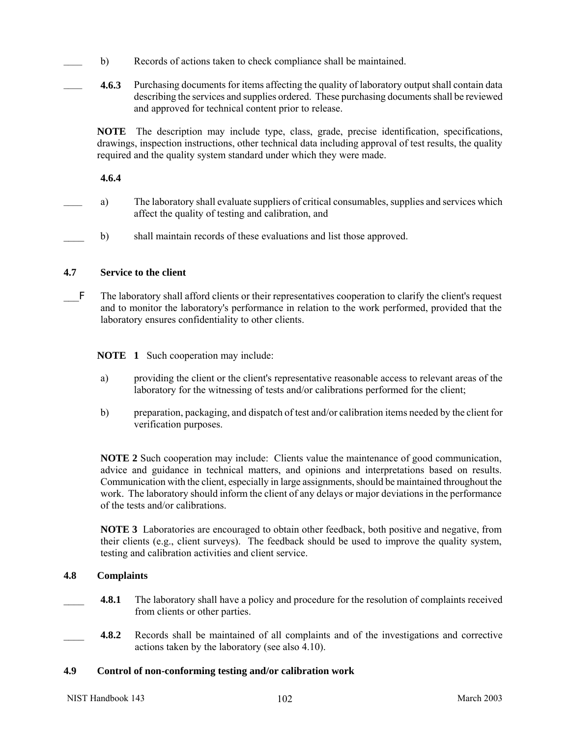- b) Records of actions taken to check compliance shall be maintained.
	- **4.6.3** Purchasing documents for items affecting the quality of laboratory output shall contain data describing the services and supplies ordered. These purchasing documents shall be reviewed and approved for technical content prior to release.

**NOTE** The description may include type, class, grade, precise identification, specifications, drawings, inspection instructions, other technical data including approval of test results, the quality required and the quality system standard under which they were made.

### **4.6.4**

- a) The laboratory shall evaluate suppliers of critical consumables, supplies and services which affect the quality of testing and calibration, and
- b) shall maintain records of these evaluations and list those approved.

### **4.7 Service to the client**

\_\_\_F The laboratory shall afford clients or their representatives cooperation to clarify the client's request and to monitor the laboratory's performance in relation to the work performed, provided that the laboratory ensures confidentiality to other clients.

**NOTE** 1 Such cooperation may include:

- a) providing the client or the client's representative reasonable access to relevant areas of the laboratory for the witnessing of tests and/or calibrations performed for the client;
- b) preparation, packaging, and dispatch of test and/or calibration items needed by the client for verification purposes.

**NOTE 2** Such cooperation may include: Clients value the maintenance of good communication, advice and guidance in technical matters, and opinions and interpretations based on results. Communication with the client, especially in large assignments, should be maintained throughout the work. The laboratory should inform the client of any delays or major deviations in the performance of the tests and/or calibrations.

 **NOTE 3** Laboratories are encouraged to obtain other feedback, both positive and negative, from their clients (e.g., client surveys). The feedback should be used to improve the quality system, testing and calibration activities and client service.

### **4.8 Complaints**

- **4.8.1** The laboratory shall have a policy and procedure for the resolution of complaints received from clients or other parties.
	- **4.8.2** Records shall be maintained of all complaints and of the investigations and corrective actions taken by the laboratory (see also 4.10).

### **4.9 Control of non-conforming testing and/or calibration work**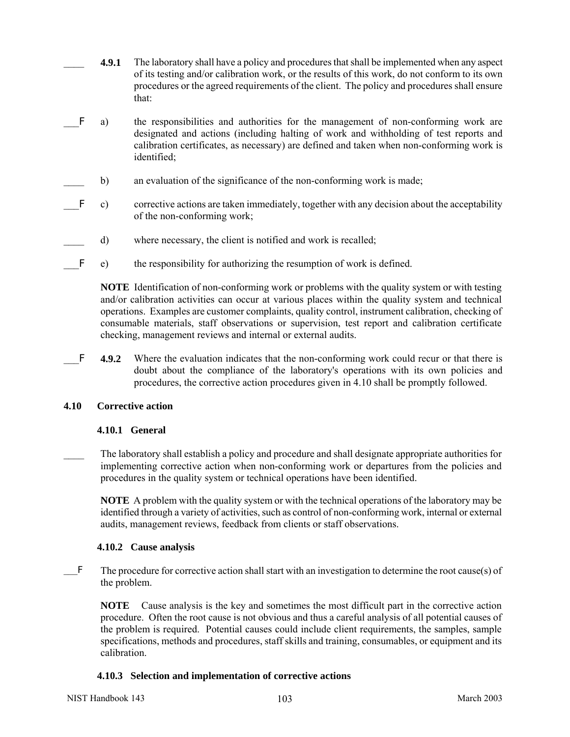- **4.9.1** The laboratory shall have a policy and procedures that shall be implemented when any aspect of its testing and/or calibration work, or the results of this work, do not conform to its own procedures or the agreed requirements of the client. The policy and procedures shall ensure that:
- **F** a) the responsibilities and authorities for the management of non-conforming work are designated and actions (including halting of work and withholding of test reports and calibration certificates, as necessary) are defined and taken when non-conforming work is identified;
- b) an evaluation of the significance of the non-conforming work is made;
- $\mathbf{F}$  c) corrective actions are taken immediately, together with any decision about the acceptability of the non-conforming work;
- d) where necessary, the client is notified and work is recalled;
- $\mathbf{F}$  e) the responsibility for authorizing the resumption of work is defined.

**NOTE** Identification of non-conforming work or problems with the quality system or with testing and/or calibration activities can occur at various places within the quality system and technical operations. Examples are customer complaints, quality control, instrument calibration, checking of consumable materials, staff observations or supervision, test report and calibration certificate checking, management reviews and internal or external audits.

**F** 4.9.2 Where the evaluation indicates that the non-conforming work could recur or that there is doubt about the compliance of the laboratory's operations with its own policies and procedures, the corrective action procedures given in 4.10 shall be promptly followed.

#### **4.10 Corrective action**

# **4.10.1 General**

\_\_\_\_ The laboratory shall establish a policy and procedure and shall designate appropriate authorities for implementing corrective action when non-conforming work or departures from the policies and procedures in the quality system or technical operations have been identified.

**NOTE** A problem with the quality system or with the technical operations of the laboratory may be identified through a variety of activities, such as control of non-conforming work, internal or external audits, management reviews, feedback from clients or staff observations.

#### **4.10.2 Cause analysis**

 $\mathbf{F}$  The procedure for corrective action shall start with an investigation to determine the root cause(s) of the problem.

**NOTE** Cause analysis is the key and sometimes the most difficult part in the corrective action procedure. Often the root cause is not obvious and thus a careful analysis of all potential causes of the problem is required. Potential causes could include client requirements, the samples, sample specifications, methods and procedures, staff skills and training, consumables, or equipment and its calibration.

# **4.10.3 Selection and implementation of corrective actions**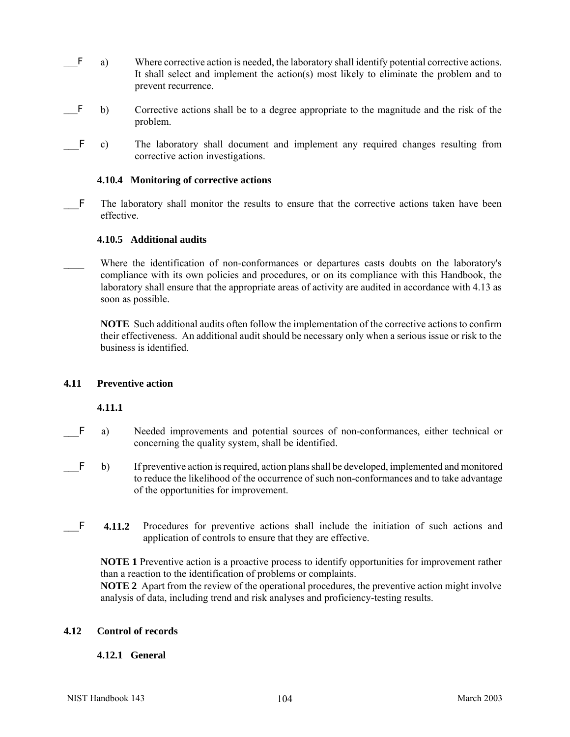- \_\_\_F a) Where corrective action is needed, the laboratory shall identify potential corrective actions. It shall select and implement the action(s) most likely to eliminate the problem and to prevent recurrence.
- $\mathbf{F}$  b) Corrective actions shall be to a degree appropriate to the magnitude and the risk of the problem.
- $\mathbf{F}$  c) The laboratory shall document and implement any required changes resulting from corrective action investigations.

#### **4.10.4 Monitoring of corrective actions**

**F** The laboratory shall monitor the results to ensure that the corrective actions taken have been effective.

#### **4.10.5 Additional audits**

Where the identification of non-conformances or departures casts doubts on the laboratory's compliance with its own policies and procedures, or on its compliance with this Handbook, the laboratory shall ensure that the appropriate areas of activity are audited in accordance with 4.13 as soon as possible.

**NOTE** Such additional audits often follow the implementation of the corrective actions to confirm their effectiveness. An additional audit should be necessary only when a serious issue or risk to the business is identified.

#### **4.11 Preventive action**

 **4.11.1** 

- **F** a) Needed improvements and potential sources of non-conformances, either technical or concerning the quality system, shall be identified.
- $\mathbf{F}$  b) If preventive action is required, action plans shall be developed, implemented and monitored to reduce the likelihood of the occurrence of such non-conformances and to take advantage of the opportunities for improvement.
- **F** 4.11.2 Procedures for preventive actions shall include the initiation of such actions and application of controls to ensure that they are effective.

 **NOTE 1** Preventive action is a proactive process to identify opportunities for improvement rather than a reaction to the identification of problems or complaints.

**NOTE 2** Apart from the review of the operational procedures, the preventive action might involve analysis of data, including trend and risk analyses and proficiency-testing results.

#### **4.12 Control of records**

### **4.12.1 General**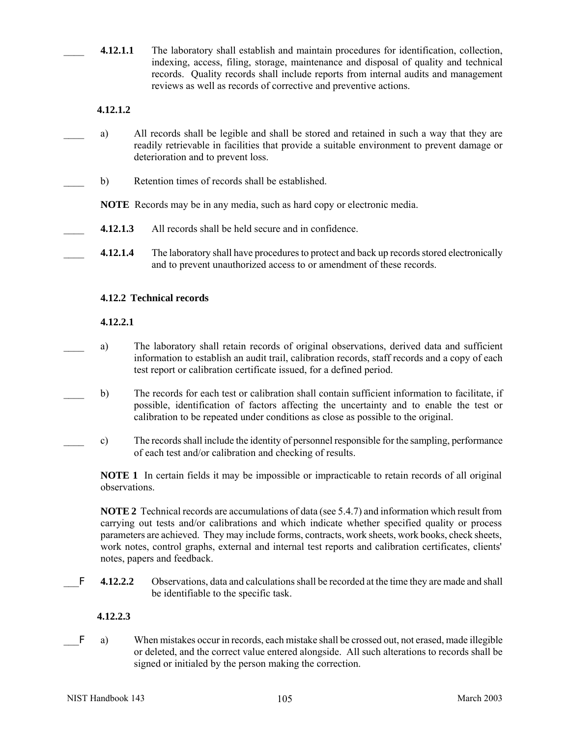- 
- **4.12.1.1** The laboratory shall establish and maintain procedures for identification, collection, indexing, access, filing, storage, maintenance and disposal of quality and technical records. Quality records shall include reports from internal audits and management reviews as well as records of corrective and preventive actions.

 **4.12.1.2** 

- a) All records shall be legible and shall be stored and retained in such a way that they are readily retrievable in facilities that provide a suitable environment to prevent damage or deterioration and to prevent loss.
- b) Retention times of records shall be established.
	- **NOTE** Records may be in any media, such as hard copy or electronic media.
- **4.12.1.3** All records shall be held secure and in confidence.
- **4.12.1.4** The laboratory shall have procedures to protect and back up records stored electronically and to prevent unauthorized access to or amendment of these records.

# **4.12.2 Technical records**

# **4.12.2.1**

- a) The laboratory shall retain records of original observations, derived data and sufficient information to establish an audit trail, calibration records, staff records and a copy of each test report or calibration certificate issued, for a defined period.
- b) The records for each test or calibration shall contain sufficient information to facilitate, if possible, identification of factors affecting the uncertainty and to enable the test or calibration to be repeated under conditions as close as possible to the original.
	- \_\_\_\_ c) The records shall include the identity of personnel responsible for the sampling, performance of each test and/or calibration and checking of results.

**NOTE 1** In certain fields it may be impossible or impracticable to retain records of all original observations.

 **NOTE 2** Technical records are accumulations of data (see 5.4.7) and information which result from carrying out tests and/or calibrations and which indicate whether specified quality or process parameters are achieved. They may include forms, contracts, work sheets, work books, check sheets, work notes, control graphs, external and internal test reports and calibration certificates, clients' notes, papers and feedback.

**F** 4.12.2.2 Observations, data and calculations shall be recorded at the time they are made and shall be identifiable to the specific task.

# **4.12.2.3**

 $\mathbf{F}$  a) When mistakes occur in records, each mistake shall be crossed out, not erased, made illegible or deleted, and the correct value entered alongside. All such alterations to records shall be signed or initialed by the person making the correction.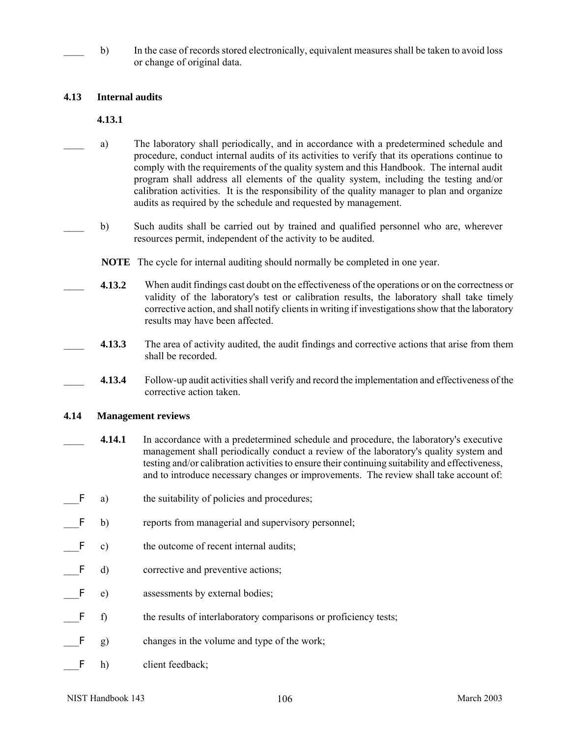b) In the case of records stored electronically, equivalent measures shall be taken to avoid loss or change of original data.

#### **4.13 Internal audits**

#### **4.13.1**

- a) The laboratory shall periodically, and in accordance with a predetermined schedule and procedure, conduct internal audits of its activities to verify that its operations continue to comply with the requirements of the quality system and this Handbook. The internal audit program shall address all elements of the quality system, including the testing and/or calibration activities. It is the responsibility of the quality manager to plan and organize audits as required by the schedule and requested by management.
- b) Such audits shall be carried out by trained and qualified personnel who are, wherever resources permit, independent of the activity to be audited.
	- **NOTE** The cycle for internal auditing should normally be completed in one year.
- **4.13.2** When audit findings cast doubt on the effectiveness of the operations or on the correctness or validity of the laboratory's test or calibration results, the laboratory shall take timely corrective action, and shall notify clients in writing if investigations show that the laboratory results may have been affected.
- **4.13.3** The area of activity audited, the audit findings and corrective actions that arise from them shall be recorded.
	- \_\_\_\_ **4.13.4** Follow-up audit activities shall verify and record the implementation and effectiveness of the corrective action taken.

#### **4.14 Management reviews**

- **4.14.1** In accordance with a predetermined schedule and procedure, the laboratory's executive management shall periodically conduct a review of the laboratory's quality system and testing and/or calibration activities to ensure their continuing suitability and effectiveness, and to introduce necessary changes or improvements. The review shall take account of:
- $\mathbf{F}$  a) the suitability of policies and procedures;
- **F** b) reports from managerial and supervisory personnel;
- $\mathbf{F}$  c) the outcome of recent internal audits;
- $\mathbf{F}$  d) corrective and preventive actions;
- $\mathbf{F}$  e) assessments by external bodies;
- $\mathbf{F}$  f) the results of interlaboratory comparisons or proficiency tests;
- $\mathbf{F}$  g) changes in the volume and type of the work;
- **F** h) client feedback;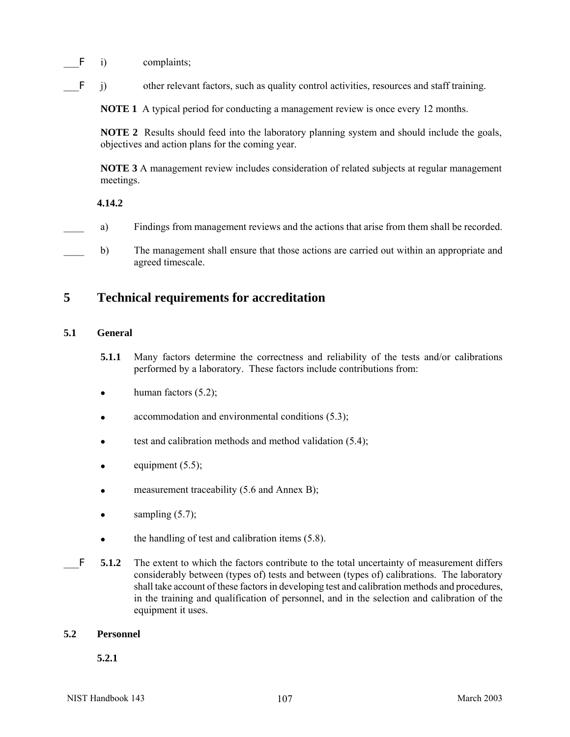- $\mathbf{F}$  i) complaints;
- $\mathbf{F}$  j) other relevant factors, such as quality control activities, resources and staff training.

**NOTE 1** A typical period for conducting a management review is once every 12 months.

**NOTE 2** Results should feed into the laboratory planning system and should include the goals, objectives and action plans for the coming year.

 **NOTE 3** A management review includes consideration of related subjects at regular management meetings.

# **4.14.2**

a) Findings from management reviews and the actions that arise from them shall be recorded.

b) The management shall ensure that those actions are carried out within an appropriate and agreed timescale.

# **5 Technical requirements for accreditation**

# **5.1 General**

- **5.1.1** Many factors determine the correctness and reliability of the tests and/or calibrations performed by a laboratory. These factors include contributions from:
- human factors  $(5.2)$ ;
- accommodation and environmental conditions  $(5.3)$ ;
- test and calibration methods and method validation  $(5.4)$ ;
- equipment  $(5.5)$ ;
- measurement traceability (5.6 and Annex B);
- sampling  $(5.7)$ ;
- the handling of test and calibration items (5.8).
- **F** 5.1.2 The extent to which the factors contribute to the total uncertainty of measurement differs considerably between (types of) tests and between (types of) calibrations. The laboratory shall take account of these factors in developing test and calibration methods and procedures, in the training and qualification of personnel, and in the selection and calibration of the equipment it uses.

#### **5.2 Personnel**

 **5.2.1**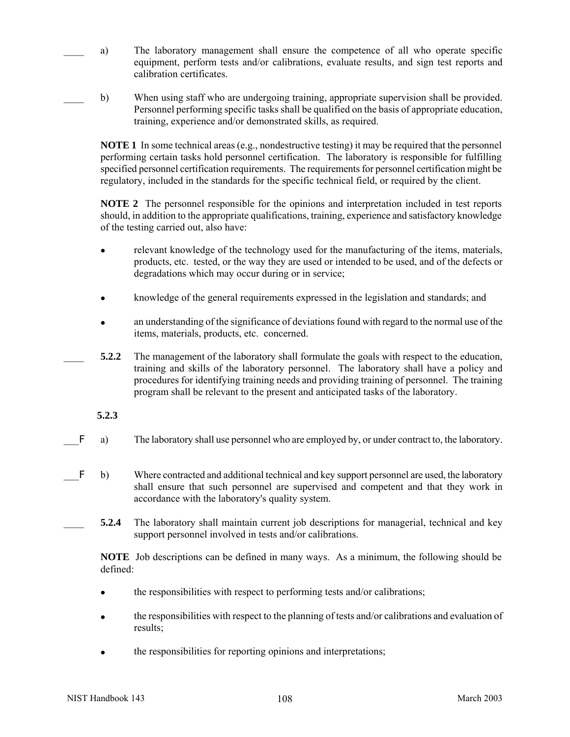- a) The laboratory management shall ensure the competence of all who operate specific equipment, perform tests and/or calibrations, evaluate results, and sign test reports and calibration certificates.
- b) When using staff who are undergoing training, appropriate supervision shall be provided. Personnel performing specific tasks shall be qualified on the basis of appropriate education, training, experience and/or demonstrated skills, as required.

**NOTE 1** In some technical areas (e.g., nondestructive testing) it may be required that the personnel performing certain tasks hold personnel certification. The laboratory is responsible for fulfilling specified personnel certification requirements. The requirements for personnel certification might be regulatory, included in the standards for the specific technical field, or required by the client.

**NOTE 2** The personnel responsible for the opinions and interpretation included in test reports should, in addition to the appropriate qualifications, training, experience and satisfactory knowledge of the testing carried out, also have:

- relevant knowledge of the technology used for the manufacturing of the items, materials, products, etc. tested, or the way they are used or intended to be used, and of the defects or degradations which may occur during or in service;
- knowledge of the general requirements expressed in the legislation and standards; and
- an understanding of the significance of deviations found with regard to the normal use of the items, materials, products, etc. concerned.
- **5.2.2** The management of the laboratory shall formulate the goals with respect to the education, training and skills of the laboratory personnel. The laboratory shall have a policy and procedures for identifying training needs and providing training of personnel. The training program shall be relevant to the present and anticipated tasks of the laboratory.
- **5.2.3**
- $\mathbf{F}$  a) The laboratory shall use personnel who are employed by, or under contract to, the laboratory.
- $\mathbf{F}$  b) Where contracted and additional technical and key support personnel are used, the laboratory shall ensure that such personnel are supervised and competent and that they work in accordance with the laboratory's quality system.
- **5.2.4** The laboratory shall maintain current job descriptions for managerial, technical and key support personnel involved in tests and/or calibrations.

**NOTE** Job descriptions can be defined in many ways. As a minimum, the following should be defined:

- the responsibilities with respect to performing tests and/or calibrations;
- the responsibilities with respect to the planning of tests and/or calibrations and evaluation of results;
- the responsibilities for reporting opinions and interpretations;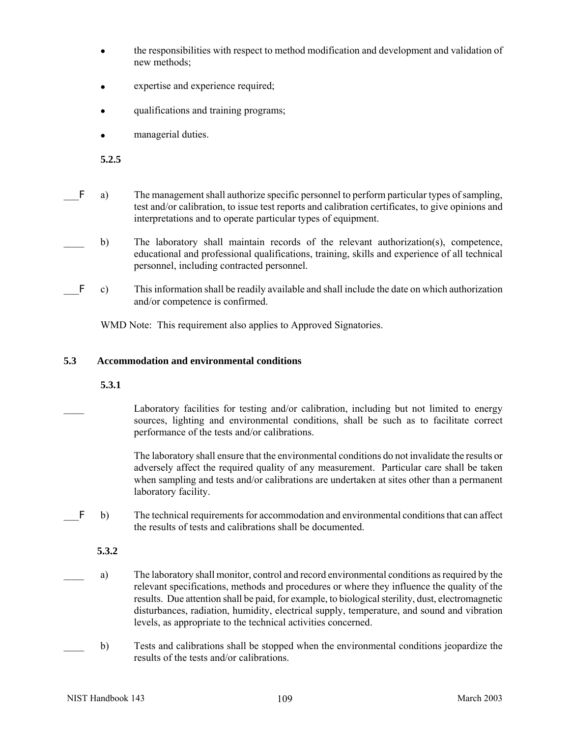- the responsibilities with respect to method modification and development and validation of new methods;
- expertise and experience required;
- qualifications and training programs;
- managerial duties.

 **5.2.5**

- $\mathbf{F}$  a) The management shall authorize specific personnel to perform particular types of sampling, test and/or calibration, to issue test reports and calibration certificates, to give opinions and interpretations and to operate particular types of equipment.
	- b) The laboratory shall maintain records of the relevant authorization(s), competence, educational and professional qualifications, training, skills and experience of all technical personnel, including contracted personnel.
- $\mathbf{F}$  c) This information shall be readily available and shall include the date on which authorization and/or competence is confirmed.

WMD Note: This requirement also applies to Approved Signatories.

# **5.3 Accommodation and environmental conditions**

 **5.3.1** 

Laboratory facilities for testing and/or calibration, including but not limited to energy sources, lighting and environmental conditions, shall be such as to facilitate correct performance of the tests and/or calibrations.

The laboratory shall ensure that the environmental conditions do not invalidate the results or adversely affect the required quality of any measurement. Particular care shall be taken when sampling and tests and/or calibrations are undertaken at sites other than a permanent laboratory facility.

 $\mathbf{F}$  b) The technical requirements for accommodation and environmental conditions that can affect the results of tests and calibrations shall be documented.

 **5.3.2** 

- \_\_\_\_ a) The laboratory shall monitor, control and record environmental conditions as required by the relevant specifications, methods and procedures or where they influence the quality of the results. Due attention shall be paid, for example, to biological sterility, dust, electromagnetic disturbances, radiation, humidity, electrical supply, temperature, and sound and vibration levels, as appropriate to the technical activities concerned.
- b) Tests and calibrations shall be stopped when the environmental conditions jeopardize the results of the tests and/or calibrations.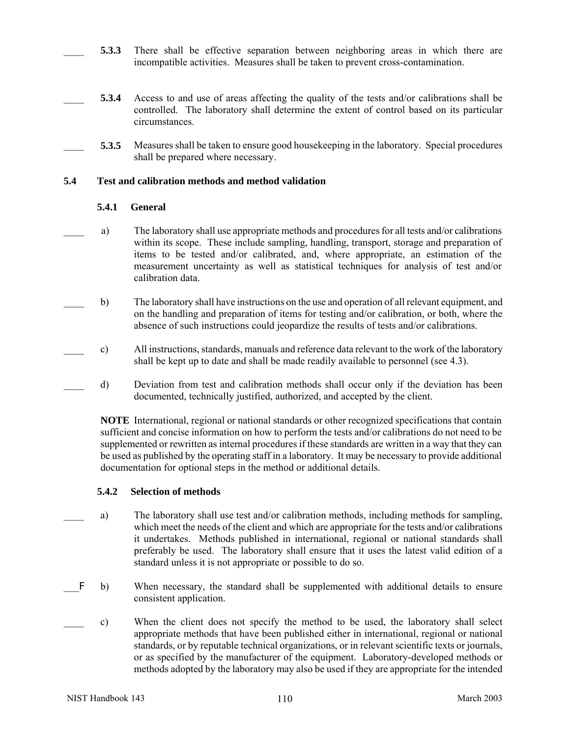- 5.3.3 There shall be effective separation between neighboring areas in which there are incompatible activities. Measures shall be taken to prevent cross-contamination.
- \_\_\_\_ **5.3.4** Access to and use of areas affecting the quality of the tests and/or calibrations shall be controlled. The laboratory shall determine the extent of control based on its particular circumstances.
- **5.3.5** Measures shall be taken to ensure good housekeeping in the laboratory. Special procedures shall be prepared where necessary.

#### **5.4 Test and calibration methods and method validation**

#### **5.4.1 General**

- a) The laboratory shall use appropriate methods and procedures for all tests and/or calibrations within its scope. These include sampling, handling, transport, storage and preparation of items to be tested and/or calibrated, and, where appropriate, an estimation of the measurement uncertainty as well as statistical techniques for analysis of test and/or calibration data.
- b) The laboratory shall have instructions on the use and operation of all relevant equipment, and on the handling and preparation of items for testing and/or calibration, or both, where the absence of such instructions could jeopardize the results of tests and/or calibrations.
- \_\_\_\_ c) All instructions, standards, manuals and reference data relevant to the work of the laboratory shall be kept up to date and shall be made readily available to personnel (see 4.3).
- d) Deviation from test and calibration methods shall occur only if the deviation has been documented, technically justified, authorized, and accepted by the client.

**NOTE** International, regional or national standards or other recognized specifications that contain sufficient and concise information on how to perform the tests and/or calibrations do not need to be supplemented or rewritten as internal procedures if these standards are written in a way that they can be used as published by the operating staff in a laboratory. It may be necessary to provide additional documentation for optional steps in the method or additional details.

#### **5.4.2 Selection of methods**

- a) The laboratory shall use test and/or calibration methods, including methods for sampling, which meet the needs of the client and which are appropriate for the tests and/or calibrations it undertakes. Methods published in international, regional or national standards shall preferably be used. The laboratory shall ensure that it uses the latest valid edition of a standard unless it is not appropriate or possible to do so.
- **F** b) When necessary, the standard shall be supplemented with additional details to ensure consistent application.
- c) When the client does not specify the method to be used, the laboratory shall select appropriate methods that have been published either in international, regional or national standards, or by reputable technical organizations, or in relevant scientific texts or journals, or as specified by the manufacturer of the equipment. Laboratory-developed methods or methods adopted by the laboratory may also be used if they are appropriate for the intended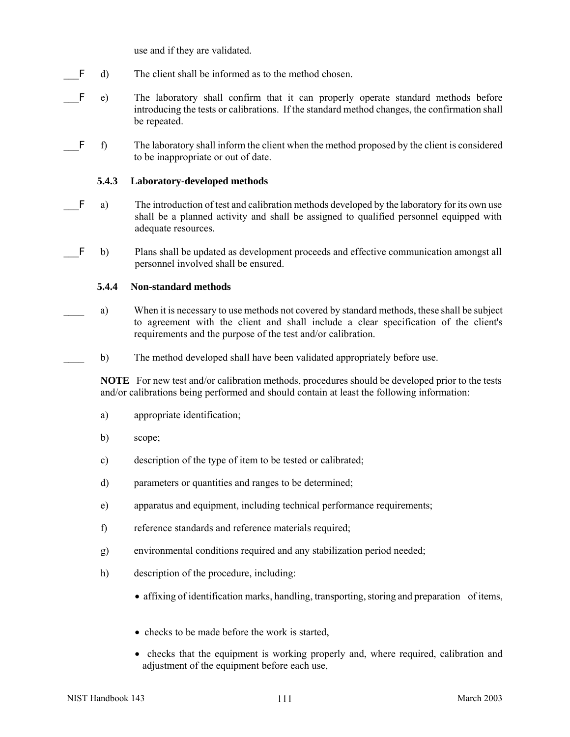use and if they are validated.

- $\mathbf{F}$  d) The client shall be informed as to the method chosen.
- **F** e) The laboratory shall confirm that it can properly operate standard methods before introducing the tests or calibrations. If the standard method changes, the confirmation shall be repeated.
- $\mathbf{F}$  f) The laboratory shall inform the client when the method proposed by the client is considered to be inappropriate or out of date.

#### **5.4.3 Laboratory-developed methods**

- $\mathbf{F}$  a) The introduction of test and calibration methods developed by the laboratory for its own use shall be a planned activity and shall be assigned to qualified personnel equipped with adequate resources.
- $\mathbf{F}$  b) Plans shall be updated as development proceeds and effective communication amongst all personnel involved shall be ensured.

#### **5.4.4 Non-standard methods**

- a) When it is necessary to use methods not covered by standard methods, these shall be subject to agreement with the client and shall include a clear specification of the client's requirements and the purpose of the test and/or calibration.
- b) The method developed shall have been validated appropriately before use.

**NOTE** For new test and/or calibration methods, procedures should be developed prior to the tests and/or calibrations being performed and should contain at least the following information:

- a) appropriate identification;
- b) scope;
- c) description of the type of item to be tested or calibrated;
- d) parameters or quantities and ranges to be determined;
- e) apparatus and equipment, including technical performance requirements;
- f) reference standards and reference materials required;
- g) environmental conditions required and any stabilization period needed;
- h) description of the procedure, including:
	- affixing of identification marks, handling, transporting, storing and preparation of items,
	- checks to be made before the work is started.
	- checks that the equipment is working properly and, where required, calibration and adjustment of the equipment before each use,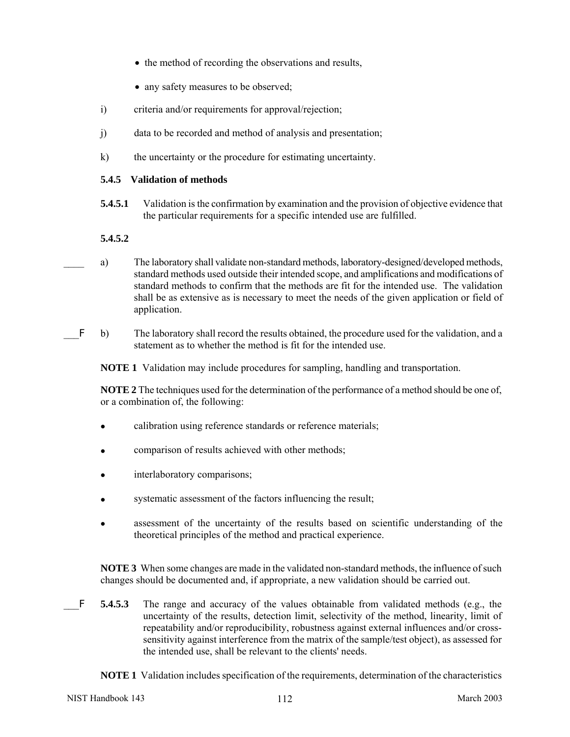- the method of recording the observations and results,
- any safety measures to be observed;
- i) criteria and/or requirements for approval/rejection;
- j) data to be recorded and method of analysis and presentation;
- k) the uncertainty or the procedure for estimating uncertainty.

#### **5.4.5 Validation of methods**

 **5.4.5.1** Validation is the confirmation by examination and the provision of objective evidence that the particular requirements for a specific intended use are fulfilled.

#### **5.4.5.2**

- a) The laboratory shall validate non-standard methods, laboratory-designed/developed methods, standard methods used outside their intended scope, and amplifications and modifications of standard methods to confirm that the methods are fit for the intended use. The validation shall be as extensive as is necessary to meet the needs of the given application or field of application.
- $\mathbf{F}$  b) The laboratory shall record the results obtained, the procedure used for the validation, and a statement as to whether the method is fit for the intended use.

**NOTE 1** Validation may include procedures for sampling, handling and transportation.

**NOTE 2** The techniques used for the determination of the performance of a method should be one of, or a combination of, the following:

- calibration using reference standards or reference materials;
- comparison of results achieved with other methods;
- interlaboratory comparisons;
- systematic assessment of the factors influencing the result;
- assessment of the uncertainty of the results based on scientific understanding of the theoretical principles of the method and practical experience.

**NOTE 3** When some changes are made in the validated non-standard methods, the influence of such changes should be documented and, if appropriate, a new validation should be carried out.

- **F** 5.4.5.3 The range and accuracy of the values obtainable from validated methods (e.g., the uncertainty of the results, detection limit, selectivity of the method, linearity, limit of repeatability and/or reproducibility, robustness against external influences and/or crosssensitivity against interference from the matrix of the sample/test object), as assessed for the intended use, shall be relevant to the clients' needs.
	- **NOTE 1** Validation includes specification of the requirements, determination of the characteristics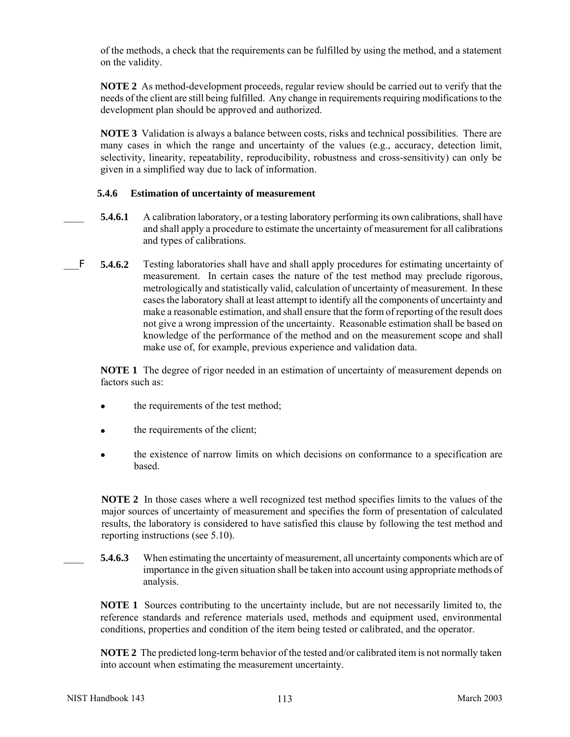of the methods, a check that the requirements can be fulfilled by using the method, and a statement on the validity.

 **NOTE 2** As method-development proceeds, regular review should be carried out to verify that the needs of the client are still being fulfilled. Any change in requirements requiring modifications to the development plan should be approved and authorized.

**NOTE 3** Validation is always a balance between costs, risks and technical possibilities. There are many cases in which the range and uncertainty of the values (e.g., accuracy, detection limit, selectivity, linearity, repeatability, reproducibility, robustness and cross-sensitivity) can only be given in a simplified way due to lack of information.

#### **5.4.6 Estimation of uncertainty of measurement**

- **5.4.6.1** A calibration laboratory, or a testing laboratory performing its own calibrations, shall have and shall apply a procedure to estimate the uncertainty of measurement for all calibrations and types of calibrations.
- **F** 5.4.6.2 Testing laboratories shall have and shall apply procedures for estimating uncertainty of measurement. In certain cases the nature of the test method may preclude rigorous, metrologically and statistically valid, calculation of uncertainty of measurement. In these cases the laboratory shall at least attempt to identify all the components of uncertainty and make a reasonable estimation, and shall ensure that the form of reporting of the result does not give a wrong impression of the uncertainty. Reasonable estimation shall be based on knowledge of the performance of the method and on the measurement scope and shall make use of, for example, previous experience and validation data.

**NOTE 1** The degree of rigor needed in an estimation of uncertainty of measurement depends on factors such as:

- the requirements of the test method;
- the requirements of the client;
- the existence of narrow limits on which decisions on conformance to a specification are based.

**NOTE 2** In those cases where a well recognized test method specifies limits to the values of the major sources of uncertainty of measurement and specifies the form of presentation of calculated results, the laboratory is considered to have satisfied this clause by following the test method and reporting instructions (see 5.10).

**5.4.6.3** When estimating the uncertainty of measurement, all uncertainty components which are of importance in the given situation shall be taken into account using appropriate methods of analysis.

**NOTE 1** Sources contributing to the uncertainty include, but are not necessarily limited to, the reference standards and reference materials used, methods and equipment used, environmental conditions, properties and condition of the item being tested or calibrated, and the operator.

 **NOTE 2** The predicted long-term behavior of the tested and/or calibrated item is not normally taken into account when estimating the measurement uncertainty.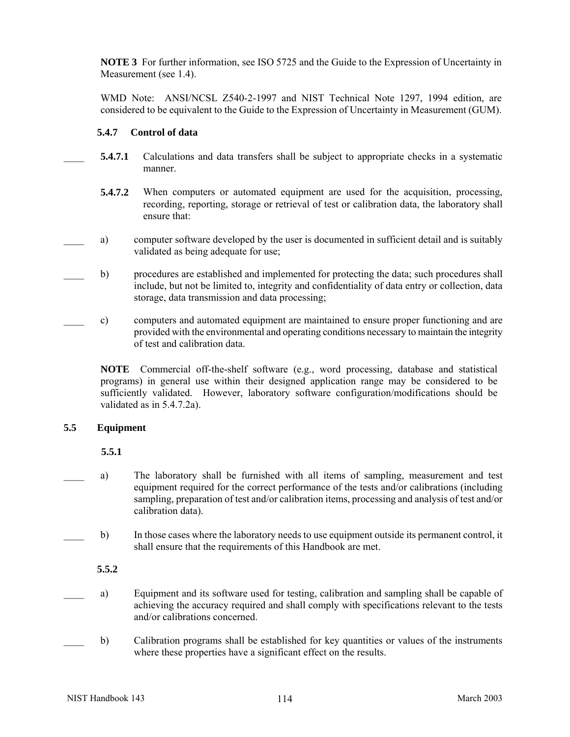**NOTE 3** For further information, see ISO 5725 and the Guide to the Expression of Uncertainty in Measurement (see 1.4).

 WMD Note: ANSI/NCSL Z540-2-1997 and NIST Technical Note 1297, 1994 edition, are considered to be equivalent to the Guide to the Expression of Uncertainty in Measurement (GUM).

#### **5.4.7 Control of data**

- **5.4.7.1** Calculations and data transfers shall be subject to appropriate checks in a systematic manner.
	- **5.4.7.2** When computers or automated equipment are used for the acquisition, processing, recording, reporting, storage or retrieval of test or calibration data, the laboratory shall ensure that:
- a) computer software developed by the user is documented in sufficient detail and is suitably validated as being adequate for use;
- b) procedures are established and implemented for protecting the data; such procedures shall include, but not be limited to, integrity and confidentiality of data entry or collection, data storage, data transmission and data processing;
- \_\_\_\_ c) computers and automated equipment are maintained to ensure proper functioning and are provided with the environmental and operating conditions necessary to maintain the integrity of test and calibration data.

**NOTE** Commercial off-the-shelf software (e.g., word processing, database and statistical programs) in general use within their designed application range may be considered to be sufficiently validated. However, laboratory software configuration/modifications should be validated as in 5.4.7.2a).

#### **5.5 Equipment**

 **5.5.1** 

- a) The laboratory shall be furnished with all items of sampling, measurement and test equipment required for the correct performance of the tests and/or calibrations (including sampling, preparation of test and/or calibration items, processing and analysis of test and/or calibration data).
- b) In those cases where the laboratory needs to use equipment outside its permanent control, it shall ensure that the requirements of this Handbook are met.
	- **5.5.2**
- a) Equipment and its software used for testing, calibration and sampling shall be capable of achieving the accuracy required and shall comply with specifications relevant to the tests and/or calibrations concerned.
- b) Calibration programs shall be established for key quantities or values of the instruments where these properties have a significant effect on the results.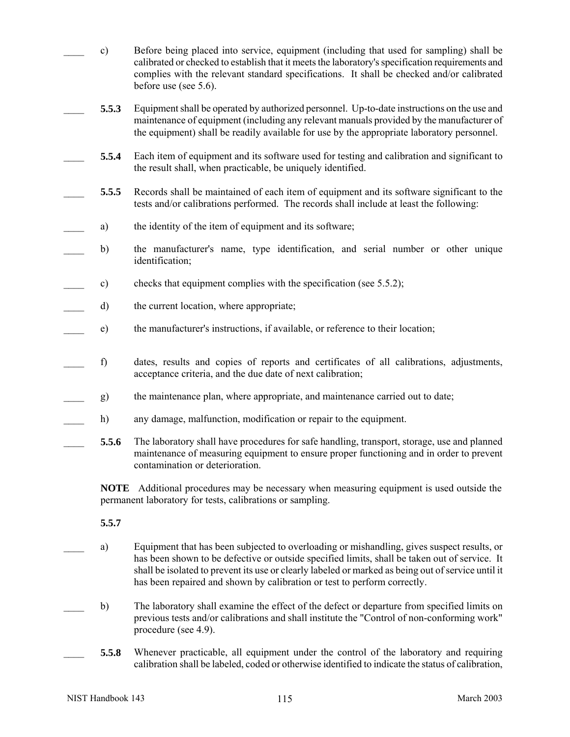- c) Before being placed into service, equipment (including that used for sampling) shall be calibrated or checked to establish that it meets the laboratory's specification requirements and complies with the relevant standard specifications. It shall be checked and/or calibrated before use (see 5.6).
- **5.5.3** Equipment shall be operated by authorized personnel. Up-to-date instructions on the use and maintenance of equipment (including any relevant manuals provided by the manufacturer of the equipment) shall be readily available for use by the appropriate laboratory personnel.
- **5.5.4** Each item of equipment and its software used for testing and calibration and significant to the result shall, when practicable, be uniquely identified.
- **5.5.5** Records shall be maintained of each item of equipment and its software significant to the tests and/or calibrations performed. The records shall include at least the following:
- a) the identity of the item of equipment and its software;
- b) the manufacturer's name, type identification, and serial number or other unique identification;
- c) checks that equipment complies with the specification (see 5.5.2);
- d) the current location, where appropriate;
- e) the manufacturer's instructions, if available, or reference to their location;
- f) dates, results and copies of reports and certificates of all calibrations, adjustments, acceptance criteria, and the due date of next calibration;
- \_\_\_\_ g) the maintenance plan, where appropriate, and maintenance carried out to date;
- h) any damage, malfunction, modification or repair to the equipment.
	- **5.5.6** The laboratory shall have procedures for safe handling, transport, storage, use and planned maintenance of measuring equipment to ensure proper functioning and in order to prevent contamination or deterioration.

**NOTE** Additional procedures may be necessary when measuring equipment is used outside the permanent laboratory for tests, calibrations or sampling.

 **5.5.7** 

- a) Equipment that has been subjected to overloading or mishandling, gives suspect results, or has been shown to be defective or outside specified limits, shall be taken out of service. It shall be isolated to prevent its use or clearly labeled or marked as being out of service until it has been repaired and shown by calibration or test to perform correctly.
- b) The laboratory shall examine the effect of the defect or departure from specified limits on previous tests and/or calibrations and shall institute the "Control of non-conforming work" procedure (see 4.9).
	- **5.5.8** Whenever practicable, all equipment under the control of the laboratory and requiring calibration shall be labeled, coded or otherwise identified to indicate the status of calibration,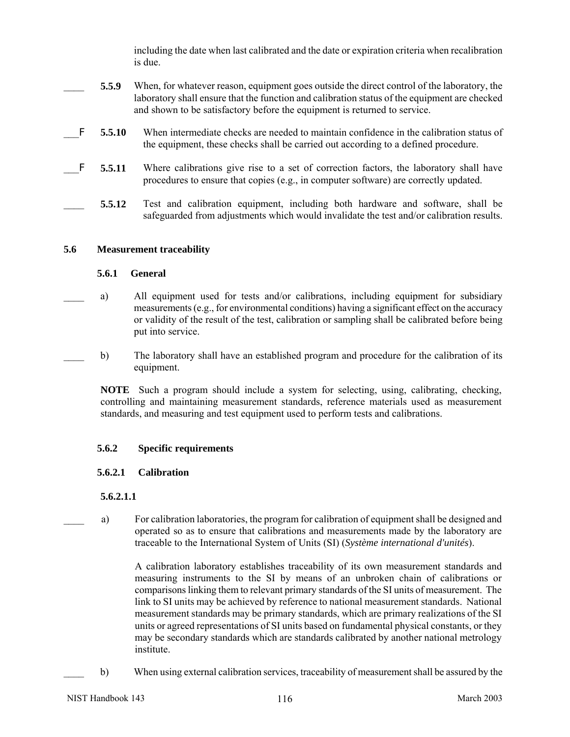including the date when last calibrated and the date or expiration criteria when recalibration is due.

- **5.5.9** When, for whatever reason, equipment goes outside the direct control of the laboratory, the laboratory shall ensure that the function and calibration status of the equipment are checked and shown to be satisfactory before the equipment is returned to service.
- **F** 5.5.10 When intermediate checks are needed to maintain confidence in the calibration status of the equipment, these checks shall be carried out according to a defined procedure.
- F 5.5.11 Where calibrations give rise to a set of correction factors, the laboratory shall have procedures to ensure that copies (e.g., in computer software) are correctly updated.
- **5.5.12** Test and calibration equipment, including both hardware and software, shall be safeguarded from adjustments which would invalidate the test and/or calibration results.

# **5.6 Measurement traceability**

#### **5.6.1 General**

- a) All equipment used for tests and/or calibrations, including equipment for subsidiary measurements (e.g., for environmental conditions) having a significant effect on the accuracy or validity of the result of the test, calibration or sampling shall be calibrated before being put into service.
- b) The laboratory shall have an established program and procedure for the calibration of its equipment.

**NOTE** Such a program should include a system for selecting, using, calibrating, checking, controlling and maintaining measurement standards, reference materials used as measurement standards, and measuring and test equipment used to perform tests and calibrations.

#### **5.6.2 Specific requirements**

#### **5.6.2.1 Calibration**

#### **5.6.2.1.1**

a) For calibration laboratories, the program for calibration of equipment shall be designed and operated so as to ensure that calibrations and measurements made by the laboratory are traceable to the International System of Units (SI) (*Système international d'unités*).

> A calibration laboratory establishes traceability of its own measurement standards and measuring instruments to the SI by means of an unbroken chain of calibrations or comparisons linking them to relevant primary standards of the SI units of measurement. The link to SI units may be achieved by reference to national measurement standards. National measurement standards may be primary standards, which are primary realizations of the SI units or agreed representations of SI units based on fundamental physical constants, or they may be secondary standards which are standards calibrated by another national metrology institute.

\_\_\_\_ b) When using external calibration services, traceability of measurement shall be assured by the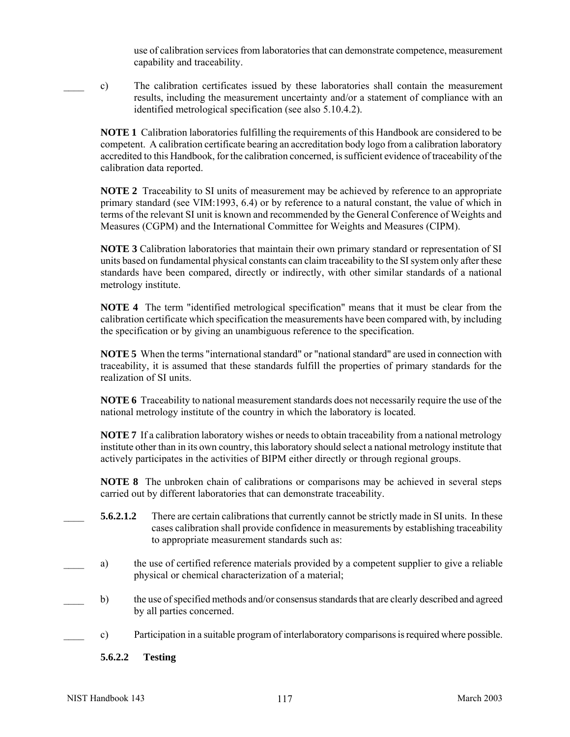use of calibration services from laboratories that can demonstrate competence, measurement capability and traceability.

\_\_\_\_ c) The calibration certificates issued by these laboratories shall contain the measurement results, including the measurement uncertainty and/or a statement of compliance with an identified metrological specification (see also 5.10.4.2).

**NOTE 1** Calibration laboratories fulfilling the requirements of this Handbook are considered to be competent. A calibration certificate bearing an accreditation body logo from a calibration laboratory accredited to this Handbook, for the calibration concerned, is sufficient evidence of traceability of the calibration data reported.

**NOTE 2** Traceability to SI units of measurement may be achieved by reference to an appropriate primary standard (see VIM:1993, 6.4) or by reference to a natural constant, the value of which in terms of the relevant SI unit is known and recommended by the General Conference of Weights and Measures (CGPM) and the International Committee for Weights and Measures (CIPM).

 **NOTE 3** Calibration laboratories that maintain their own primary standard or representation of SI units based on fundamental physical constants can claim traceability to the SI system only after these standards have been compared, directly or indirectly, with other similar standards of a national metrology institute.

**NOTE 4** The term "identified metrological specification" means that it must be clear from the calibration certificate which specification the measurements have been compared with, by including the specification or by giving an unambiguous reference to the specification.

 **NOTE 5** When the terms "international standard" or "national standard" are used in connection with traceability, it is assumed that these standards fulfill the properties of primary standards for the realization of SI units.

 **NOTE 6** Traceability to national measurement standards does not necessarily require the use of the national metrology institute of the country in which the laboratory is located.

 **NOTE 7** If a calibration laboratory wishes or needs to obtain traceability from a national metrology institute other than in its own country, this laboratory should select a national metrology institute that actively participates in the activities of BIPM either directly or through regional groups.

 **NOTE 8** The unbroken chain of calibrations or comparisons may be achieved in several steps carried out by different laboratories that can demonstrate traceability.

- **5.6.2.1.2** There are certain calibrations that currently cannot be strictly made in SI units. In these cases calibration shall provide confidence in measurements by establishing traceability to appropriate measurement standards such as:
	- a) the use of certified reference materials provided by a competent supplier to give a reliable physical or chemical characterization of a material;
- b) the use of specified methods and/or consensus standards that are clearly described and agreed by all parties concerned.
- \_\_\_\_ c) Participation in a suitable program of interlaboratory comparisons is required where possible.
	- **5.6.2.2 Testing**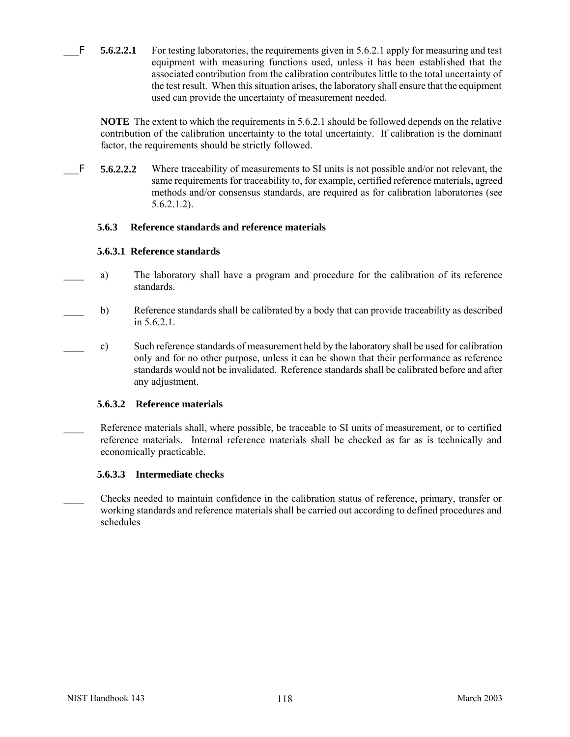**F** 5.6.2.2.1 For testing laboratories, the requirements given in 5.6.2.1 apply for measuring and test equipment with measuring functions used, unless it has been established that the associated contribution from the calibration contributes little to the total uncertainty of the test result. When this situation arises, the laboratory shall ensure that the equipment used can provide the uncertainty of measurement needed.

**NOTE** The extent to which the requirements in 5.6.2.1 should be followed depends on the relative contribution of the calibration uncertainty to the total uncertainty. If calibration is the dominant factor, the requirements should be strictly followed.

**F** 5.6.2.2.2 Where traceability of measurements to SI units is not possible and/or not relevant, the same requirements for traceability to, for example, certified reference materials, agreed methods and/or consensus standards, are required as for calibration laboratories (see 5.6.2.1.2).

# **5.6.3 Reference standards and reference materials**

# **5.6.3.1 Reference standards**

- a) The laboratory shall have a program and procedure for the calibration of its reference standards.
- b) Reference standards shall be calibrated by a body that can provide traceability as described in 5.6.2.1.
- \_\_\_\_ c) Such reference standards of measurement held by the laboratory shall be used for calibration only and for no other purpose, unless it can be shown that their performance as reference standards would not be invalidated. Reference standards shall be calibrated before and after any adjustment.

### **5.6.3.2 Reference materials**

Reference materials shall, where possible, be traceable to SI units of measurement, or to certified reference materials. Internal reference materials shall be checked as far as is technically and economically practicable.

#### **5.6.3.3 Intermediate checks**

\_\_\_\_ Checks needed to maintain confidence in the calibration status of reference, primary, transfer or working standards and reference materials shall be carried out according to defined procedures and schedules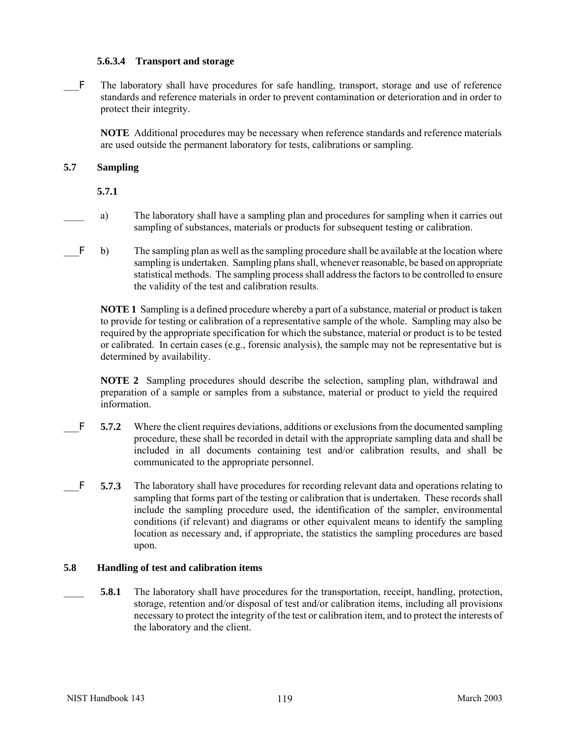# **5.6.3.4 Transport and storage**

**F** The laboratory shall have procedures for safe handling, transport, storage and use of reference standards and reference materials in order to prevent contamination or deterioration and in order to protect their integrity.

**NOTE** Additional procedures may be necessary when reference standards and reference materials are used outside the permanent laboratory for tests, calibrations or sampling.

# **5.7 Sampling**

 **5.7.1** 

- a) The laboratory shall have a sampling plan and procedures for sampling when it carries out sampling of substances, materials or products for subsequent testing or calibration.
- $\mathbf{F}$  b) The sampling plan as well as the sampling procedure shall be available at the location where sampling is undertaken. Sampling plans shall, whenever reasonable, be based on appropriate statistical methods. The sampling process shall address the factors to be controlled to ensure the validity of the test and calibration results.

 **NOTE 1** Sampling is a defined procedure whereby a part of a substance, material or product is taken to provide for testing or calibration of a representative sample of the whole. Sampling may also be required by the appropriate specification for which the substance, material or product is to be tested or calibrated. In certain cases (e.g., forensic analysis), the sample may not be representative but is determined by availability.

 **NOTE 2** Sampling procedures should describe the selection, sampling plan, withdrawal and preparation of a sample or samples from a substance, material or product to yield the required information.

- **F** 5.7.2 Where the client requires deviations, additions or exclusions from the documented sampling procedure, these shall be recorded in detail with the appropriate sampling data and shall be included in all documents containing test and/or calibration results, and shall be communicated to the appropriate personnel.
- **F** 5.7.3 The laboratory shall have procedures for recording relevant data and operations relating to sampling that forms part of the testing or calibration that is undertaken. These records shall include the sampling procedure used, the identification of the sampler, environmental conditions (if relevant) and diagrams or other equivalent means to identify the sampling location as necessary and, if appropriate, the statistics the sampling procedures are based upon.

# **5.8 Handling of test and calibration items**

**5.8.1** The laboratory shall have procedures for the transportation, receipt, handling, protection, storage, retention and/or disposal of test and/or calibration items, including all provisions necessary to protect the integrity of the test or calibration item, and to protect the interests of the laboratory and the client.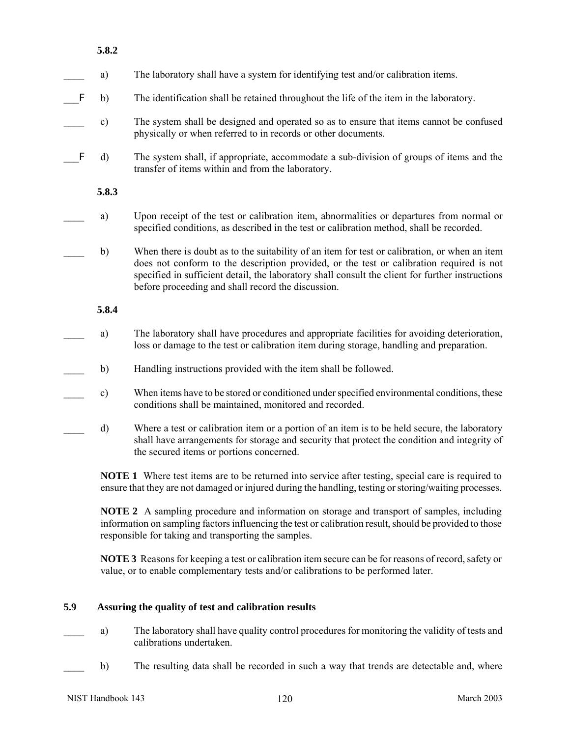|   | 5.8.2                                                                                                                                                                                                                                                         |                                                                                                                                                                                                                                                                                                                                                     |  |
|---|---------------------------------------------------------------------------------------------------------------------------------------------------------------------------------------------------------------------------------------------------------------|-----------------------------------------------------------------------------------------------------------------------------------------------------------------------------------------------------------------------------------------------------------------------------------------------------------------------------------------------------|--|
|   | a)                                                                                                                                                                                                                                                            | The laboratory shall have a system for identifying test and/or calibration items.                                                                                                                                                                                                                                                                   |  |
| Е | b)                                                                                                                                                                                                                                                            | The identification shall be retained throughout the life of the item in the laboratory.                                                                                                                                                                                                                                                             |  |
|   | $\mathbf{c})$                                                                                                                                                                                                                                                 | The system shall be designed and operated so as to ensure that items cannot be confused<br>physically or when referred to in records or other documents.                                                                                                                                                                                            |  |
| F | d)                                                                                                                                                                                                                                                            | The system shall, if appropriate, accommodate a sub-division of groups of items and the<br>transfer of items within and from the laboratory.                                                                                                                                                                                                        |  |
|   | 5.8.3                                                                                                                                                                                                                                                         |                                                                                                                                                                                                                                                                                                                                                     |  |
|   | a)                                                                                                                                                                                                                                                            | Upon receipt of the test or calibration item, abnormalities or departures from normal or<br>specified conditions, as described in the test or calibration method, shall be recorded.                                                                                                                                                                |  |
|   | b)                                                                                                                                                                                                                                                            | When there is doubt as to the suitability of an item for test or calibration, or when an item<br>does not conform to the description provided, or the test or calibration required is not<br>specified in sufficient detail, the laboratory shall consult the client for further instructions<br>before proceeding and shall record the discussion. |  |
|   | 5.8.4                                                                                                                                                                                                                                                         |                                                                                                                                                                                                                                                                                                                                                     |  |
|   | a)                                                                                                                                                                                                                                                            | The laboratory shall have procedures and appropriate facilities for avoiding deterioration,<br>loss or damage to the test or calibration item during storage, handling and preparation.                                                                                                                                                             |  |
|   | b)                                                                                                                                                                                                                                                            | Handling instructions provided with the item shall be followed.                                                                                                                                                                                                                                                                                     |  |
|   | $\mathbf{c})$                                                                                                                                                                                                                                                 | When items have to be stored or conditioned under specified environmental conditions, these<br>conditions shall be maintained, monitored and recorded.                                                                                                                                                                                              |  |
|   | d)                                                                                                                                                                                                                                                            | Where a test or calibration item or a portion of an item is to be held secure, the laboratory<br>shall have arrangements for storage and security that protect the condition and integrity of<br>the secured items or portions concerned.                                                                                                           |  |
|   |                                                                                                                                                                                                                                                               | <b>NOTE 1</b> Where test items are to be returned into service after testing, special care is required to<br>ensure that they are not damaged or injured during the handling, testing or storing/waiting processes.                                                                                                                                 |  |
|   | NOTE 2 A sampling procedure and information on storage and transport of samples, including<br>information on sampling factors influencing the test or calibration result, should be provided to those<br>responsible for taking and transporting the samples. |                                                                                                                                                                                                                                                                                                                                                     |  |
|   |                                                                                                                                                                                                                                                               | <b>NOTE 3</b> Reasons for keeping a test or calibration item secure can be for reasons of record, safety or<br>value, or to enable complementary tests and/or calibrations to be performed later.                                                                                                                                                   |  |

# **5.9 Assuring the quality of test and calibration results**

- a) The laboratory shall have quality control procedures for monitoring the validity of tests and calibrations undertaken.
- b) The resulting data shall be recorded in such a way that trends are detectable and, where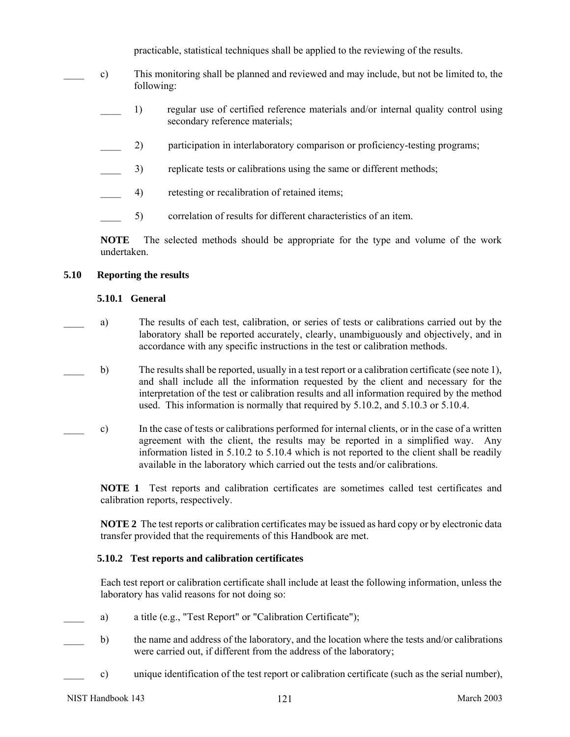practicable, statistical techniques shall be applied to the reviewing of the results.

- \_\_\_\_ c) This monitoring shall be planned and reviewed and may include, but not be limited to, the following:
	- \_\_\_\_ 1) regular use of certified reference materials and/or internal quality control using secondary reference materials;
	- 2) participation in interlaboratory comparison or proficiency-testing programs;
	- 3) replicate tests or calibrations using the same or different methods;
	- \_\_\_\_ 4) retesting or recalibration of retained items;
	- \_\_\_\_ 5) correlation of results for different characteristics of an item.

**NOTE** The selected methods should be appropriate for the type and volume of the work undertaken.

#### **5.10 Reporting the results**

#### **5.10.1 General**

- a) The results of each test, calibration, or series of tests or calibrations carried out by the laboratory shall be reported accurately, clearly, unambiguously and objectively, and in accordance with any specific instructions in the test or calibration methods.
- b) The results shall be reported, usually in a test report or a calibration certificate (see note 1), and shall include all the information requested by the client and necessary for the interpretation of the test or calibration results and all information required by the method used. This information is normally that required by 5.10.2, and 5.10.3 or 5.10.4.
- \_\_\_\_ c) In the case of tests or calibrations performed for internal clients, or in the case of a written agreement with the client, the results may be reported in a simplified way. Any information listed in 5.10.2 to 5.10.4 which is not reported to the client shall be readily available in the laboratory which carried out the tests and/or calibrations.

**NOTE 1** Test reports and calibration certificates are sometimes called test certificates and calibration reports, respectively.

**NOTE 2** The test reports or calibration certificates may be issued as hard copy or by electronic data transfer provided that the requirements of this Handbook are met.

#### **5.10.2 Test reports and calibration certificates**

Each test report or calibration certificate shall include at least the following information, unless the laboratory has valid reasons for not doing so:

- a) a title (e.g., "Test Report" or "Calibration Certificate");
- b) the name and address of the laboratory, and the location where the tests and/or calibrations were carried out, if different from the address of the laboratory;
- \_\_\_\_ c) unique identification of the test report or calibration certificate (such as the serial number),

NIST Handbook 143 121 March 2003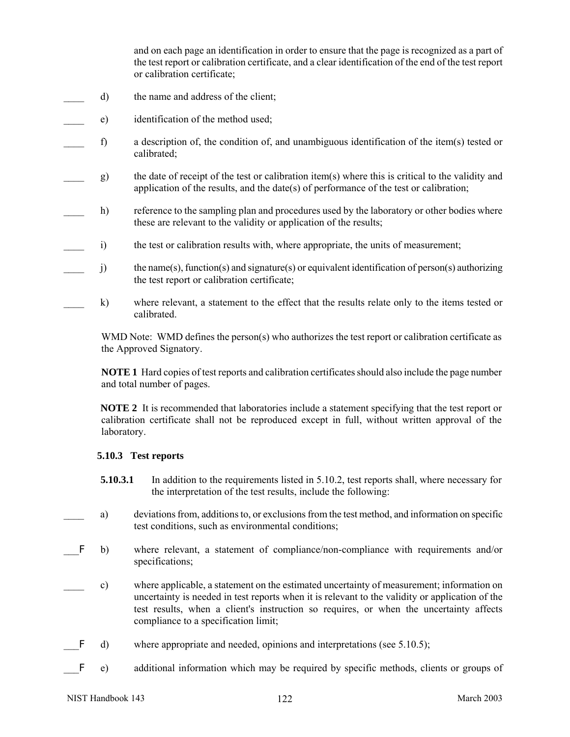and on each page an identification in order to ensure that the page is recognized as a part of the test report or calibration certificate, and a clear identification of the end of the test report or calibration certificate;

- \_\_\_\_ d) the name and address of the client;
- e) identification of the method used;
- f) a description of, the condition of, and unambiguous identification of the item(s) tested or calibrated;
- \_\_\_\_ g) the date of receipt of the test or calibration item(s) where this is critical to the validity and application of the results, and the date(s) of performance of the test or calibration;
- h) reference to the sampling plan and procedures used by the laboratory or other bodies where these are relevant to the validity or application of the results;
- i) the test or calibration results with, where appropriate, the units of measurement;
- $j$  the name(s), function(s) and signature(s) or equivalent identification of person(s) authorizing the test report or calibration certificate;
	- \_\_\_\_ k) where relevant, a statement to the effect that the results relate only to the items tested or calibrated.

WMD Note: WMD defines the person(s) who authorizes the test report or calibration certificate as the Approved Signatory.

 **NOTE 1** Hard copies of test reports and calibration certificates should also include the page number and total number of pages.

**NOTE 2** It is recommended that laboratories include a statement specifying that the test report or calibration certificate shall not be reproduced except in full, without written approval of the laboratory.

#### **5.10.3 Test reports**

- **5.10.3.1** In addition to the requirements listed in 5.10.2, test reports shall, where necessary for the interpretation of the test results, include the following:
- \_\_\_\_ a) deviations from, additions to, or exclusions from the test method, and information on specific test conditions, such as environmental conditions;
- **F** b) where relevant, a statement of compliance/non-compliance with requirements and/or specifications;
- \_\_\_\_ c) where applicable, a statement on the estimated uncertainty of measurement; information on uncertainty is needed in test reports when it is relevant to the validity or application of the test results, when a client's instruction so requires, or when the uncertainty affects compliance to a specification limit;
- $\mathbf{F}$  d) where appropriate and needed, opinions and interpretations (see 5.10.5);
	- $\mathbf{F}$  e) additional information which may be required by specific methods, clients or groups of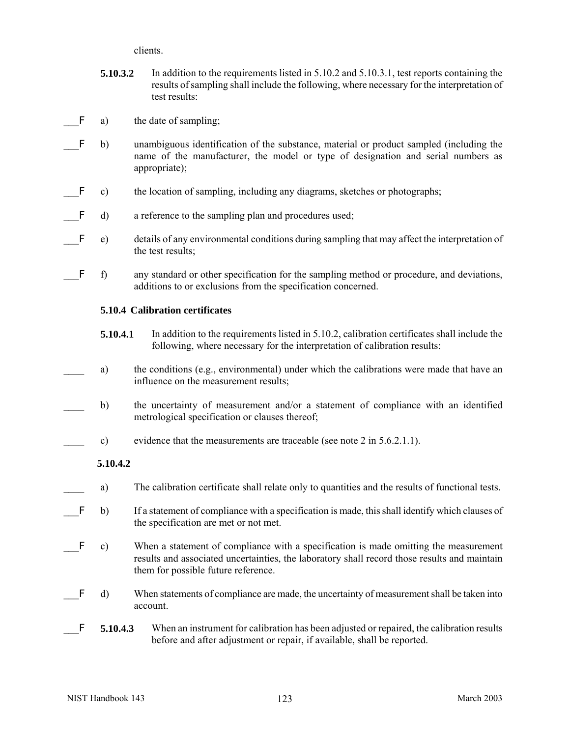clients.

- **5.10.3.2** In addition to the requirements listed in 5.10.2 and 5.10.3.1, test reports containing the results of sampling shall include the following, where necessary for the interpretation of test results:
- $\mathbf{F}$  a) the date of sampling;
- $\mathbf{F}$  b) unambiguous identification of the substance, material or product sampled (including the name of the manufacturer, the model or type of designation and serial numbers as appropriate);
- $\mathbf{F}$  c) the location of sampling, including any diagrams, sketches or photographs;
- $\mathbf{F}$  d) a reference to the sampling plan and procedures used;
- $\mathbf{F}$  e) details of any environmental conditions during sampling that may affect the interpretation of the test results;
- $\mathbf{F}$  f) any standard or other specification for the sampling method or procedure, and deviations, additions to or exclusions from the specification concerned.

# **5.10.4 Calibration certificates**

- **5.10.4.1** In addition to the requirements listed in 5.10.2, calibration certificates shall include the following, where necessary for the interpretation of calibration results:
- a) the conditions (e.g., environmental) under which the calibrations were made that have an influence on the measurement results;
- b) the uncertainty of measurement and/or a statement of compliance with an identified metrological specification or clauses thereof;
	- c) evidence that the measurements are traceable (see note 2 in  $5.6.2.1.1$ ).

#### **5.10.4.2**

- a) The calibration certificate shall relate only to quantities and the results of functional tests.
- $_F$  b) If a statement of compliance with a specification is made, this shall identify which clauses of the specification are met or not met.
- **F** c) When a statement of compliance with a specification is made omitting the measurement results and associated uncertainties, the laboratory shall record those results and maintain them for possible future reference.
- $\mathbf{F}$  d) When statements of compliance are made, the uncertainty of measurement shall be taken into account.
- **F** 5.10.4.3 When an instrument for calibration has been adjusted or repaired, the calibration results before and after adjustment or repair, if available, shall be reported.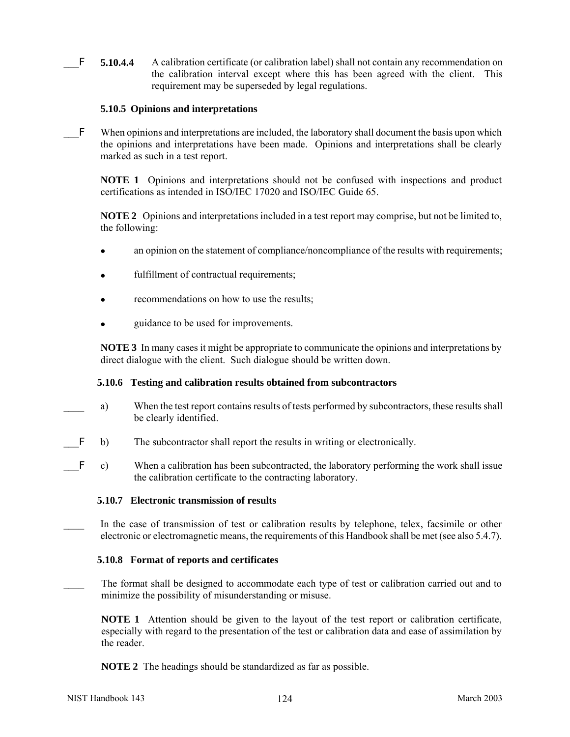**F** 5.10.4.4 A calibration certificate (or calibration label) shall not contain any recommendation on the calibration interval except where this has been agreed with the client. This requirement may be superseded by legal regulations.

#### **5.10.5 Opinions and interpretations**

**F** When opinions and interpretations are included, the laboratory shall document the basis upon which the opinions and interpretations have been made. Opinions and interpretations shall be clearly marked as such in a test report.

 **NOTE 1** Opinions and interpretations should not be confused with inspections and product certifications as intended in ISO/IEC 17020 and ISO/IEC Guide 65.

 **NOTE 2** Opinions and interpretations included in a test report may comprise, but not be limited to, the following:

- an opinion on the statement of compliance/noncompliance of the results with requirements;
- fulfillment of contractual requirements;
- recommendations on how to use the results;
- guidance to be used for improvements.

**NOTE 3** In many cases it might be appropriate to communicate the opinions and interpretations by direct dialogue with the client. Such dialogue should be written down.

#### **5.10.6 Testing and calibration results obtained from subcontractors**

- a) When the test report contains results of tests performed by subcontractors, these results shall be clearly identified.
- $\mathbf{F}$  b) The subcontractor shall report the results in writing or electronically.
- $\mathbf{F}$  c) When a calibration has been subcontracted, the laboratory performing the work shall issue the calibration certificate to the contracting laboratory.

#### **5.10.7 Electronic transmission of results**

In the case of transmission of test or calibration results by telephone, telex, facsimile or other electronic or electromagnetic means, the requirements of this Handbook shall be met (see also 5.4.7).

#### **5.10.8 Format of reports and certificates**

The format shall be designed to accommodate each type of test or calibration carried out and to minimize the possibility of misunderstanding or misuse.

 **NOTE 1** Attention should be given to the layout of the test report or calibration certificate, especially with regard to the presentation of the test or calibration data and ease of assimilation by the reader.

**NOTE 2** The headings should be standardized as far as possible.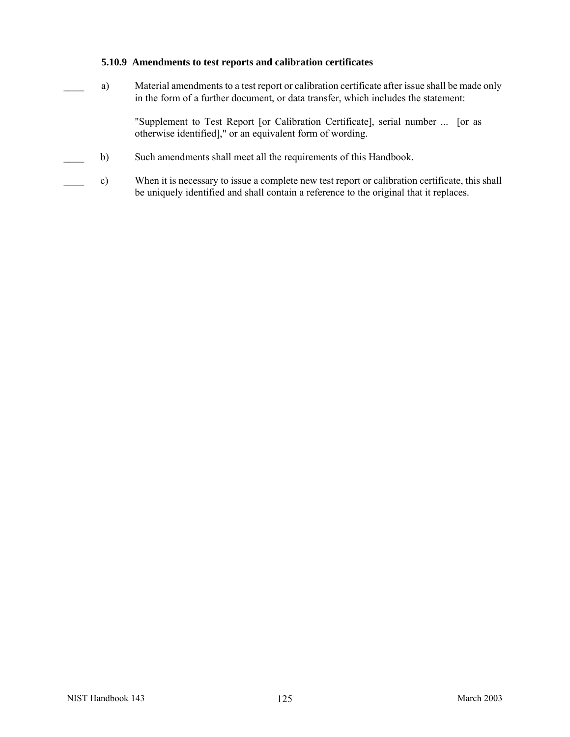#### **5.10.9 Amendments to test reports and calibration certificates**

- a) Material amendments to a test report or calibration certificate after issue shall be made only in the form of a further document, or data transfer, which includes the statement: "Supplement to Test Report [or Calibration Certificate], serial number ... [or as otherwise identified]," or an equivalent form of wording. b) Such amendments shall meet all the requirements of this Handbook.
- \_\_\_\_ c) When it is necessary to issue a complete new test report or calibration certificate, this shall be uniquely identified and shall contain a reference to the original that it replaces.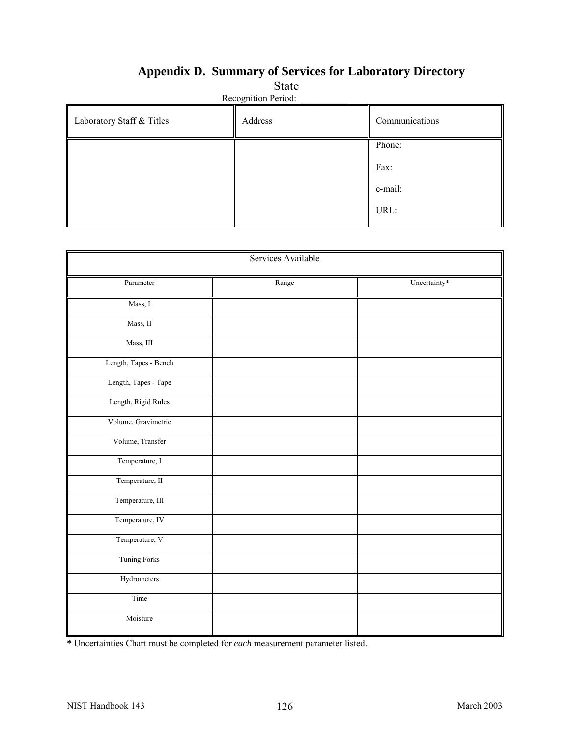# **Appendix D. Summary of Services for Laboratory Directory**

State

| Recognition Period:       |         |                |  |
|---------------------------|---------|----------------|--|
| Laboratory Staff & Titles | Address | Communications |  |
|                           |         | Phone:         |  |
|                           |         | Fax:           |  |
|                           |         | e-mail:        |  |
|                           |         | URL:           |  |

| Services Available    |       |              |  |  |
|-----------------------|-------|--------------|--|--|
| Parameter             | Range | Uncertainty* |  |  |
| Mass, I               |       |              |  |  |
| Mass, II              |       |              |  |  |
| Mass, III             |       |              |  |  |
| Length, Tapes - Bench |       |              |  |  |
| Length, Tapes - Tape  |       |              |  |  |
| Length, Rigid Rules   |       |              |  |  |
| Volume, Gravimetric   |       |              |  |  |
| Volume, Transfer      |       |              |  |  |
| Temperature, I        |       |              |  |  |
| Temperature, II       |       |              |  |  |
| Temperature, III      |       |              |  |  |
| Temperature, IV       |       |              |  |  |
| Temperature, V        |       |              |  |  |
| <b>Tuning Forks</b>   |       |              |  |  |
| Hydrometers           |       |              |  |  |
| Time                  |       |              |  |  |
| Moisture              |       |              |  |  |

**\*** Uncertainties Chart must be completed for *each* measurement parameter listed.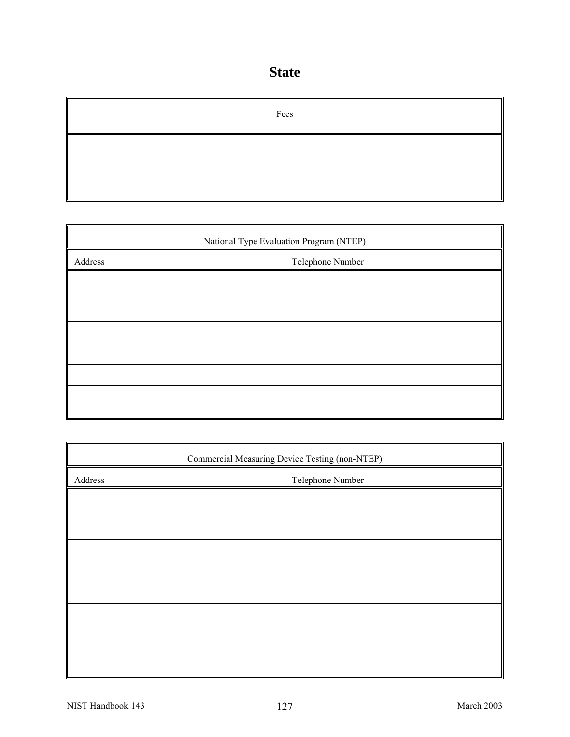# **State**

| National Type Evaluation Program (NTEP) |                  |  |  |  |
|-----------------------------------------|------------------|--|--|--|
| Address                                 | Telephone Number |  |  |  |
|                                         |                  |  |  |  |
|                                         |                  |  |  |  |
|                                         |                  |  |  |  |
|                                         |                  |  |  |  |
|                                         |                  |  |  |  |
|                                         |                  |  |  |  |
|                                         |                  |  |  |  |

| Commercial Measuring Device Testing (non-NTEP) |                  |  |  |  |
|------------------------------------------------|------------------|--|--|--|
| Address                                        | Telephone Number |  |  |  |
|                                                |                  |  |  |  |
|                                                |                  |  |  |  |
|                                                |                  |  |  |  |
|                                                |                  |  |  |  |
|                                                |                  |  |  |  |
|                                                |                  |  |  |  |
|                                                |                  |  |  |  |
|                                                |                  |  |  |  |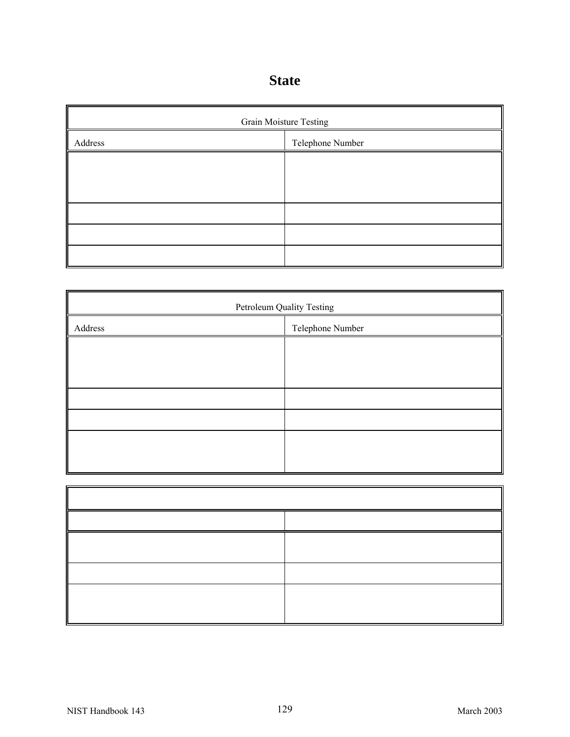# **State**

| Grain Moisture Testing |                  |  |  |
|------------------------|------------------|--|--|
| Address                | Telephone Number |  |  |
|                        |                  |  |  |
|                        |                  |  |  |
|                        |                  |  |  |
|                        |                  |  |  |
|                        |                  |  |  |
|                        |                  |  |  |

| Petroleum Quality Testing |                  |  |  |
|---------------------------|------------------|--|--|
| Address                   | Telephone Number |  |  |
|                           |                  |  |  |
|                           |                  |  |  |
|                           |                  |  |  |
|                           |                  |  |  |
|                           |                  |  |  |
|                           |                  |  |  |
|                           |                  |  |  |

| <u> Espainia de la contrada de la contrada de la contrada de la contrada de la contrada de la contrada de la con</u>   |  |  |  |
|------------------------------------------------------------------------------------------------------------------------|--|--|--|
| <u> La componenta de la contrada de la contrada de la contrada de la contrada de la contrada de la contrada de la</u>  |  |  |  |
|                                                                                                                        |  |  |  |
|                                                                                                                        |  |  |  |
| <u> La componente de la componente de la componente de la componente de la componente de la componente de la compo</u> |  |  |  |